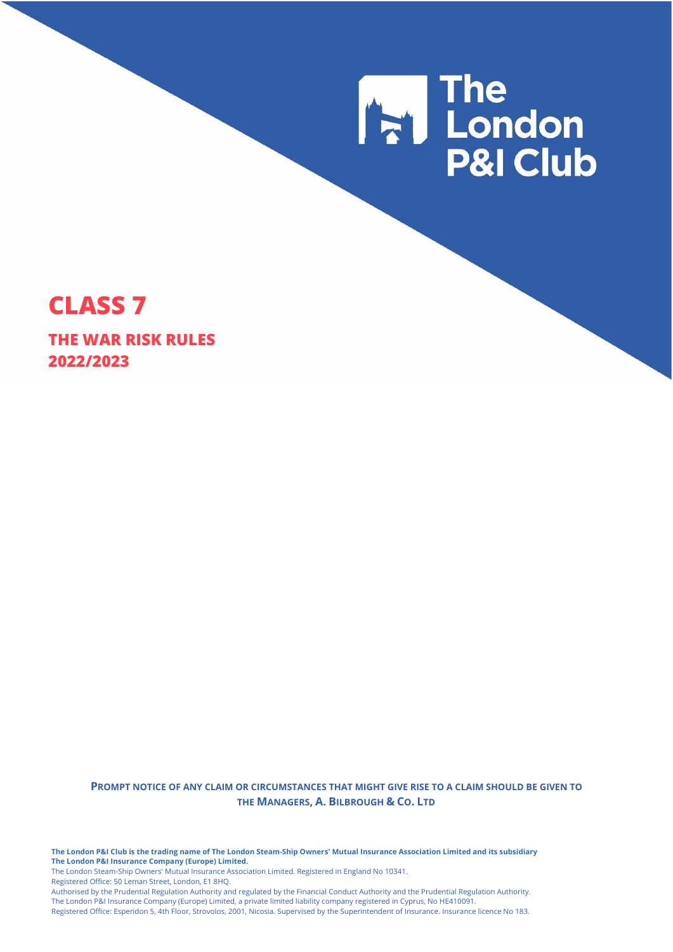# **The London<br>P&I Club**

# **CLASS 7**

**THE WAR RISK RULES 2022/2023**

> **PROMPT NOTICE OF ANY CLAIM OR CIRCUMSTANCES THAT MIGHT GIVE RISE TO A CLAIM SHOULD BE GIVEN TO THE MANAGERS, A. BILBROUGH & CO. LTD**

**The London P&I Club is the trading name of The London Steam-Ship Owners' Mutual Insurance Association Limited and its subsidiary The London P&I Insurance Company (Europe) Limited.** The London Steam-Ship Owners' Mutual Insurance Association Limited. Registered in England No 10341. Registered Office: 50 Leman Street, London, E1 8HQ.

Authorised by the Prudential Regulation Authority and regulated by the Financial Conduct Authority and the Prudential Regulation Authority. The London P&I Insurance Company (Europe) Limited, a private limited liability company registered in Cyprus, No HE410091.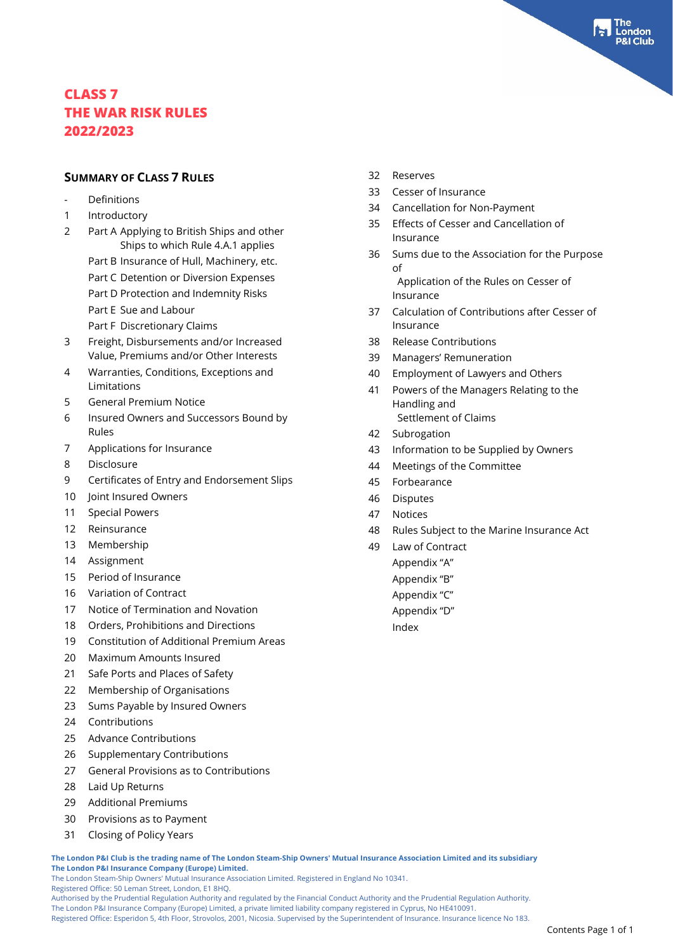#### **SUMMARY OF CLASS 7 RULES**

- **Definitions**
- 1 Introductory
- 2 Part A Applying to British Ships and other Ships to which Rule 4.A.1 applies Part B Insurance of Hull, Machinery, etc. Part C Detention or Diversion Expenses Part D Protection and Indemnity Risks Part E Sue and Labour Part F Discretionary Claims
- 3 Freight, Disbursements and/or Increased Value, Premiums and/or Other Interests
- 4 Warranties, Conditions, Exceptions and Limitations
- 5 General Premium Notice
- 6 Insured Owners and Successors Bound by Rules
- 7 Applications for Insurance
- 8 Disclosure
- 9 Certificates of Entry and Endorsement Slips
- 10 Joint Insured Owners
- 11 Special Powers
- 12 Reinsurance
- 13 Membership
- 14 Assignment
- 15 Period of Insurance
- 16 Variation of Contract
- 17 Notice of Termination and Novation
- 18 Orders, Prohibitions and Directions
- 19 Constitution of Additional Premium Areas
- 20 Maximum Amounts Insured
- 21 Safe Ports and Places of Safety
- 22 Membership of Organisations
- 23 Sums Payable by Insured Owners
- 24 Contributions
- 25 Advance Contributions
- 26 Supplementary Contributions
- 27 General Provisions as to Contributions
- 28 Laid Up Returns
- 29 Additional Premiums
- 30 Provisions as to Payment
- 31 Closing of Policy Years
- 32 Reserves
- 33 Cesser of Insurance
- 34 Cancellation for Non-Payment
- 35 Effects of Cesser and Cancellation of Insurance
- 36 Sums due to the Association for the Purpose of Application of the Rules on Cesser of

ondon

Insurance

- 37 Calculation of Contributions after Cesser of Insurance
- 38 Release Contributions
- 39 Managers' Remuneration
- 40 Employment of Lawyers and Others
- 41 Powers of the Managers Relating to the Handling and Settlement of Claims
- 42 Subrogation
- 43 Information to be Supplied by Owners
- 44 Meetings of the Committee
- 45 Forbearance
- 46 Disputes
- 47 Notices
- 48 Rules Subject to the Marine Insurance Act
- 49 Law of Contract
	- Appendix "A"
	- Appendix "B"
	- Appendix "C"
	- Appendix "D"
		- Index

**The London P&I Club is the trading name of The London Steam-Ship Owners' Mutual Insurance Association Limited and its subsidiary The London P&I Insurance Company (Europe) Limited.**

The London Steam-Ship Owners' Mutual Insurance Association Limited. Registered in England No 10341.

Registered Office: 50 Leman Street, London, E1 8HQ.

Authorised by the Prudential Regulation Authority and regulated by the Financial Conduct Authority and the Prudential Regulation Authority.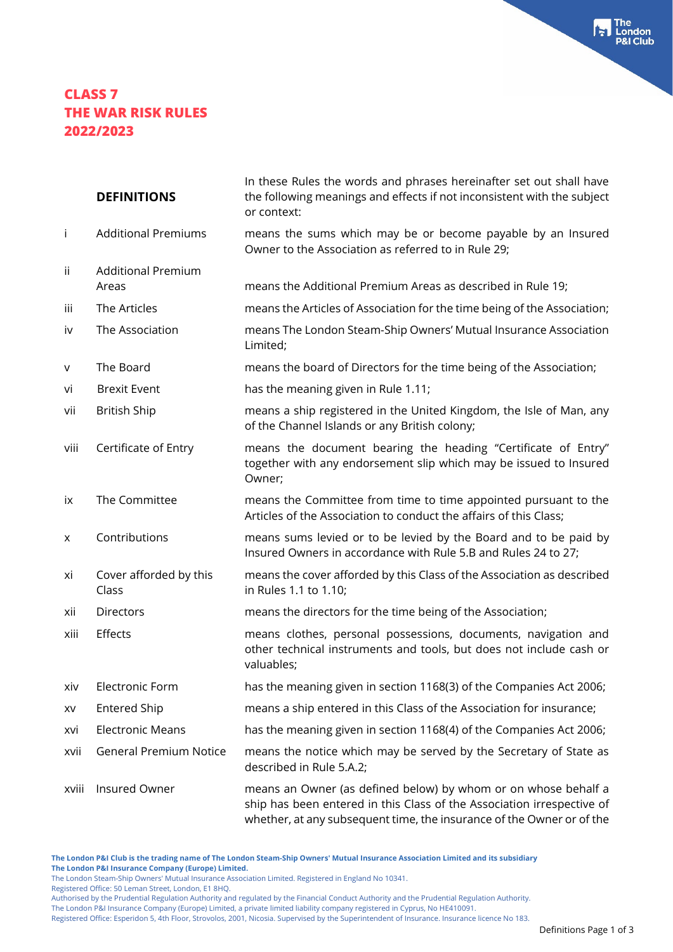|              | <b>DEFINITIONS</b>              | In these Rules the words and phrases hereinafter set out shall have<br>the following meanings and effects if not inconsistent with the subject<br>or context:                                                     |
|--------------|---------------------------------|-------------------------------------------------------------------------------------------------------------------------------------------------------------------------------------------------------------------|
| $\mathbf{i}$ | <b>Additional Premiums</b>      | means the sums which may be or become payable by an Insured<br>Owner to the Association as referred to in Rule 29;                                                                                                |
| Ϊİ           | <b>Additional Premium</b>       |                                                                                                                                                                                                                   |
|              | Areas                           | means the Additional Premium Areas as described in Rule 19;                                                                                                                                                       |
| iii          | The Articles                    | means the Articles of Association for the time being of the Association;                                                                                                                                          |
| iv           | The Association                 | means The London Steam-Ship Owners' Mutual Insurance Association<br>Limited;                                                                                                                                      |
| V            | The Board                       | means the board of Directors for the time being of the Association;                                                                                                                                               |
| vi           | <b>Brexit Event</b>             | has the meaning given in Rule 1.11;                                                                                                                                                                               |
| vii          | <b>British Ship</b>             | means a ship registered in the United Kingdom, the Isle of Man, any<br>of the Channel Islands or any British colony;                                                                                              |
| viii         | Certificate of Entry            | means the document bearing the heading "Certificate of Entry"<br>together with any endorsement slip which may be issued to Insured<br>Owner;                                                                      |
| ix           | The Committee                   | means the Committee from time to time appointed pursuant to the<br>Articles of the Association to conduct the affairs of this Class;                                                                              |
| X            | Contributions                   | means sums levied or to be levied by the Board and to be paid by<br>Insured Owners in accordance with Rule 5.B and Rules 24 to 27;                                                                                |
| xi           | Cover afforded by this<br>Class | means the cover afforded by this Class of the Association as described<br>in Rules 1.1 to 1.10;                                                                                                                   |
| xii          | Directors                       | means the directors for the time being of the Association;                                                                                                                                                        |
| xiii         | Effects                         | means clothes, personal possessions, documents, navigation and<br>other technical instruments and tools, but does not include cash or<br>valuables;                                                               |
| xiv          | <b>Electronic Form</b>          | has the meaning given in section 1168(3) of the Companies Act 2006;                                                                                                                                               |
| XV           | <b>Entered Ship</b>             | means a ship entered in this Class of the Association for insurance;                                                                                                                                              |
| xvi          | <b>Electronic Means</b>         | has the meaning given in section 1168(4) of the Companies Act 2006;                                                                                                                                               |
| xvii         | <b>General Premium Notice</b>   | means the notice which may be served by the Secretary of State as<br>described in Rule 5.A.2;                                                                                                                     |
| xviii        | Insured Owner                   | means an Owner (as defined below) by whom or on whose behalf a<br>ship has been entered in this Class of the Association irrespective of<br>whether, at any subsequent time, the insurance of the Owner or of the |

**The London P&I Club is the trading name of The London Steam-Ship Owners' Mutual Insurance Association Limited and its subsidiary The London P&I Insurance Company (Europe) Limited.**

The London Steam-Ship Owners' Mutual Insurance Association Limited. Registered in England No 10341.

Registered Office: 50 Leman Street, London, E1 8HQ.

Authorised by the Prudential Regulation Authority and regulated by the Financial Conduct Authority and the Prudential Regulation Authority.

The London P&I Insurance Company (Europe) Limited, a private limited liability company registered in Cyprus, No HE410091.

Registered Office: Esperidon 5, 4th Floor, Strovolos, 2001, Nicosia. Supervised by the Superintendent of Insurance. Insurance licence No 183.

The<br>London **&I Club**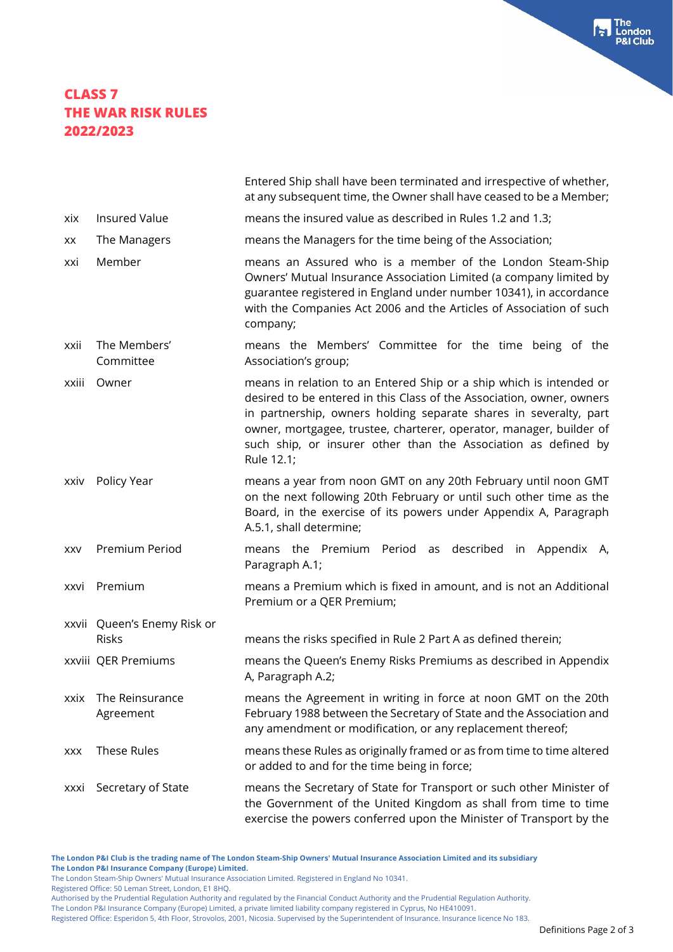|       |                                             | Entered Ship shall have been terminated and irrespective of whether,<br>at any subsequent time, the Owner shall have ceased to be a Member;                                                                                                                                                                                                                              |
|-------|---------------------------------------------|--------------------------------------------------------------------------------------------------------------------------------------------------------------------------------------------------------------------------------------------------------------------------------------------------------------------------------------------------------------------------|
| xix   | <b>Insured Value</b>                        | means the insured value as described in Rules 1.2 and 1.3;                                                                                                                                                                                                                                                                                                               |
| XX    | The Managers                                | means the Managers for the time being of the Association;                                                                                                                                                                                                                                                                                                                |
| xxi   | Member                                      | means an Assured who is a member of the London Steam-Ship<br>Owners' Mutual Insurance Association Limited (a company limited by<br>guarantee registered in England under number 10341), in accordance<br>with the Companies Act 2006 and the Articles of Association of such<br>company;                                                                                 |
| xxii  | The Members'<br>Committee                   | means the Members' Committee for the time being of the<br>Association's group;                                                                                                                                                                                                                                                                                           |
| xxiii | Owner                                       | means in relation to an Entered Ship or a ship which is intended or<br>desired to be entered in this Class of the Association, owner, owners<br>in partnership, owners holding separate shares in severalty, part<br>owner, mortgagee, trustee, charterer, operator, manager, builder of<br>such ship, or insurer other than the Association as defined by<br>Rule 12.1; |
| xxiv  | Policy Year                                 | means a year from noon GMT on any 20th February until noon GMT<br>on the next following 20th February or until such other time as the<br>Board, in the exercise of its powers under Appendix A, Paragraph<br>A.5.1, shall determine;                                                                                                                                     |
| XXV   | Premium Period                              | described<br>means the Premium Period<br>in Appendix A,<br>as<br>Paragraph A.1;                                                                                                                                                                                                                                                                                          |
| xxvi  | Premium                                     | means a Premium which is fixed in amount, and is not an Additional<br>Premium or a QER Premium;                                                                                                                                                                                                                                                                          |
|       | xxvii Queen's Enemy Risk or<br><b>Risks</b> | means the risks specified in Rule 2 Part A as defined therein;                                                                                                                                                                                                                                                                                                           |
|       | xxviii QER Premiums                         | means the Queen's Enemy Risks Premiums as described in Appendix<br>A, Paragraph A.2;                                                                                                                                                                                                                                                                                     |
| XXIX  | The Reinsurance<br>Agreement                | means the Agreement in writing in force at noon GMT on the 20th<br>February 1988 between the Secretary of State and the Association and<br>any amendment or modification, or any replacement thereof;                                                                                                                                                                    |
| XXX   | <b>These Rules</b>                          | means these Rules as originally framed or as from time to time altered<br>or added to and for the time being in force;                                                                                                                                                                                                                                                   |
| XXXI  | Secretary of State                          | means the Secretary of State for Transport or such other Minister of<br>the Government of the United Kingdom as shall from time to time<br>exercise the powers conferred upon the Minister of Transport by the                                                                                                                                                           |

**The London P&I Club is the trading name of The London Steam-Ship Owners' Mutual Insurance Association Limited and its subsidiary The London P&I Insurance Company (Europe) Limited.**

The London Steam-Ship Owners' Mutual Insurance Association Limited. Registered in England No 10341.

Registered Office: 50 Leman Street, London, E1 8HQ.

Authorised by the Prudential Regulation Authority and regulated by the Financial Conduct Authority and the Prudential Regulation Authority.

The London P&I Insurance Company (Europe) Limited, a private limited liability company registered in Cyprus, No HE410091.

Registered Office: Esperidon 5, 4th Floor, Strovolos, 2001, Nicosia. Supervised by the Superintendent of Insurance. Insurance licence No 183.

**The** London **Club**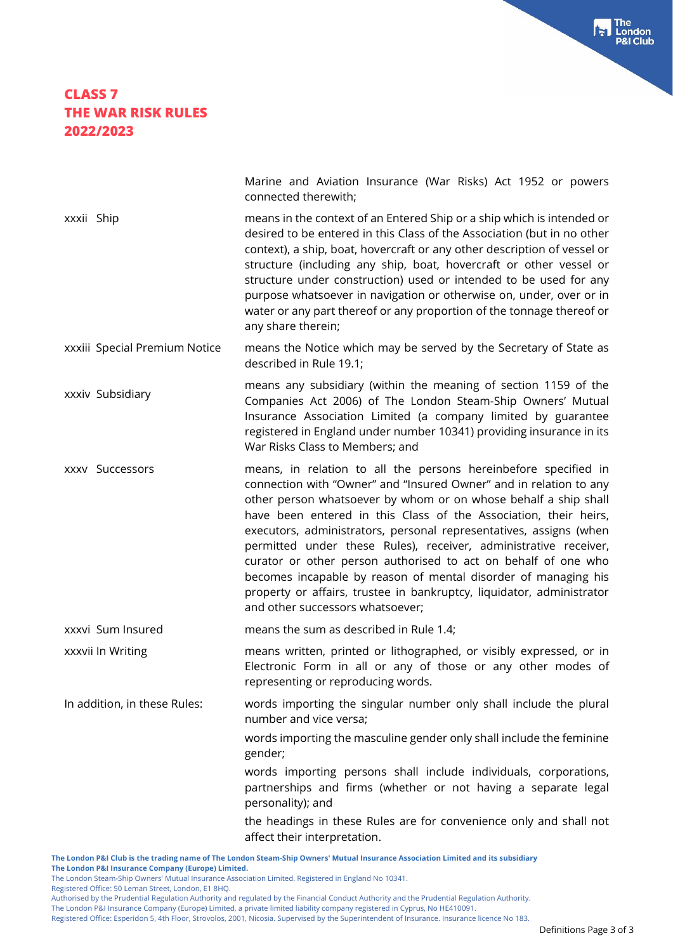|                               | Marine and Aviation Insurance (War Risks) Act 1952 or powers<br>connected therewith;                                                                                                                                                                                                                                                                                                                                                                                                                                                                                                                                                                                    |
|-------------------------------|-------------------------------------------------------------------------------------------------------------------------------------------------------------------------------------------------------------------------------------------------------------------------------------------------------------------------------------------------------------------------------------------------------------------------------------------------------------------------------------------------------------------------------------------------------------------------------------------------------------------------------------------------------------------------|
| xxxii Ship                    | means in the context of an Entered Ship or a ship which is intended or<br>desired to be entered in this Class of the Association (but in no other<br>context), a ship, boat, hovercraft or any other description of vessel or<br>structure (including any ship, boat, hovercraft or other vessel or<br>structure under construction) used or intended to be used for any<br>purpose whatsoever in navigation or otherwise on, under, over or in<br>water or any part thereof or any proportion of the tonnage thereof or<br>any share therein;                                                                                                                          |
| xxxiii Special Premium Notice | means the Notice which may be served by the Secretary of State as<br>described in Rule 19.1;                                                                                                                                                                                                                                                                                                                                                                                                                                                                                                                                                                            |
| xxxiv Subsidiary              | means any subsidiary (within the meaning of section 1159 of the<br>Companies Act 2006) of The London Steam-Ship Owners' Mutual<br>Insurance Association Limited (a company limited by guarantee<br>registered in England under number 10341) providing insurance in its<br>War Risks Class to Members; and                                                                                                                                                                                                                                                                                                                                                              |
| <b>XXXV Successors</b>        | means, in relation to all the persons hereinbefore specified in<br>connection with "Owner" and "Insured Owner" and in relation to any<br>other person whatsoever by whom or on whose behalf a ship shall<br>have been entered in this Class of the Association, their heirs,<br>executors, administrators, personal representatives, assigns (when<br>permitted under these Rules), receiver, administrative receiver,<br>curator or other person authorised to act on behalf of one who<br>becomes incapable by reason of mental disorder of managing his<br>property or affairs, trustee in bankruptcy, liquidator, administrator<br>and other successors whatsoever; |
| xxxvi Sum Insured             | means the sum as described in Rule 1.4;                                                                                                                                                                                                                                                                                                                                                                                                                                                                                                                                                                                                                                 |
| xxxvii In Writing             | means written, printed or lithographed, or visibly expressed, or in<br>Electronic Form in all or any of those or any other modes of<br>representing or reproducing words.                                                                                                                                                                                                                                                                                                                                                                                                                                                                                               |
| In addition, in these Rules:  | words importing the singular number only shall include the plural<br>number and vice versa;                                                                                                                                                                                                                                                                                                                                                                                                                                                                                                                                                                             |
|                               | words importing the masculine gender only shall include the feminine<br>gender;                                                                                                                                                                                                                                                                                                                                                                                                                                                                                                                                                                                         |
|                               | words importing persons shall include individuals, corporations,<br>partnerships and firms (whether or not having a separate legal<br>personality); and                                                                                                                                                                                                                                                                                                                                                                                                                                                                                                                 |
|                               | the headings in these Rules are for convenience only and shall not<br>affect their interpretation.                                                                                                                                                                                                                                                                                                                                                                                                                                                                                                                                                                      |

**The London P&I Club is the trading name of The London Steam-Ship Owners' Mutual Insurance Association Limited and its subsidiary**

**The London P&I Insurance Company (Europe) Limited.**

The London Steam-Ship Owners' Mutual Insurance Association Limited. Registered in England No 10341.

Registered Office: 50 Leman Street, London, E1 8HQ.

Authorised by the Prudential Regulation Authority and regulated by the Financial Conduct Authority and the Prudential Regulation Authority.

The London P&I Insurance Company (Europe) Limited, a private limited liability company registered in Cyprus, No HE410091.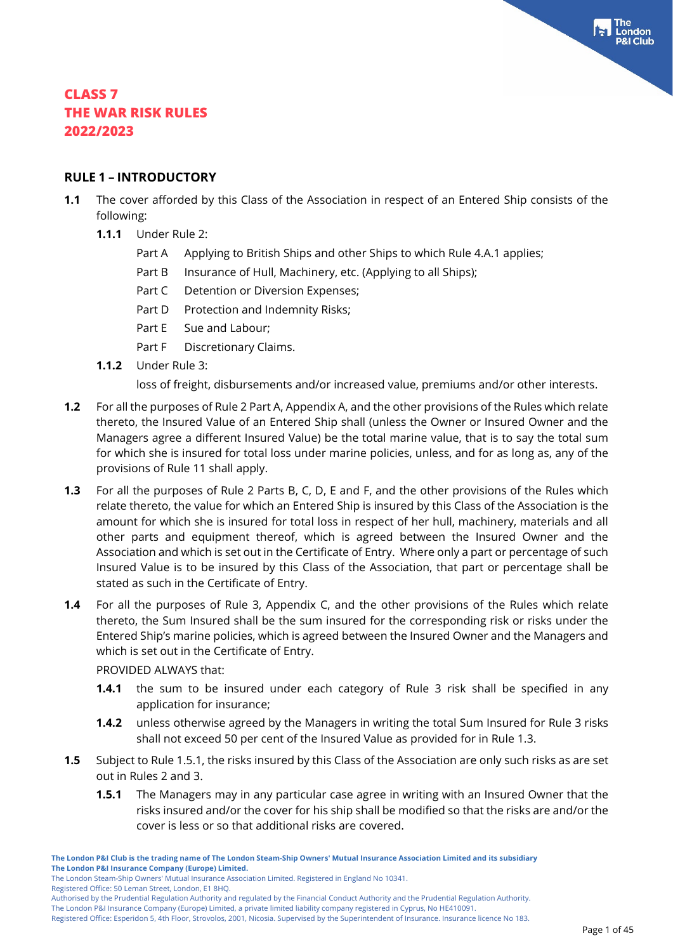#### **RULE 1 – INTRODUCTORY**

- **1.1** The cover afforded by this Class of the Association in respect of an Entered Ship consists of the following:
	- **1.1.1** Under Rule 2:
		- Part A Applying to British Ships and other Ships to which Rule 4.A.1 applies;
		- Part B Insurance of Hull, Machinery, etc. (Applying to all Ships);
		- Part C Detention or Diversion Expenses;
		- Part D Protection and Indemnity Risks;
		- Part E Sue and Labour;
		- Part F Discretionary Claims.
	- **1.1.2** Under Rule 3:

loss of freight, disbursements and/or increased value, premiums and/or other interests.

- **1.2** For all the purposes of Rule 2 Part A, Appendix A, and the other provisions of the Rules which relate thereto, the Insured Value of an Entered Ship shall (unless the Owner or Insured Owner and the Managers agree a different Insured Value) be the total marine value, that is to say the total sum for which she is insured for total loss under marine policies, unless, and for as long as, any of the provisions of Rule 11 shall apply.
- **1.3** For all the purposes of Rule 2 Parts B, C, D, E and F, and the other provisions of the Rules which relate thereto, the value for which an Entered Ship is insured by this Class of the Association is the amount for which she is insured for total loss in respect of her hull, machinery, materials and all other parts and equipment thereof, which is agreed between the Insured Owner and the Association and which is set out in the Certificate of Entry. Where only a part or percentage of such Insured Value is to be insured by this Class of the Association, that part or percentage shall be stated as such in the Certificate of Entry.
- **1.4** For all the purposes of Rule 3, Appendix C, and the other provisions of the Rules which relate thereto, the Sum Insured shall be the sum insured for the corresponding risk or risks under the Entered Ship's marine policies, which is agreed between the Insured Owner and the Managers and which is set out in the Certificate of Entry.

#### PROVIDED ALWAYS that:

- **1.4.1** the sum to be insured under each category of Rule 3 risk shall be specified in any application for insurance;
- **1.4.2** unless otherwise agreed by the Managers in writing the total Sum Insured for Rule 3 risks shall not exceed 50 per cent of the Insured Value as provided for in Rule 1.3.
- **1.5** Subject to Rule 1.5.1, the risks insured by this Class of the Association are only such risks as are set out in Rules 2 and 3.
	- **1.5.1** The Managers may in any particular case agree in writing with an Insured Owner that the risks insured and/or the cover for his ship shall be modified so that the risks are and/or the cover is less or so that additional risks are covered.

The London Steam-Ship Owners' Mutual Insurance Association Limited. Registered in England No 10341.

Registered Office: 50 Leman Street, London, E1 8HQ.

**The London P&I Club is the trading name of The London Steam-Ship Owners' Mutual Insurance Association Limited and its subsidiary The London P&I Insurance Company (Europe) Limited.**

Authorised by the Prudential Regulation Authority and regulated by the Financial Conduct Authority and the Prudential Regulation Authority.

Registered Office: Esperidon 5, 4th Floor, Strovolos, 2001, Nicosia. Supervised by the Superintendent of Insurance. Insurance licence No 183.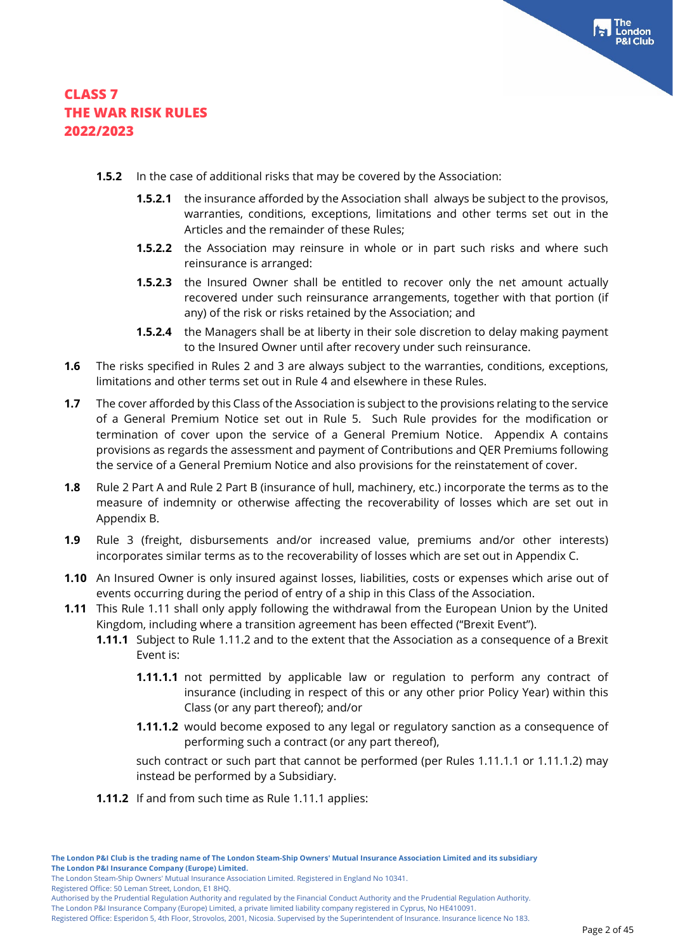- **1.5.2** In the case of additional risks that may be covered by the Association:
	- **1.5.2.1** the insurance afforded by the Association shall always be subject to the provisos, warranties, conditions, exceptions, limitations and other terms set out in the Articles and the remainder of these Rules;
	- **1.5.2.2** the Association may reinsure in whole or in part such risks and where such reinsurance is arranged:
	- **1.5.2.3** the Insured Owner shall be entitled to recover only the net amount actually recovered under such reinsurance arrangements, together with that portion (if any) of the risk or risks retained by the Association; and
	- **1.5.2.4** the Managers shall be at liberty in their sole discretion to delay making payment to the Insured Owner until after recovery under such reinsurance.
- **1.6** The risks specified in Rules 2 and 3 are always subject to the warranties, conditions, exceptions, limitations and other terms set out in Rule 4 and elsewhere in these Rules.
- **1.7** The cover afforded by this Class of the Association is subject to the provisions relating to the service of a General Premium Notice set out in Rule 5. Such Rule provides for the modification or termination of cover upon the service of a General Premium Notice. Appendix A contains provisions as regards the assessment and payment of Contributions and QER Premiums following the service of a General Premium Notice and also provisions for the reinstatement of cover.
- **1.8** Rule 2 Part A and Rule 2 Part B (insurance of hull, machinery, etc.) incorporate the terms as to the measure of indemnity or otherwise affecting the recoverability of losses which are set out in Appendix B.
- **1.9** Rule 3 (freight, disbursements and/or increased value, premiums and/or other interests) incorporates similar terms as to the recoverability of losses which are set out in Appendix C.
- **1.10** An Insured Owner is only insured against losses, liabilities, costs or expenses which arise out of events occurring during the period of entry of a ship in this Class of the Association.
- **1.11** This Rule 1.11 shall only apply following the withdrawal from the European Union by the United Kingdom, including where a transition agreement has been effected ("Brexit Event").
	- **1.11.1** Subject to Rule 1.11.2 and to the extent that the Association as a consequence of a Brexit Event is:
		- **1.11.1.1** not permitted by applicable law or regulation to perform any contract of insurance (including in respect of this or any other prior Policy Year) within this Class (or any part thereof); and/or
		- **1.11.1.2** would become exposed to any legal or regulatory sanction as a consequence of performing such a contract (or any part thereof),

such contract or such part that cannot be performed (per Rules 1.11.1.1 or 1.11.1.2) may instead be performed by a Subsidiary.

**1.11.2** If and from such time as Rule 1.11.1 applies:

Registered Office: 50 Leman Street, London, E1 8HQ.

Authorised by the Prudential Regulation Authority and regulated by the Financial Conduct Authority and the Prudential Regulation Authority.

The London P&I Insurance Company (Europe) Limited, a private limited liability company registered in Cyprus, No HE410091.

The London Steam-Ship Owners' Mutual Insurance Association Limited. Registered in England No 10341.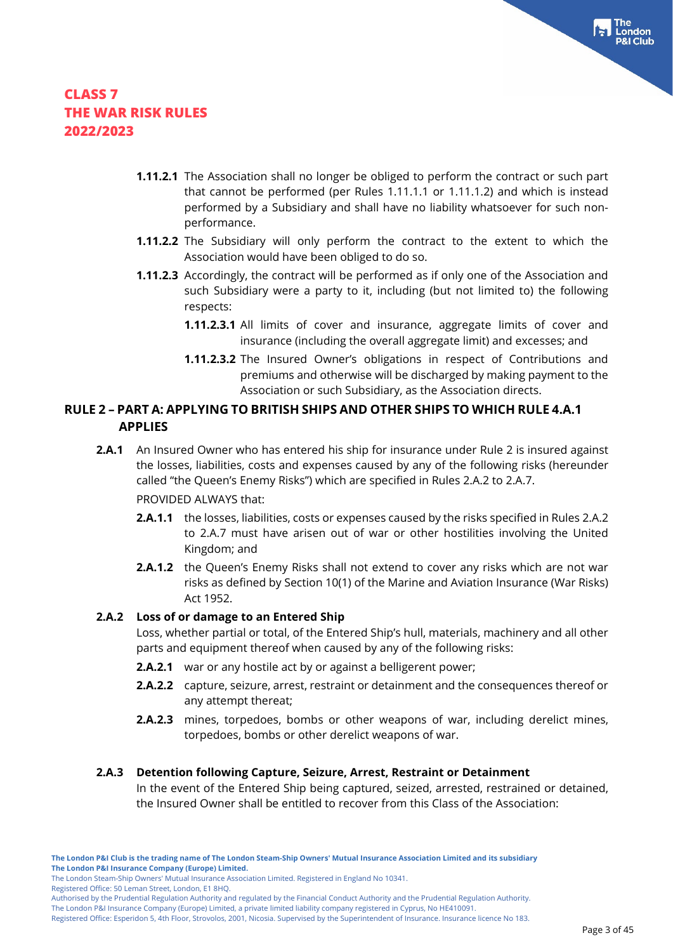- **1.11.2.1** The Association shall no longer be obliged to perform the contract or such part that cannot be performed (per Rules 1.11.1.1 or 1.11.1.2) and which is instead performed by a Subsidiary and shall have no liability whatsoever for such nonperformance.
- **1.11.2.2** The Subsidiary will only perform the contract to the extent to which the Association would have been obliged to do so.
- **1.11.2.3** Accordingly, the contract will be performed as if only one of the Association and such Subsidiary were a party to it, including (but not limited to) the following respects:
	- **1.11.2.3.1** All limits of cover and insurance, aggregate limits of cover and insurance (including the overall aggregate limit) and excesses; and
	- **1.11.2.3.2** The Insured Owner's obligations in respect of Contributions and premiums and otherwise will be discharged by making payment to the Association or such Subsidiary, as the Association directs.

## **RULE 2 – PART A: APPLYING TO BRITISH SHIPS AND OTHER SHIPS TO WHICH RULE 4.A.1 APPLIES**

**2.A.1** An Insured Owner who has entered his ship for insurance under Rule 2 is insured against the losses, liabilities, costs and expenses caused by any of the following risks (hereunder called "the Queen's Enemy Risks") which are specified in Rules 2.A.2 to 2.A.7.

PROVIDED ALWAYS that:

- **2.A.1.1** the losses, liabilities, costs or expenses caused by the risks specified in Rules 2.A.2 to 2.A.7 must have arisen out of war or other hostilities involving the United Kingdom; and
- **2.A.1.2** the Queen's Enemy Risks shall not extend to cover any risks which are not war risks as defined by Section 10(1) of the Marine and Aviation Insurance (War Risks) Act 1952.

#### **2.A.2 Loss of or damage to an Entered Ship**

Loss, whether partial or total, of the Entered Ship's hull, materials, machinery and all other parts and equipment thereof when caused by any of the following risks:

- **2.A.2.1** war or any hostile act by or against a belligerent power;
- **2.A.2.2** capture, seizure, arrest, restraint or detainment and the consequences thereof or any attempt thereat;
- **2.A.2.3** mines, torpedoes, bombs or other weapons of war, including derelict mines, torpedoes, bombs or other derelict weapons of war.

#### **2.A.3 Detention following Capture, Seizure, Arrest, Restraint or Detainment**

In the event of the Entered Ship being captured, seized, arrested, restrained or detained, the Insured Owner shall be entitled to recover from this Class of the Association:

Registered Office: 50 Leman Street, London, E1 8HQ.

The London Steam-Ship Owners' Mutual Insurance Association Limited. Registered in England No 10341.

Authorised by the Prudential Regulation Authority and regulated by the Financial Conduct Authority and the Prudential Regulation Authority.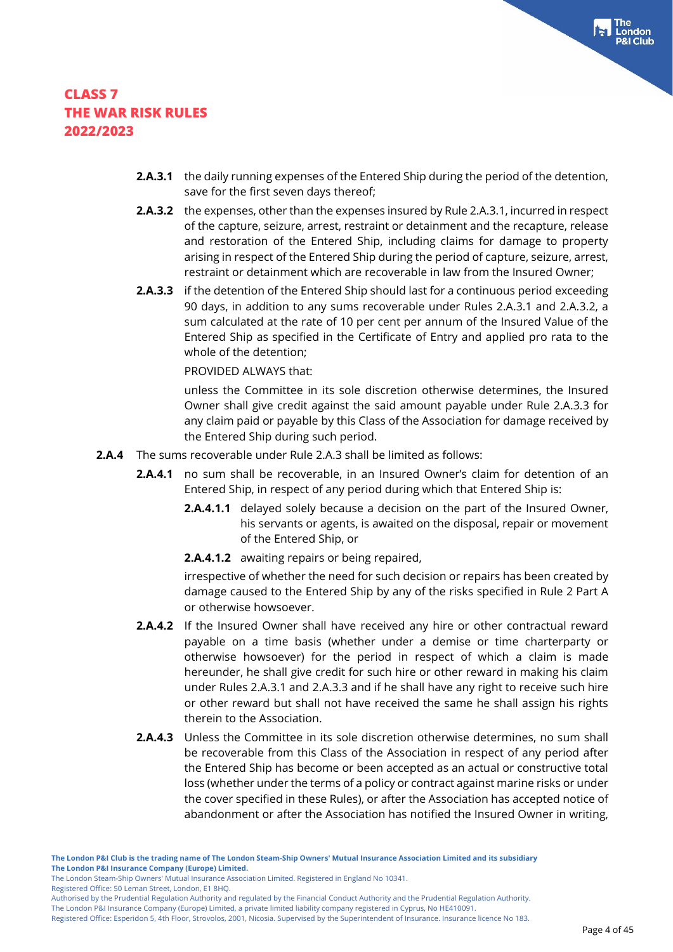- **2.A.3.1** the daily running expenses of the Entered Ship during the period of the detention, save for the first seven days thereof;
- **2.A.3.2** the expenses, other than the expenses insured by Rule 2.A.3.1, incurred in respect of the capture, seizure, arrest, restraint or detainment and the recapture, release and restoration of the Entered Ship, including claims for damage to property arising in respect of the Entered Ship during the period of capture, seizure, arrest, restraint or detainment which are recoverable in law from the Insured Owner;
- **2.A.3.3** if the detention of the Entered Ship should last for a continuous period exceeding 90 days, in addition to any sums recoverable under Rules 2.A.3.1 and 2.A.3.2, a sum calculated at the rate of 10 per cent per annum of the Insured Value of the Entered Ship as specified in the Certificate of Entry and applied pro rata to the whole of the detention;

PROVIDED ALWAYS that:

unless the Committee in its sole discretion otherwise determines, the Insured Owner shall give credit against the said amount payable under Rule 2.A.3.3 for any claim paid or payable by this Class of the Association for damage received by the Entered Ship during such period.

- **2.A.4** The sums recoverable under Rule 2.A.3 shall be limited as follows:
	- **2.A.4.1** no sum shall be recoverable, in an Insured Owner's claim for detention of an Entered Ship, in respect of any period during which that Entered Ship is:
		- **2.A.4.1.1** delayed solely because a decision on the part of the Insured Owner, his servants or agents, is awaited on the disposal, repair or movement of the Entered Ship, or
		- **2.A.4.1.2** awaiting repairs or being repaired,

irrespective of whether the need for such decision or repairs has been created by damage caused to the Entered Ship by any of the risks specified in Rule 2 Part A or otherwise howsoever.

- **2.A.4.2** If the Insured Owner shall have received any hire or other contractual reward payable on a time basis (whether under a demise or time charterparty or otherwise howsoever) for the period in respect of which a claim is made hereunder, he shall give credit for such hire or other reward in making his claim under Rules 2.A.3.1 and 2.A.3.3 and if he shall have any right to receive such hire or other reward but shall not have received the same he shall assign his rights therein to the Association.
- **2.A.4.3** Unless the Committee in its sole discretion otherwise determines, no sum shall be recoverable from this Class of the Association in respect of any period after the Entered Ship has become or been accepted as an actual or constructive total loss (whether under the terms of a policy or contract against marine risks or under the cover specified in these Rules), or after the Association has accepted notice of abandonment or after the Association has notified the Insured Owner in writing,

Registered Office: 50 Leman Street, London, E1 8HQ.

The London Steam-Ship Owners' Mutual Insurance Association Limited. Registered in England No 10341.

Authorised by the Prudential Regulation Authority and regulated by the Financial Conduct Authority and the Prudential Regulation Authority.

Registered Office: Esperidon 5, 4th Floor, Strovolos, 2001, Nicosia. Supervised by the Superintendent of Insurance. Insurance licence No 183.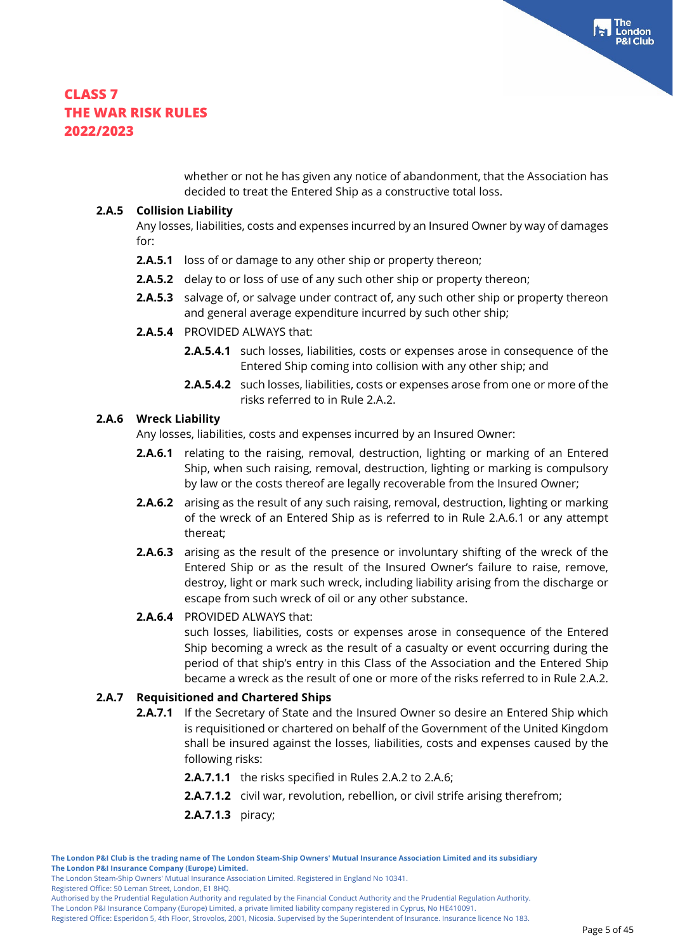whether or not he has given any notice of abandonment, that the Association has decided to treat the Entered Ship as a constructive total loss.

#### **2.A.5 Collision Liability**

Any losses, liabilities, costs and expenses incurred by an Insured Owner by way of damages for:

- **2.A.5.1** loss of or damage to any other ship or property thereon;
- **2.A.5.2** delay to or loss of use of any such other ship or property thereon;
- **2.A.5.3** salvage of, or salvage under contract of, any such other ship or property thereon and general average expenditure incurred by such other ship;
- **2.A.5.4** PROVIDED ALWAYS that:
	- **2.A.5.4.1** such losses, liabilities, costs or expenses arose in consequence of the Entered Ship coming into collision with any other ship; and
	- **2.A.5.4.2** such losses, liabilities, costs or expenses arose from one or more of the risks referred to in Rule 2.A.2.

#### **2.A.6 Wreck Liability**

Any losses, liabilities, costs and expenses incurred by an Insured Owner:

- **2.A.6.1** relating to the raising, removal, destruction, lighting or marking of an Entered Ship, when such raising, removal, destruction, lighting or marking is compulsory by law or the costs thereof are legally recoverable from the Insured Owner;
- **2.A.6.2** arising as the result of any such raising, removal, destruction, lighting or marking of the wreck of an Entered Ship as is referred to in Rule 2.A.6.1 or any attempt thereat;
- **2.A.6.3** arising as the result of the presence or involuntary shifting of the wreck of the Entered Ship or as the result of the Insured Owner's failure to raise, remove, destroy, light or mark such wreck, including liability arising from the discharge or escape from such wreck of oil or any other substance.

#### **2.A.6.4** PROVIDED ALWAYS that:

such losses, liabilities, costs or expenses arose in consequence of the Entered Ship becoming a wreck as the result of a casualty or event occurring during the period of that ship's entry in this Class of the Association and the Entered Ship became a wreck as the result of one or more of the risks referred to in Rule 2.A.2.

#### **2.A.7 Requisitioned and Chartered Ships**

- **2.A.7.1** If the Secretary of State and the Insured Owner so desire an Entered Ship which is requisitioned or chartered on behalf of the Government of the United Kingdom shall be insured against the losses, liabilities, costs and expenses caused by the following risks:
	- **2.A.7.1.1** the risks specified in Rules 2.A.2 to 2.A.6;
	- **2.A.7.1.2** civil war, revolution, rebellion, or civil strife arising therefrom;
	- **2.A.7.1.3** piracy;

Registered Office: 50 Leman Street, London, E1 8HQ.

Authorised by the Prudential Regulation Authority and regulated by the Financial Conduct Authority and the Prudential Regulation Authority. The London P&I Insurance Company (Europe) Limited, a private limited liability company registered in Cyprus, No HE410091.

**The London P&I Club is the trading name of The London Steam-Ship Owners' Mutual Insurance Association Limited and its subsidiary The London P&I Insurance Company (Europe) Limited.**

The London Steam-Ship Owners' Mutual Insurance Association Limited. Registered in England No 10341.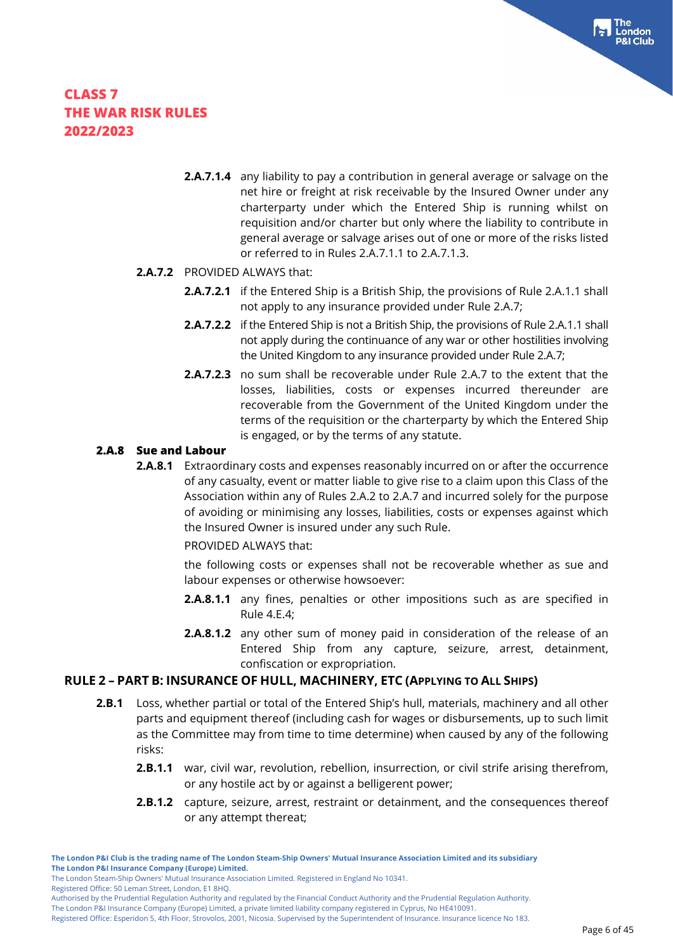**2.A.7.1.4** any liability to pay a contribution in general average or salvage on the net hire or freight at risk receivable by the Insured Owner under any charterparty under which the Entered Ship is running whilst on requisition and/or charter but only where the liability to contribute in general average or salvage arises out of one or more of the risks listed or referred to in Rules 2.A.7.1.1 to 2.A.7.1.3.

#### **2.A.7.2** PROVIDED ALWAYS that:

- **2.A.7.2.1** if the Entered Ship is a British Ship, the provisions of Rule 2.A.1.1 shall not apply to any insurance provided under Rule 2.A.7;
- **2.A.7.2.2** if the Entered Ship is not a British Ship, the provisions of Rule 2.A.1.1 shall not apply during the continuance of any war or other hostilities involving the United Kingdom to any insurance provided under Rule 2.A.7;
- **2.A.7.2.3** no sum shall be recoverable under Rule 2.A.7 to the extent that the losses, liabilities, costs or expenses incurred thereunder are recoverable from the Government of the United Kingdom under the terms of the requisition or the charterparty by which the Entered Ship is engaged, or by the terms of any statute.

#### **2.A.8 Sue and Labour**

**2.A.8.1** Extraordinary costs and expenses reasonably incurred on or after the occurrence of any casualty, event or matter liable to give rise to a claim upon this Class of the Association within any of Rules 2.A.2 to 2.A.7 and incurred solely for the purpose of avoiding or minimising any losses, liabilities, costs or expenses against which the Insured Owner is insured under any such Rule.

#### PROVIDED ALWAYS that:

the following costs or expenses shall not be recoverable whether as sue and labour expenses or otherwise howsoever:

- **2.A.8.1.1** any fines, penalties or other impositions such as are specified in Rule 4.E.4;
- **2.A.8.1.2** any other sum of money paid in consideration of the release of an Entered Ship from any capture, seizure, arrest, detainment, confiscation or expropriation.

#### **RULE 2 – PART B: INSURANCE OF HULL, MACHINERY, ETC (APPLYING TO ALL SHIPS)**

- **2.B.1** Loss, whether partial or total of the Entered Ship's hull, materials, machinery and all other parts and equipment thereof (including cash for wages or disbursements, up to such limit as the Committee may from time to time determine) when caused by any of the following risks:
	- **2.B.1.1** war, civil war, revolution, rebellion, insurrection, or civil strife arising therefrom, or any hostile act by or against a belligerent power;
	- **2.B.1.2** capture, seizure, arrest, restraint or detainment, and the consequences thereof or any attempt thereat;

Registered Office: 50 Leman Street, London, E1 8HQ.

Authorised by the Prudential Regulation Authority and regulated by the Financial Conduct Authority and the Prudential Regulation Authority.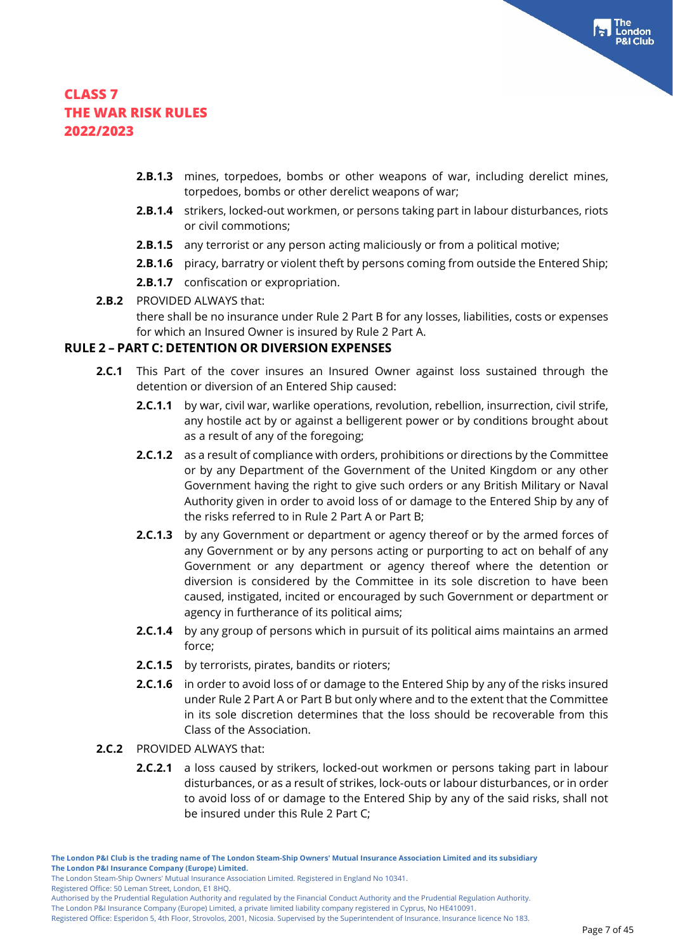- **2.B.1.3** mines, torpedoes, bombs or other weapons of war, including derelict mines, torpedoes, bombs or other derelict weapons of war;
- **2.B.1.4** strikers, locked-out workmen, or persons taking part in labour disturbances, riots or civil commotions;
- **2.B.1.5** any terrorist or any person acting maliciously or from a political motive;
- **2.B.1.6** piracy, barratry or violent theft by persons coming from outside the Entered Ship;
- **2.B.1.7** confiscation or expropriation.
- **2.B.2** PROVIDED ALWAYS that: there shall be no insurance under Rule 2 Part B for any losses, liabilities, costs or expenses for which an Insured Owner is insured by Rule 2 Part A.

#### **RULE 2 – PART C: DETENTION OR DIVERSION EXPENSES**

- **2.C.1** This Part of the cover insures an Insured Owner against loss sustained through the detention or diversion of an Entered Ship caused:
	- **2.C.1.1** by war, civil war, warlike operations, revolution, rebellion, insurrection, civil strife, any hostile act by or against a belligerent power or by conditions brought about as a result of any of the foregoing;
	- **2.C.1.2** as a result of compliance with orders, prohibitions or directions by the Committee or by any Department of the Government of the United Kingdom or any other Government having the right to give such orders or any British Military or Naval Authority given in order to avoid loss of or damage to the Entered Ship by any of the risks referred to in Rule 2 Part A or Part B;
	- **2.C.1.3** by any Government or department or agency thereof or by the armed forces of any Government or by any persons acting or purporting to act on behalf of any Government or any department or agency thereof where the detention or diversion is considered by the Committee in its sole discretion to have been caused, instigated, incited or encouraged by such Government or department or agency in furtherance of its political aims;
	- **2.C.1.4** by any group of persons which in pursuit of its political aims maintains an armed force;
	- **2.C.1.5** by terrorists, pirates, bandits or rioters;
	- **2.C.1.6** in order to avoid loss of or damage to the Entered Ship by any of the risks insured under Rule 2 Part A or Part B but only where and to the extent that the Committee in its sole discretion determines that the loss should be recoverable from this Class of the Association.
- **2.C.2** PROVIDED ALWAYS that:
	- **2.C.2.1** a loss caused by strikers, locked-out workmen or persons taking part in labour disturbances, or as a result of strikes, lock-outs or labour disturbances, or in order to avoid loss of or damage to the Entered Ship by any of the said risks, shall not be insured under this Rule 2 Part C;

Registered Office: 50 Leman Street, London, E1 8HQ.

The London Steam-Ship Owners' Mutual Insurance Association Limited. Registered in England No 10341.

Authorised by the Prudential Regulation Authority and regulated by the Financial Conduct Authority and the Prudential Regulation Authority.

Registered Office: Esperidon 5, 4th Floor, Strovolos, 2001, Nicosia. Supervised by the Superintendent of Insurance. Insurance licence No 183.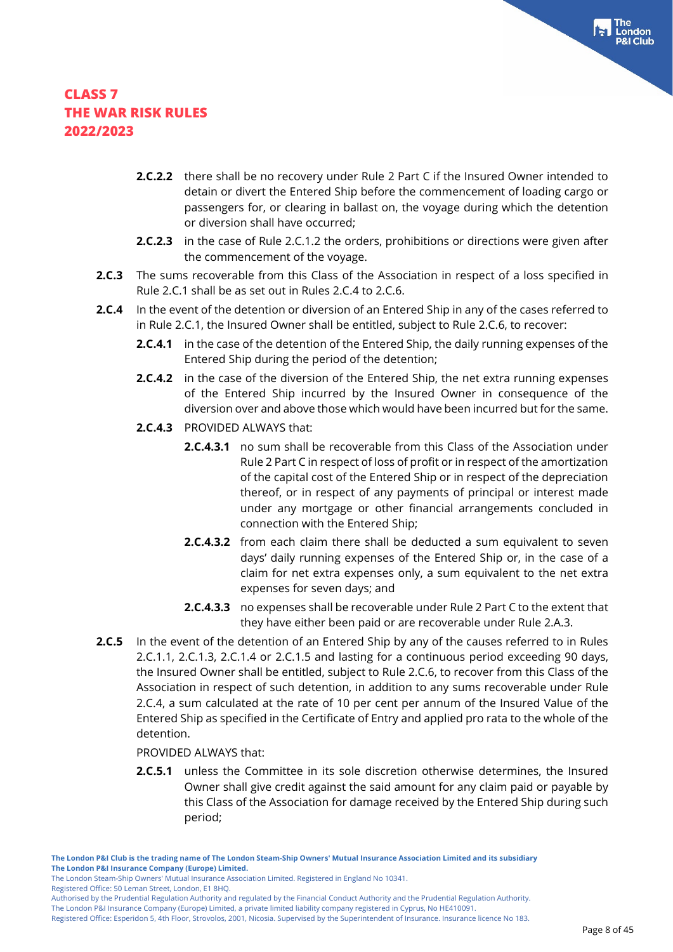- **2.C.2.2** there shall be no recovery under Rule 2 Part C if the Insured Owner intended to detain or divert the Entered Ship before the commencement of loading cargo or passengers for, or clearing in ballast on, the voyage during which the detention or diversion shall have occurred;
- **2.C.2.3** in the case of Rule 2.C.1.2 the orders, prohibitions or directions were given after the commencement of the voyage.
- **2.C.3** The sums recoverable from this Class of the Association in respect of a loss specified in Rule 2.C.1 shall be as set out in Rules 2.C.4 to 2.C.6.
- **2.C.4** In the event of the detention or diversion of an Entered Ship in any of the cases referred to in Rule 2.C.1, the Insured Owner shall be entitled, subject to Rule 2.C.6, to recover:
	- **2.C.4.1** in the case of the detention of the Entered Ship, the daily running expenses of the Entered Ship during the period of the detention;
	- **2.C.4.2** in the case of the diversion of the Entered Ship, the net extra running expenses of the Entered Ship incurred by the Insured Owner in consequence of the diversion over and above those which would have been incurred but for the same.
	- **2.C.4.3** PROVIDED ALWAYS that:
		- **2.C.4.3.1** no sum shall be recoverable from this Class of the Association under Rule 2 Part C in respect of loss of profit or in respect of the amortization of the capital cost of the Entered Ship or in respect of the depreciation thereof, or in respect of any payments of principal or interest made under any mortgage or other financial arrangements concluded in connection with the Entered Ship;
		- **2.C.4.3.2** from each claim there shall be deducted a sum equivalent to seven days' daily running expenses of the Entered Ship or, in the case of a claim for net extra expenses only, a sum equivalent to the net extra expenses for seven days; and
		- **2.C.4.3.3** no expenses shall be recoverable under Rule 2 Part C to the extent that they have either been paid or are recoverable under Rule 2.A.3.
- **2.C.5** In the event of the detention of an Entered Ship by any of the causes referred to in Rules 2.C.1.1, 2.C.1.3, 2.C.1.4 or 2.C.1.5 and lasting for a continuous period exceeding 90 days, the Insured Owner shall be entitled, subject to Rule 2.C.6, to recover from this Class of the Association in respect of such detention, in addition to any sums recoverable under Rule 2.C.4, a sum calculated at the rate of 10 per cent per annum of the Insured Value of the Entered Ship as specified in the Certificate of Entry and applied pro rata to the whole of the detention.

PROVIDED ALWAYS that:

**2.C.5.1** unless the Committee in its sole discretion otherwise determines, the Insured Owner shall give credit against the said amount for any claim paid or payable by this Class of the Association for damage received by the Entered Ship during such period;

Registered Office: 50 Leman Street, London, E1 8HQ.

Authorised by the Prudential Regulation Authority and regulated by the Financial Conduct Authority and the Prudential Regulation Authority.

**The London P&I Club is the trading name of The London Steam-Ship Owners' Mutual Insurance Association Limited and its subsidiary The London P&I Insurance Company (Europe) Limited.**

The London Steam-Ship Owners' Mutual Insurance Association Limited. Registered in England No 10341.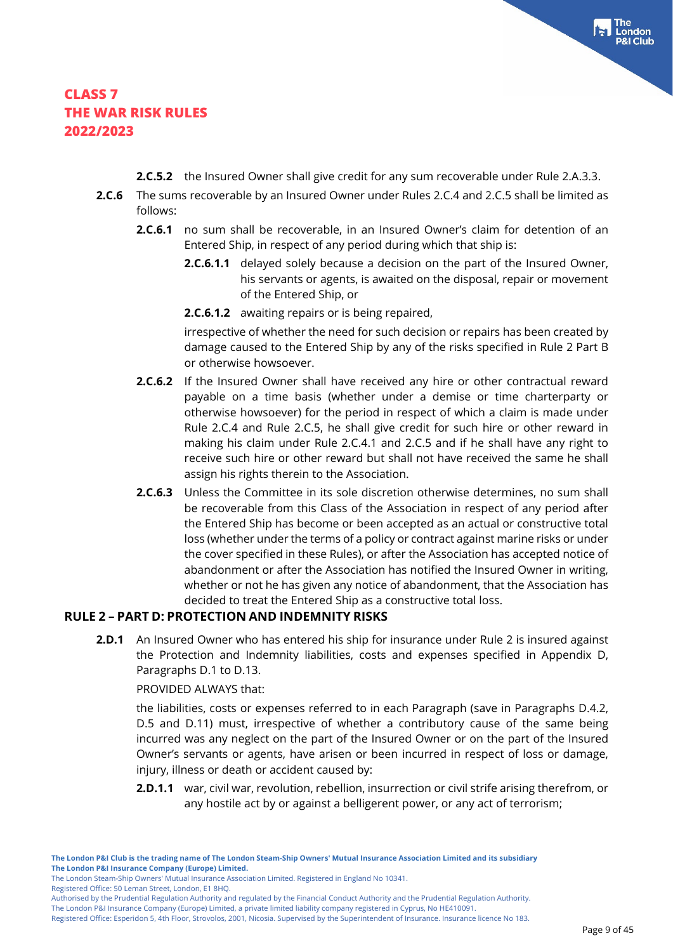- **2.C.5.2** the Insured Owner shall give credit for any sum recoverable under Rule 2.A.3.3.
- **2.C.6** The sums recoverable by an Insured Owner under Rules 2.C.4 and 2.C.5 shall be limited as follows:
	- **2.C.6.1** no sum shall be recoverable, in an Insured Owner's claim for detention of an Entered Ship, in respect of any period during which that ship is:
		- **2.C.6.1.1** delayed solely because a decision on the part of the Insured Owner, his servants or agents, is awaited on the disposal, repair or movement of the Entered Ship, or
		- **2.C.6.1.2** awaiting repairs or is being repaired,

irrespective of whether the need for such decision or repairs has been created by damage caused to the Entered Ship by any of the risks specified in Rule 2 Part B or otherwise howsoever.

- **2.C.6.2** If the Insured Owner shall have received any hire or other contractual reward payable on a time basis (whether under a demise or time charterparty or otherwise howsoever) for the period in respect of which a claim is made under Rule 2.C.4 and Rule 2.C.5, he shall give credit for such hire or other reward in making his claim under Rule 2.C.4.1 and 2.C.5 and if he shall have any right to receive such hire or other reward but shall not have received the same he shall assign his rights therein to the Association.
- **2.C.6.3** Unless the Committee in its sole discretion otherwise determines, no sum shall be recoverable from this Class of the Association in respect of any period after the Entered Ship has become or been accepted as an actual or constructive total loss (whether under the terms of a policy or contract against marine risks or under the cover specified in these Rules), or after the Association has accepted notice of abandonment or after the Association has notified the Insured Owner in writing, whether or not he has given any notice of abandonment, that the Association has decided to treat the Entered Ship as a constructive total loss.

#### **RULE 2 – PART D: PROTECTION AND INDEMNITY RISKS**

**2.D.1** An Insured Owner who has entered his ship for insurance under Rule 2 is insured against the Protection and Indemnity liabilities, costs and expenses specified in Appendix D, Paragraphs D.1 to D.13.

PROVIDED ALWAYS that:

the liabilities, costs or expenses referred to in each Paragraph (save in Paragraphs D.4.2, D.5 and D.11) must, irrespective of whether a contributory cause of the same being incurred was any neglect on the part of the Insured Owner or on the part of the Insured Owner's servants or agents, have arisen or been incurred in respect of loss or damage, injury, illness or death or accident caused by:

**2.D.1.1** war, civil war, revolution, rebellion, insurrection or civil strife arising therefrom, or any hostile act by or against a belligerent power, or any act of terrorism;

The London Steam-Ship Owners' Mutual Insurance Association Limited. Registered in England No 10341.

Registered Office: 50 Leman Street, London, E1 8HQ.

Authorised by the Prudential Regulation Authority and regulated by the Financial Conduct Authority and the Prudential Regulation Authority.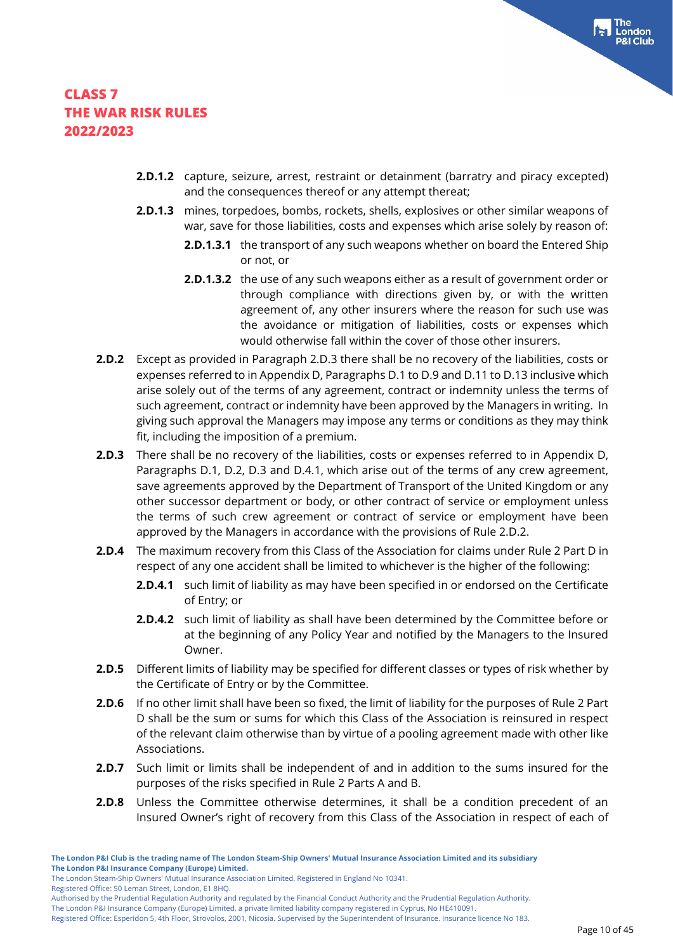- **2.D.1.2** capture, seizure, arrest, restraint or detainment (barratry and piracy excepted) and the consequences thereof or any attempt thereat;
- **2.D.1.3** mines, torpedoes, bombs, rockets, shells, explosives or other similar weapons of war, save for those liabilities, costs and expenses which arise solely by reason of:
	- **2.D.1.3.1** the transport of any such weapons whether on board the Entered Ship or not, or
	- **2.D.1.3.2** the use of any such weapons either as a result of government order or through compliance with directions given by, or with the written agreement of, any other insurers where the reason for such use was the avoidance or mitigation of liabilities, costs or expenses which would otherwise fall within the cover of those other insurers.
- **2.D.2** Except as provided in Paragraph 2.D.3 there shall be no recovery of the liabilities, costs or expenses referred to in Appendix D, Paragraphs D.1 to D.9 and D.11 to D.13 inclusive which arise solely out of the terms of any agreement, contract or indemnity unless the terms of such agreement, contract or indemnity have been approved by the Managers in writing. In giving such approval the Managers may impose any terms or conditions as they may think fit, including the imposition of a premium.
- **2.D.3** There shall be no recovery of the liabilities, costs or expenses referred to in Appendix D, Paragraphs D.1, D.2, D.3 and D.4.1, which arise out of the terms of any crew agreement, save agreements approved by the Department of Transport of the United Kingdom or any other successor department or body, or other contract of service or employment unless the terms of such crew agreement or contract of service or employment have been approved by the Managers in accordance with the provisions of Rule 2.D.2.
- **2.D.4** The maximum recovery from this Class of the Association for claims under Rule 2 Part D in respect of any one accident shall be limited to whichever is the higher of the following:
	- **2.D.4.1** such limit of liability as may have been specified in or endorsed on the Certificate of Entry; or
	- **2.D.4.2** such limit of liability as shall have been determined by the Committee before or at the beginning of any Policy Year and notified by the Managers to the Insured Owner.
- **2.D.5** Different limits of liability may be specified for different classes or types of risk whether by the Certificate of Entry or by the Committee.
- **2.D.6** If no other limit shall have been so fixed, the limit of liability for the purposes of Rule 2 Part D shall be the sum or sums for which this Class of the Association is reinsured in respect of the relevant claim otherwise than by virtue of a pooling agreement made with other like Associations.
- **2.D.7** Such limit or limits shall be independent of and in addition to the sums insured for the purposes of the risks specified in Rule 2 Parts A and B.
- **2.D.8** Unless the Committee otherwise determines, it shall be a condition precedent of an Insured Owner's right of recovery from this Class of the Association in respect of each of

The London Steam-Ship Owners' Mutual Insurance Association Limited. Registered in England No 10341.

Registered Office: 50 Leman Street, London, E1 8HQ.

Authorised by the Prudential Regulation Authority and regulated by the Financial Conduct Authority and the Prudential Regulation Authority.

The London P&I Insurance Company (Europe) Limited, a private limited liability company registered in Cyprus, No HE410091.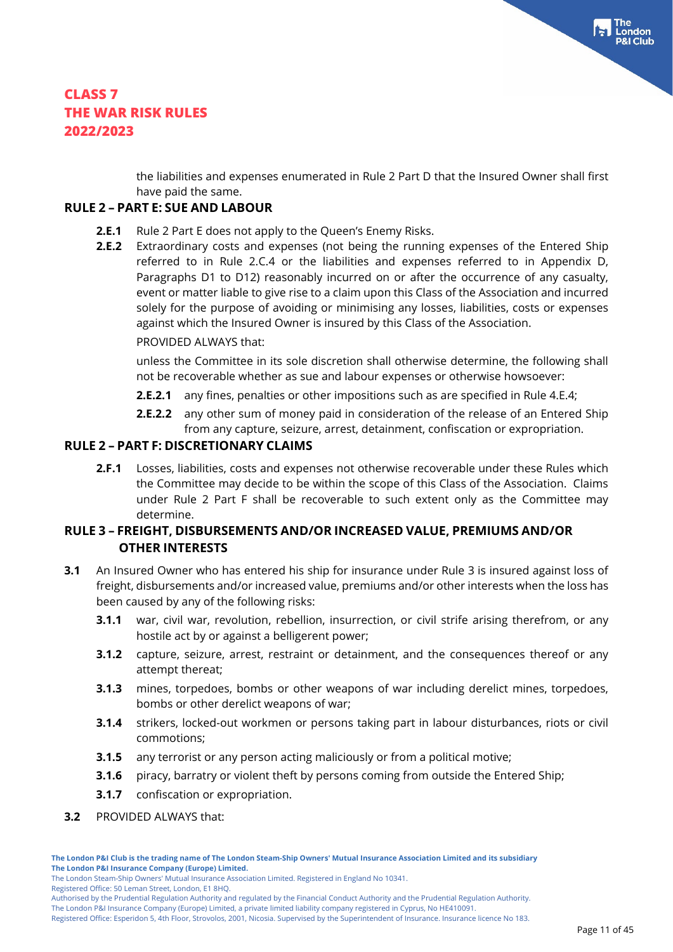the liabilities and expenses enumerated in Rule 2 Part D that the Insured Owner shall first have paid the same.

#### **RULE 2 – PART E: SUE AND LABOUR**

- **2.E.1** Rule 2 Part E does not apply to the Queen's Enemy Risks.
- **2.E.2** Extraordinary costs and expenses (not being the running expenses of the Entered Ship referred to in Rule 2.C.4 or the liabilities and expenses referred to in Appendix D, Paragraphs D1 to D12) reasonably incurred on or after the occurrence of any casualty, event or matter liable to give rise to a claim upon this Class of the Association and incurred solely for the purpose of avoiding or minimising any losses, liabilities, costs or expenses against which the Insured Owner is insured by this Class of the Association.

PROVIDED ALWAYS that:

unless the Committee in its sole discretion shall otherwise determine, the following shall not be recoverable whether as sue and labour expenses or otherwise howsoever:

- **2.E.2.1** any fines, penalties or other impositions such as are specified in Rule 4.E.4;
- **2.E.2.2** any other sum of money paid in consideration of the release of an Entered Ship from any capture, seizure, arrest, detainment, confiscation or expropriation.

#### **RULE 2 – PART F: DISCRETIONARY CLAIMS**

**2.F.1** Losses, liabilities, costs and expenses not otherwise recoverable under these Rules which the Committee may decide to be within the scope of this Class of the Association. Claims under Rule 2 Part F shall be recoverable to such extent only as the Committee may determine.

## **RULE 3 – FREIGHT, DISBURSEMENTS AND/OR INCREASED VALUE, PREMIUMS AND/OR OTHER INTERESTS**

- **3.1** An Insured Owner who has entered his ship for insurance under Rule 3 is insured against loss of freight, disbursements and/or increased value, premiums and/or other interests when the loss has been caused by any of the following risks:
	- **3.1.1** war, civil war, revolution, rebellion, insurrection, or civil strife arising therefrom, or any hostile act by or against a belligerent power;
	- **3.1.2** capture, seizure, arrest, restraint or detainment, and the consequences thereof or any attempt thereat;
	- **3.1.3** mines, torpedoes, bombs or other weapons of war including derelict mines, torpedoes, bombs or other derelict weapons of war;
	- **3.1.4** strikers, locked-out workmen or persons taking part in labour disturbances, riots or civil commotions;
	- **3.1.5** any terrorist or any person acting maliciously or from a political motive;
	- **3.1.6** piracy, barratry or violent theft by persons coming from outside the Entered Ship;
	- **3.1.7** confiscation or expropriation.
- **3.2** PROVIDED ALWAYS that:

Registered Office: 50 Leman Street, London, E1 8HQ.

Authorised by the Prudential Regulation Authority and regulated by the Financial Conduct Authority and the Prudential Regulation Authority.

The London P&I Insurance Company (Europe) Limited, a private limited liability company registered in Cyprus, No HE410091.

**The London P&I Club is the trading name of The London Steam-Ship Owners' Mutual Insurance Association Limited and its subsidiary The London P&I Insurance Company (Europe) Limited.**

The London Steam-Ship Owners' Mutual Insurance Association Limited. Registered in England No 10341.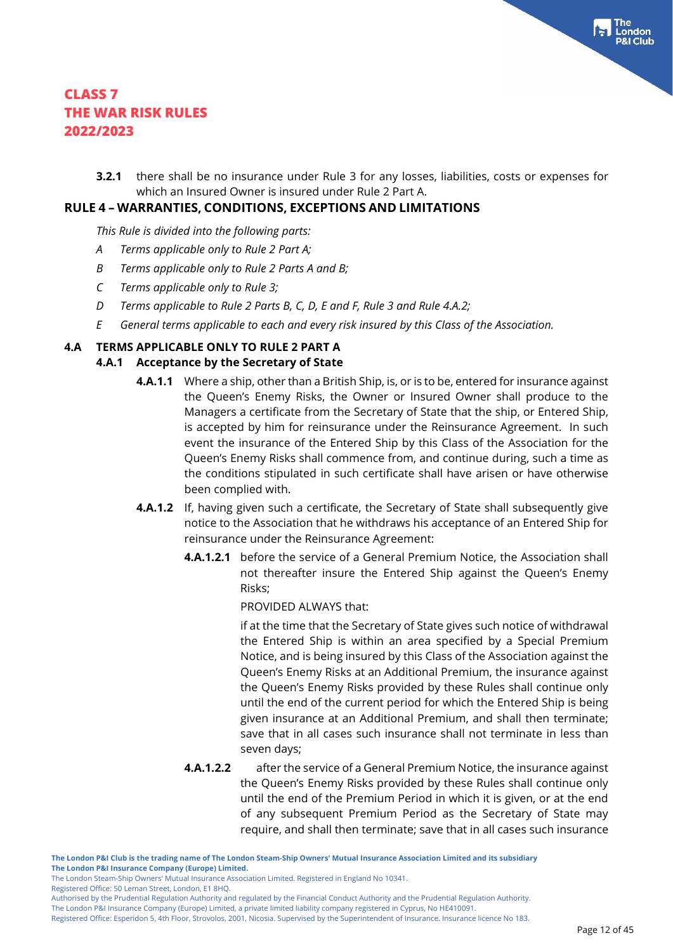**3.2.1** there shall be no insurance under Rule 3 for any losses, liabilities, costs or expenses for which an Insured Owner is insured under Rule 2 Part A.

#### **RULE 4 – WARRANTIES, CONDITIONS, EXCEPTIONS AND LIMITATIONS**

*This Rule is divided into the following parts:*

- *A Terms applicable only to Rule 2 Part A;*
- *B Terms applicable only to Rule 2 Parts A and B;*
- *C Terms applicable only to Rule 3;*
- *D Terms applicable to Rule 2 Parts B, C, D, E and F, Rule 3 and Rule 4.A.2;*
- *E General terms applicable to each and every risk insured by this Class of the Association.*

#### **4.A TERMS APPLICABLE ONLY TO RULE 2 PART A**

#### **4.A.1 Acceptance by the Secretary of State**

- **4.A.1.1** Where a ship, other than a British Ship, is, or is to be, entered for insurance against the Queen's Enemy Risks, the Owner or Insured Owner shall produce to the Managers a certificate from the Secretary of State that the ship, or Entered Ship, is accepted by him for reinsurance under the Reinsurance Agreement. In such event the insurance of the Entered Ship by this Class of the Association for the Queen's Enemy Risks shall commence from, and continue during, such a time as the conditions stipulated in such certificate shall have arisen or have otherwise been complied with.
- **4.A.1.2** If, having given such a certificate, the Secretary of State shall subsequently give notice to the Association that he withdraws his acceptance of an Entered Ship for reinsurance under the Reinsurance Agreement:
	- **4.A.1.2.1** before the service of a General Premium Notice, the Association shall not thereafter insure the Entered Ship against the Queen's Enemy Risks;

PROVIDED ALWAYS that:

if at the time that the Secretary of State gives such notice of withdrawal the Entered Ship is within an area specified by a Special Premium Notice, and is being insured by this Class of the Association against the Queen's Enemy Risks at an Additional Premium, the insurance against the Queen's Enemy Risks provided by these Rules shall continue only until the end of the current period for which the Entered Ship is being given insurance at an Additional Premium, and shall then terminate; save that in all cases such insurance shall not terminate in less than seven days;

**4.A.1.2.2** after the service of a General Premium Notice, the insurance against the Queen's Enemy Risks provided by these Rules shall continue only until the end of the Premium Period in which it is given, or at the end of any subsequent Premium Period as the Secretary of State may require, and shall then terminate; save that in all cases such insurance ondon

The London P&I Insurance Company (Europe) Limited, a private limited liability company registered in Cyprus, No HE410091.

Registered Office: Esperidon 5, 4th Floor, Strovolos, 2001, Nicosia. Supervised by the Superintendent of Insurance. Insurance licence No 183.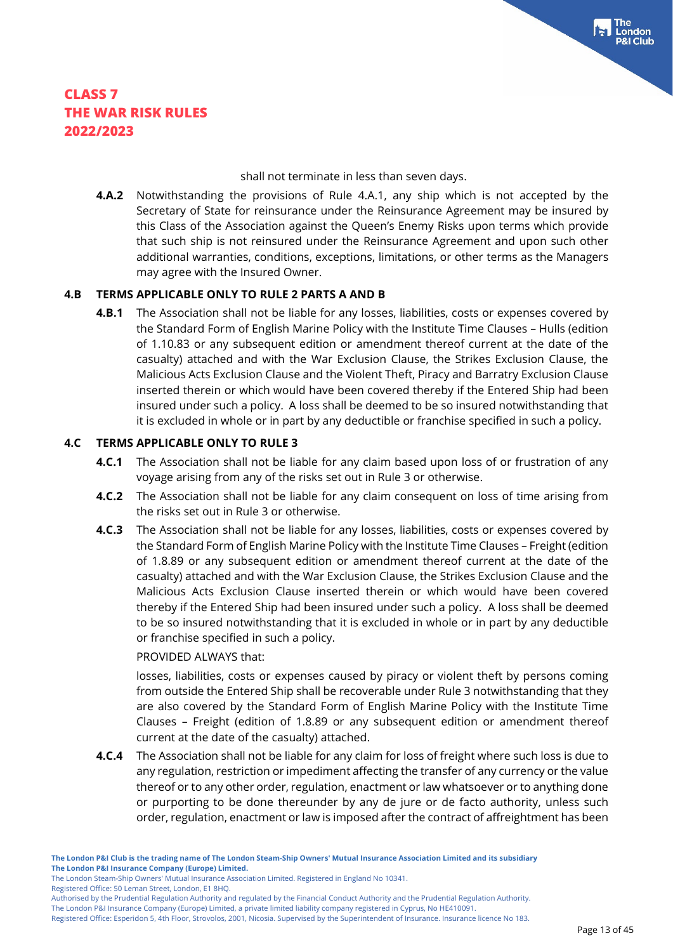shall not terminate in less than seven days.

**4.A.2** Notwithstanding the provisions of Rule 4.A.1, any ship which is not accepted by the Secretary of State for reinsurance under the Reinsurance Agreement may be insured by this Class of the Association against the Queen's Enemy Risks upon terms which provide that such ship is not reinsured under the Reinsurance Agreement and upon such other additional warranties, conditions, exceptions, limitations, or other terms as the Managers may agree with the Insured Owner.

#### **4.B TERMS APPLICABLE ONLY TO RULE 2 PARTS A AND B**

**4.B.1** The Association shall not be liable for any losses, liabilities, costs or expenses covered by the Standard Form of English Marine Policy with the Institute Time Clauses – Hulls (edition of 1.10.83 or any subsequent edition or amendment thereof current at the date of the casualty) attached and with the War Exclusion Clause, the Strikes Exclusion Clause, the Malicious Acts Exclusion Clause and the Violent Theft, Piracy and Barratry Exclusion Clause inserted therein or which would have been covered thereby if the Entered Ship had been insured under such a policy. A loss shall be deemed to be so insured notwithstanding that it is excluded in whole or in part by any deductible or franchise specified in such a policy.

#### **4.C TERMS APPLICABLE ONLY TO RULE 3**

- **4.C.1** The Association shall not be liable for any claim based upon loss of or frustration of any voyage arising from any of the risks set out in Rule 3 or otherwise.
- **4.C.2** The Association shall not be liable for any claim consequent on loss of time arising from the risks set out in Rule 3 or otherwise.
- **4.C.3** The Association shall not be liable for any losses, liabilities, costs or expenses covered by the Standard Form of English Marine Policy with the Institute Time Clauses – Freight (edition of 1.8.89 or any subsequent edition or amendment thereof current at the date of the casualty) attached and with the War Exclusion Clause, the Strikes Exclusion Clause and the Malicious Acts Exclusion Clause inserted therein or which would have been covered thereby if the Entered Ship had been insured under such a policy. A loss shall be deemed to be so insured notwithstanding that it is excluded in whole or in part by any deductible or franchise specified in such a policy.

#### PROVIDED ALWAYS that:

losses, liabilities, costs or expenses caused by piracy or violent theft by persons coming from outside the Entered Ship shall be recoverable under Rule 3 notwithstanding that they are also covered by the Standard Form of English Marine Policy with the Institute Time Clauses – Freight (edition of 1.8.89 or any subsequent edition or amendment thereof current at the date of the casualty) attached.

**4.C.4** The Association shall not be liable for any claim for loss of freight where such loss is due to any regulation, restriction or impediment affecting the transfer of any currency or the value thereof or to any other order, regulation, enactment or law whatsoever or to anything done or purporting to be done thereunder by any de jure or de facto authority, unless such order, regulation, enactment or law is imposed after the contract of affreightment has been

Registered Office: 50 Leman Street, London, E1 8HQ.

The London Steam-Ship Owners' Mutual Insurance Association Limited. Registered in England No 10341.

Authorised by the Prudential Regulation Authority and regulated by the Financial Conduct Authority and the Prudential Regulation Authority.

Registered Office: Esperidon 5, 4th Floor, Strovolos, 2001, Nicosia. Supervised by the Superintendent of Insurance. Insurance licence No 183.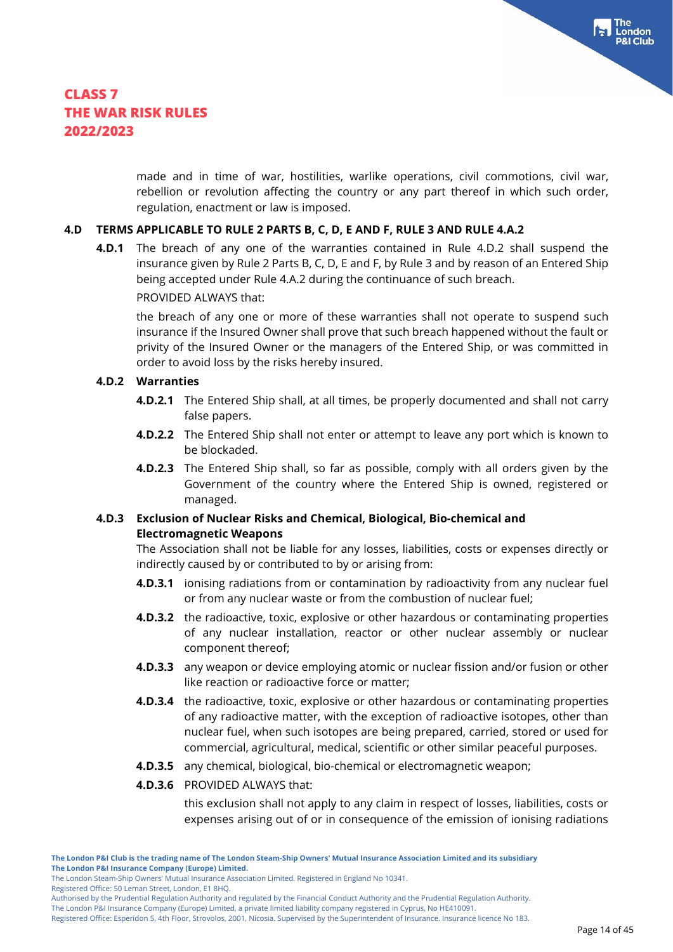made and in time of war, hostilities, warlike operations, civil commotions, civil war, rebellion or revolution affecting the country or any part thereof in which such order, regulation, enactment or law is imposed.

#### **4.D TERMS APPLICABLE TO RULE 2 PARTS B, C, D, E AND F, RULE 3 AND RULE 4.A.2**

**4.D.1** The breach of any one of the warranties contained in Rule 4.D.2 shall suspend the insurance given by Rule 2 Parts B, C, D, E and F, by Rule 3 and by reason of an Entered Ship being accepted under Rule 4.A.2 during the continuance of such breach. PROVIDED ALWAYS that:

the breach of any one or more of these warranties shall not operate to suspend such insurance if the Insured Owner shall prove that such breach happened without the fault or privity of the Insured Owner or the managers of the Entered Ship, or was committed in order to avoid loss by the risks hereby insured.

#### **4.D.2 Warranties**

- **4.D.2.1** The Entered Ship shall, at all times, be properly documented and shall not carry false papers.
- **4.D.2.2** The Entered Ship shall not enter or attempt to leave any port which is known to be blockaded.
- **4.D.2.3** The Entered Ship shall, so far as possible, comply with all orders given by the Government of the country where the Entered Ship is owned, registered or managed.

#### **4.D.3 Exclusion of Nuclear Risks and Chemical, Biological, Bio-chemical and Electromagnetic Weapons**

The Association shall not be liable for any losses, liabilities, costs or expenses directly or indirectly caused by or contributed to by or arising from:

- **4.D.3.1** ionising radiations from or contamination by radioactivity from any nuclear fuel or from any nuclear waste or from the combustion of nuclear fuel;
- **4.D.3.2** the radioactive, toxic, explosive or other hazardous or contaminating properties of any nuclear installation, reactor or other nuclear assembly or nuclear component thereof;
- **4.D.3.3** any weapon or device employing atomic or nuclear fission and/or fusion or other like reaction or radioactive force or matter;
- **4.D.3.4** the radioactive, toxic, explosive or other hazardous or contaminating properties of any radioactive matter, with the exception of radioactive isotopes, other than nuclear fuel, when such isotopes are being prepared, carried, stored or used for commercial, agricultural, medical, scientific or other similar peaceful purposes.
- **4.D.3.5** any chemical, biological, bio-chemical or electromagnetic weapon;
- **4.D.3.6** PROVIDED ALWAYS that:

this exclusion shall not apply to any claim in respect of losses, liabilities, costs or expenses arising out of or in consequence of the emission of ionising radiations

Registered Office: 50 Leman Street, London, E1 8HQ.

Authorised by the Prudential Regulation Authority and regulated by the Financial Conduct Authority and the Prudential Regulation Authority.

The London P&I Insurance Company (Europe) Limited, a private limited liability company registered in Cyprus, No HE410091.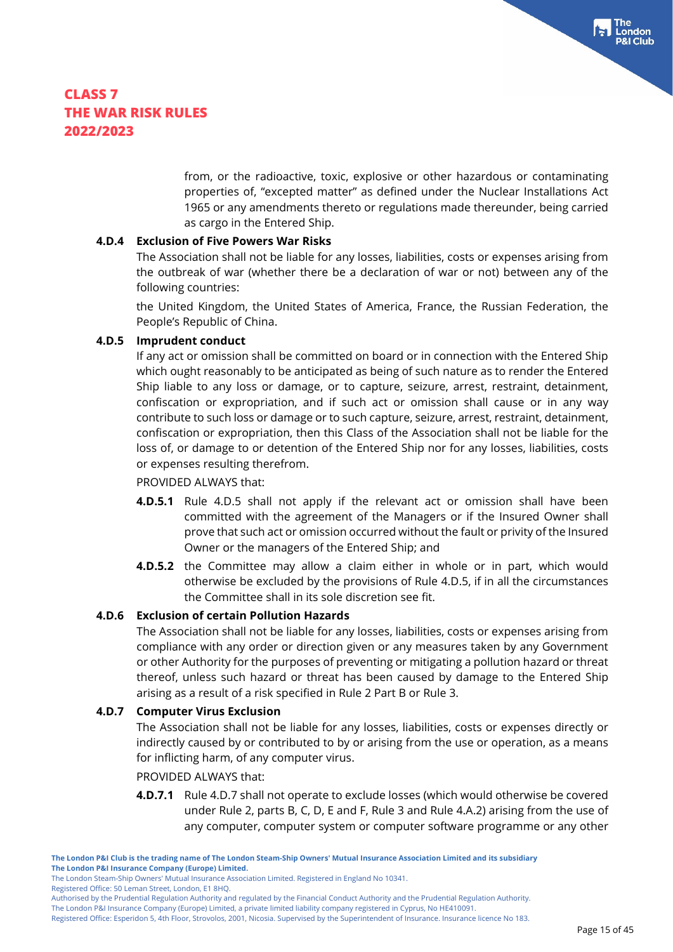from, or the radioactive, toxic, explosive or other hazardous or contaminating properties of, "excepted matter" as defined under the Nuclear Installations Act 1965 or any amendments thereto or regulations made thereunder, being carried as cargo in the Entered Ship.

#### **4.D.4 Exclusion of Five Powers War Risks**

The Association shall not be liable for any losses, liabilities, costs or expenses arising from the outbreak of war (whether there be a declaration of war or not) between any of the following countries:

the United Kingdom, the United States of America, France, the Russian Federation, the People's Republic of China.

#### **4.D.5 Imprudent conduct**

If any act or omission shall be committed on board or in connection with the Entered Ship which ought reasonably to be anticipated as being of such nature as to render the Entered Ship liable to any loss or damage, or to capture, seizure, arrest, restraint, detainment, confiscation or expropriation, and if such act or omission shall cause or in any way contribute to such loss or damage or to such capture, seizure, arrest, restraint, detainment, confiscation or expropriation, then this Class of the Association shall not be liable for the loss of, or damage to or detention of the Entered Ship nor for any losses, liabilities, costs or expenses resulting therefrom.

#### PROVIDED ALWAYS that:

- **4.D.5.1** Rule 4.D.5 shall not apply if the relevant act or omission shall have been committed with the agreement of the Managers or if the Insured Owner shall prove that such act or omission occurred without the fault or privity of the Insured Owner or the managers of the Entered Ship; and
- **4.D.5.2** the Committee may allow a claim either in whole or in part, which would otherwise be excluded by the provisions of Rule 4.D.5, if in all the circumstances the Committee shall in its sole discretion see fit.

#### **4.D.6 Exclusion of certain Pollution Hazards**

The Association shall not be liable for any losses, liabilities, costs or expenses arising from compliance with any order or direction given or any measures taken by any Government or other Authority for the purposes of preventing or mitigating a pollution hazard or threat thereof, unless such hazard or threat has been caused by damage to the Entered Ship arising as a result of a risk specified in Rule 2 Part B or Rule 3.

#### **4.D.7 Computer Virus Exclusion**

The Association shall not be liable for any losses, liabilities, costs or expenses directly or indirectly caused by or contributed to by or arising from the use or operation, as a means for inflicting harm, of any computer virus.

PROVIDED ALWAYS that:

**4.D.7.1** Rule 4.D.7 shall not operate to exclude losses (which would otherwise be covered under Rule 2, parts B, C, D, E and F, Rule 3 and Rule 4.A.2) arising from the use of any computer, computer system or computer software programme or any other

The London Steam-Ship Owners' Mutual Insurance Association Limited. Registered in England No 10341.

Registered Office: 50 Leman Street, London, E1 8HQ.

Authorised by the Prudential Regulation Authority and regulated by the Financial Conduct Authority and the Prudential Regulation Authority.

The London P&I Insurance Company (Europe) Limited, a private limited liability company registered in Cyprus, No HE410091.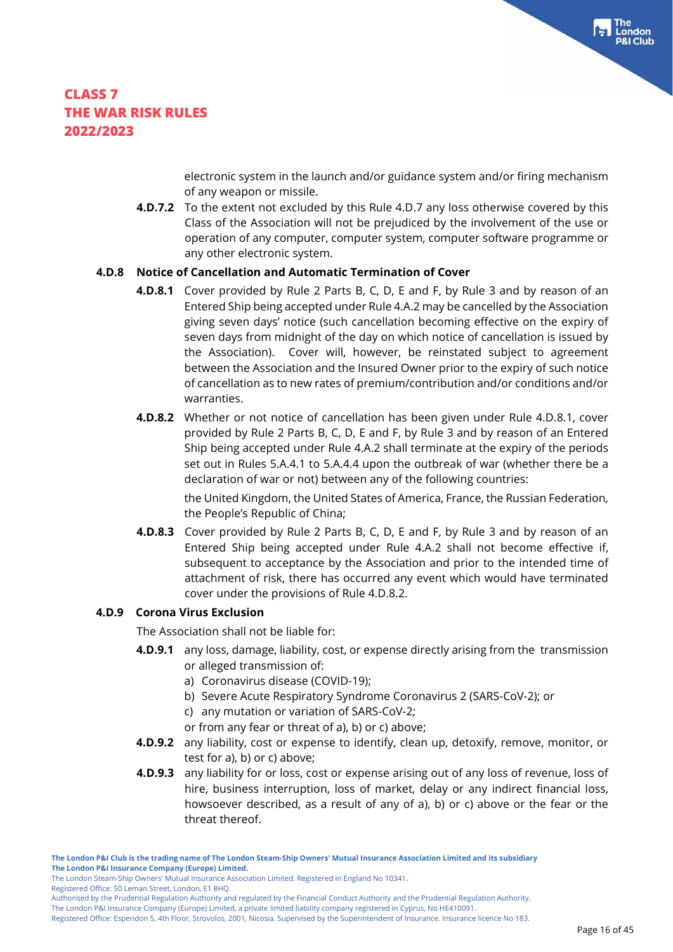electronic system in the launch and/or guidance system and/or firing mechanism of any weapon or missile.

**4.D.7.2** To the extent not excluded by this Rule 4.D.7 any loss otherwise covered by this Class of the Association will not be prejudiced by the involvement of the use or operation of any computer, computer system, computer software programme or any other electronic system.

#### **4.D.8 Notice of Cancellation and Automatic Termination of Cover**

- **4.D.8.1** Cover provided by Rule 2 Parts B, C, D, E and F, by Rule 3 and by reason of an Entered Ship being accepted under Rule 4.A.2 may be cancelled by the Association giving seven days' notice (such cancellation becoming effective on the expiry of seven days from midnight of the day on which notice of cancellation is issued by the Association). Cover will, however, be reinstated subject to agreement between the Association and the Insured Owner prior to the expiry of such notice of cancellation as to new rates of premium/contribution and/or conditions and/or warranties.
- **4.D.8.2** Whether or not notice of cancellation has been given under Rule 4.D.8.1, cover provided by Rule 2 Parts B, C, D, E and F, by Rule 3 and by reason of an Entered Ship being accepted under Rule 4.A.2 shall terminate at the expiry of the periods set out in Rules 5.A.4.1 to 5.A.4.4 upon the outbreak of war (whether there be a declaration of war or not) between any of the following countries:

the United Kingdom, the United States of America, France, the Russian Federation, the People's Republic of China;

**4.D.8.3** Cover provided by Rule 2 Parts B, C, D, E and F, by Rule 3 and by reason of an Entered Ship being accepted under Rule 4.A.2 shall not become effective if, subsequent to acceptance by the Association and prior to the intended time of attachment of risk, there has occurred any event which would have terminated cover under the provisions of Rule 4.D.8.2.

#### **4.D.9 Corona Virus Exclusion**

The Association shall not be liable for:

- **4.D.9.1** any loss, damage, liability, cost, or expense directly arising from the transmission or alleged transmission of:
	- a) Coronavirus disease (COVID-19);
	- b) Severe Acute Respiratory Syndrome Coronavirus 2 (SARS-CoV-2); or
	- c) any mutation or variation of SARS-CoV-2;
	- or from any fear or threat of a), b) or c) above;
- **4.D.9.2** any liability, cost or expense to identify, clean up, detoxify, remove, monitor, or test for a), b) or c) above;
- **4.D.9.3** any liability for or loss, cost or expense arising out of any loss of revenue, loss of hire, business interruption, loss of market, delay or any indirect financial loss, howsoever described, as a result of any of a), b) or c) above or the fear or the threat thereof.

**The London P&I Club is the trading name of The London Steam-Ship Owners' Mutual Insurance Association Limited and its subsidiary The London P&I Insurance Company (Europe) Limited.**

The London Steam-Ship Owners' Mutual Insurance Association Limited. Registered in England No 10341.

Registered Office: 50 Leman Street, London, E1 8HQ.

Authorised by the Prudential Regulation Authority and regulated by the Financial Conduct Authority and the Prudential Regulation Authority.

The London P&I Insurance Company (Europe) Limited, a private limited liability company registered in Cyprus, No HE410091.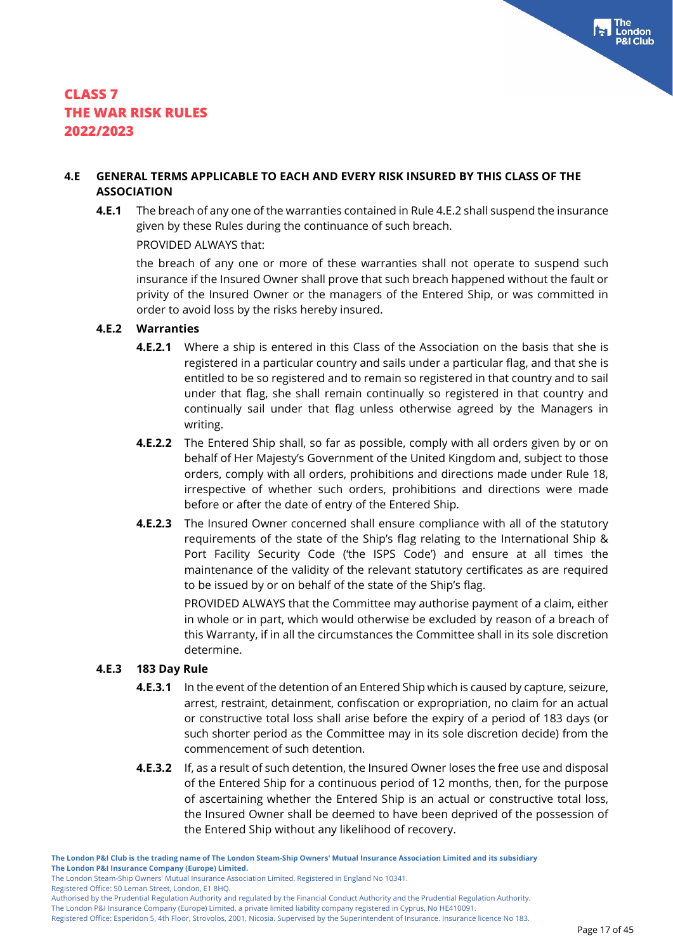#### **4.E GENERAL TERMS APPLICABLE TO EACH AND EVERY RISK INSURED BY THIS CLASS OF THE ASSOCIATION**

**4.E.1** The breach of any one of the warranties contained in Rule 4.E.2 shall suspend the insurance given by these Rules during the continuance of such breach.

PROVIDED ALWAYS that:

the breach of any one or more of these warranties shall not operate to suspend such insurance if the Insured Owner shall prove that such breach happened without the fault or privity of the Insured Owner or the managers of the Entered Ship, or was committed in order to avoid loss by the risks hereby insured.

#### **4.E.2 Warranties**

- **4.E.2.1** Where a ship is entered in this Class of the Association on the basis that she is registered in a particular country and sails under a particular flag, and that she is entitled to be so registered and to remain so registered in that country and to sail under that flag, she shall remain continually so registered in that country and continually sail under that flag unless otherwise agreed by the Managers in writing.
- **4.E.2.2** The Entered Ship shall, so far as possible, comply with all orders given by or on behalf of Her Majesty's Government of the United Kingdom and, subject to those orders, comply with all orders, prohibitions and directions made under Rule 18, irrespective of whether such orders, prohibitions and directions were made before or after the date of entry of the Entered Ship.
- **4.E.2.3** The Insured Owner concerned shall ensure compliance with all of the statutory requirements of the state of the Ship's flag relating to the International Ship & Port Facility Security Code ('the ISPS Code') and ensure at all times the maintenance of the validity of the relevant statutory certificates as are required to be issued by or on behalf of the state of the Ship's flag.

PROVIDED ALWAYS that the Committee may authorise payment of a claim, either in whole or in part, which would otherwise be excluded by reason of a breach of this Warranty, if in all the circumstances the Committee shall in its sole discretion determine.

#### **4.E.3 183 Day Rule**

- **4.E.3.1** In the event of the detention of an Entered Ship which is caused by capture, seizure, arrest, restraint, detainment, confiscation or expropriation, no claim for an actual or constructive total loss shall arise before the expiry of a period of 183 days (or such shorter period as the Committee may in its sole discretion decide) from the commencement of such detention.
- **4.E.3.2** If, as a result of such detention, the Insured Owner loses the free use and disposal of the Entered Ship for a continuous period of 12 months, then, for the purpose of ascertaining whether the Entered Ship is an actual or constructive total loss, the Insured Owner shall be deemed to have been deprived of the possession of the Entered Ship without any likelihood of recovery.

Registered Office: 50 Leman Street, London, E1 8HQ.

Authorised by the Prudential Regulation Authority and regulated by the Financial Conduct Authority and the Prudential Regulation Authority.

Registered Office: Esperidon 5, 4th Floor, Strovolos, 2001, Nicosia. Supervised by the Superintendent of Insurance. Insurance licence No 183.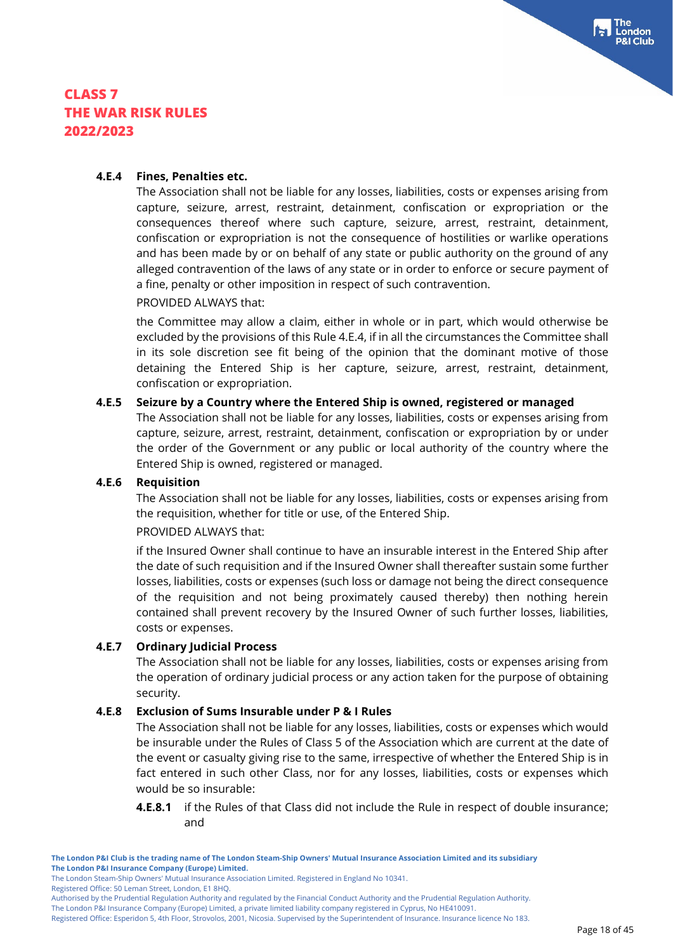#### **4.E.4 Fines, Penalties etc.**

The Association shall not be liable for any losses, liabilities, costs or expenses arising from capture, seizure, arrest, restraint, detainment, confiscation or expropriation or the consequences thereof where such capture, seizure, arrest, restraint, detainment, confiscation or expropriation is not the consequence of hostilities or warlike operations and has been made by or on behalf of any state or public authority on the ground of any alleged contravention of the laws of any state or in order to enforce or secure payment of a fine, penalty or other imposition in respect of such contravention.

PROVIDED ALWAYS that:

the Committee may allow a claim, either in whole or in part, which would otherwise be excluded by the provisions of this Rule 4.E.4, if in all the circumstances the Committee shall in its sole discretion see fit being of the opinion that the dominant motive of those detaining the Entered Ship is her capture, seizure, arrest, restraint, detainment, confiscation or expropriation.

#### **4.E.5 Seizure by a Country where the Entered Ship is owned, registered or managed**

The Association shall not be liable for any losses, liabilities, costs or expenses arising from capture, seizure, arrest, restraint, detainment, confiscation or expropriation by or under the order of the Government or any public or local authority of the country where the Entered Ship is owned, registered or managed.

#### **4.E.6 Requisition**

The Association shall not be liable for any losses, liabilities, costs or expenses arising from the requisition, whether for title or use, of the Entered Ship.

#### PROVIDED ALWAYS that:

if the Insured Owner shall continue to have an insurable interest in the Entered Ship after the date of such requisition and if the Insured Owner shall thereafter sustain some further losses, liabilities, costs or expenses (such loss or damage not being the direct consequence of the requisition and not being proximately caused thereby) then nothing herein contained shall prevent recovery by the Insured Owner of such further losses, liabilities, costs or expenses.

#### **4.E.7 Ordinary Judicial Process**

The Association shall not be liable for any losses, liabilities, costs or expenses arising from the operation of ordinary judicial process or any action taken for the purpose of obtaining security.

#### **4.E.8 Exclusion of Sums Insurable under P & I Rules**

The Association shall not be liable for any losses, liabilities, costs or expenses which would be insurable under the Rules of Class 5 of the Association which are current at the date of the event or casualty giving rise to the same, irrespective of whether the Entered Ship is in fact entered in such other Class, nor for any losses, liabilities, costs or expenses which would be so insurable:

#### **4.E.8.1** if the Rules of that Class did not include the Rule in respect of double insurance; and

**The London P&I Club is the trading name of The London Steam-Ship Owners' Mutual Insurance Association Limited and its subsidiary The London P&I Insurance Company (Europe) Limited.**

Registered Office: 50 Leman Street, London, E1 8HQ.

The London Steam-Ship Owners' Mutual Insurance Association Limited. Registered in England No 10341.

Authorised by the Prudential Regulation Authority and regulated by the Financial Conduct Authority and the Prudential Regulation Authority.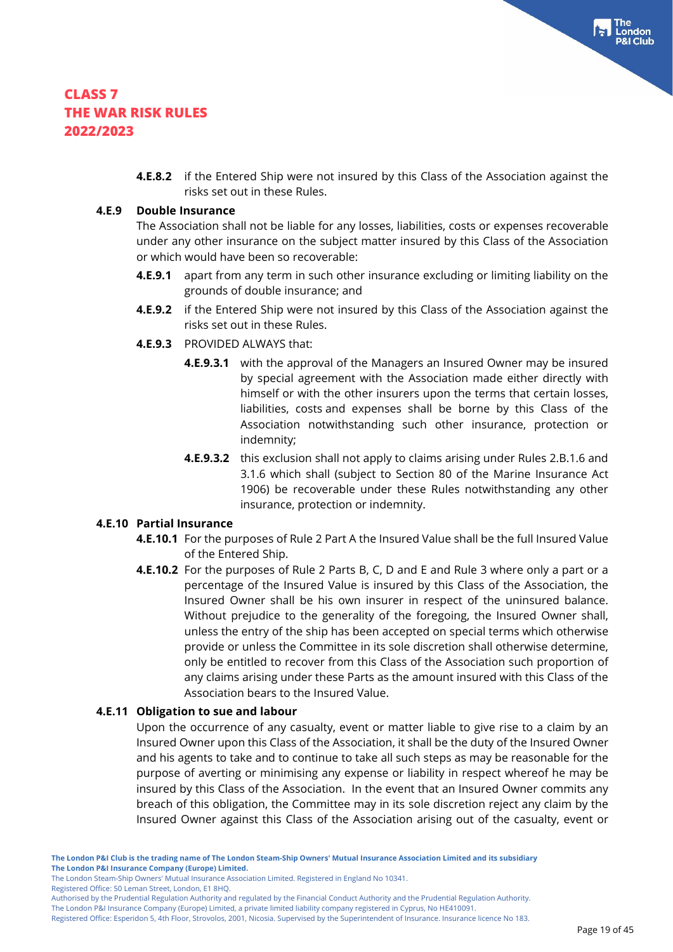**4.E.8.2** if the Entered Ship were not insured by this Class of the Association against the risks set out in these Rules.

#### **4.E.9 Double Insurance**

The Association shall not be liable for any losses, liabilities, costs or expenses recoverable under any other insurance on the subject matter insured by this Class of the Association or which would have been so recoverable:

- **4.E.9.1** apart from any term in such other insurance excluding or limiting liability on the grounds of double insurance; and
- **4.E.9.2** if the Entered Ship were not insured by this Class of the Association against the risks set out in these Rules.
- **4.E.9.3** PROVIDED ALWAYS that:
	- **4.E.9.3.1** with the approval of the Managers an Insured Owner may be insured by special agreement with the Association made either directly with himself or with the other insurers upon the terms that certain losses, liabilities, costs and expenses shall be borne by this Class of the Association notwithstanding such other insurance, protection or indemnity;
	- **4.E.9.3.2** this exclusion shall not apply to claims arising under Rules 2.B.1.6 and 3.1.6 which shall (subject to Section 80 of the Marine Insurance Act 1906) be recoverable under these Rules notwithstanding any other insurance, protection or indemnity.

#### **4.E.10 Partial Insurance**

- **4.E.10.1** For the purposes of Rule 2 Part A the Insured Value shall be the full Insured Value of the Entered Ship.
- **4.E.10.2** For the purposes of Rule 2 Parts B, C, D and E and Rule 3 where only a part or a percentage of the Insured Value is insured by this Class of the Association, the Insured Owner shall be his own insurer in respect of the uninsured balance. Without prejudice to the generality of the foregoing, the Insured Owner shall, unless the entry of the ship has been accepted on special terms which otherwise provide or unless the Committee in its sole discretion shall otherwise determine, only be entitled to recover from this Class of the Association such proportion of any claims arising under these Parts as the amount insured with this Class of the Association bears to the Insured Value.

#### **4.E.11 Obligation to sue and labour**

Upon the occurrence of any casualty, event or matter liable to give rise to a claim by an Insured Owner upon this Class of the Association, it shall be the duty of the Insured Owner and his agents to take and to continue to take all such steps as may be reasonable for the purpose of averting or minimising any expense or liability in respect whereof he may be insured by this Class of the Association. In the event that an Insured Owner commits any breach of this obligation, the Committee may in its sole discretion reject any claim by the Insured Owner against this Class of the Association arising out of the casualty, event or

Registered Office: 50 Leman Street, London, E1 8HQ.

The London Steam-Ship Owners' Mutual Insurance Association Limited. Registered in England No 10341.

Authorised by the Prudential Regulation Authority and regulated by the Financial Conduct Authority and the Prudential Regulation Authority.

The London P&I Insurance Company (Europe) Limited, a private limited liability company registered in Cyprus, No HE410091. Registered Office: Esperidon 5, 4th Floor, Strovolos, 2001, Nicosia. Supervised by the Superintendent of Insurance. Insurance licence No 183.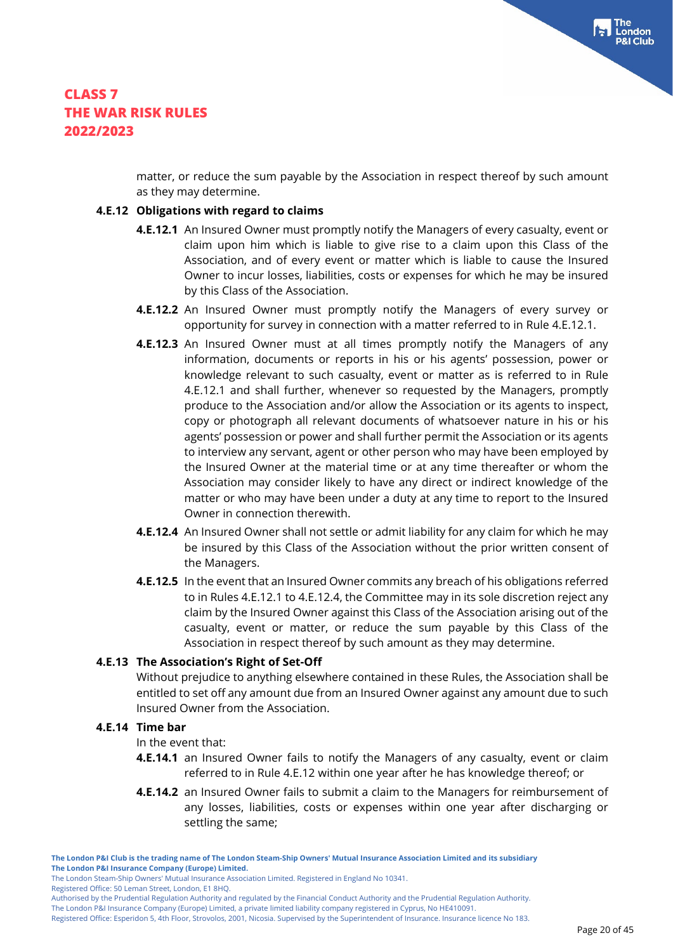matter, or reduce the sum payable by the Association in respect thereof by such amount as they may determine.

#### **4.E.12 Obligations with regard to claims**

- **4.E.12.1** An Insured Owner must promptly notify the Managers of every casualty, event or claim upon him which is liable to give rise to a claim upon this Class of the Association, and of every event or matter which is liable to cause the Insured Owner to incur losses, liabilities, costs or expenses for which he may be insured by this Class of the Association.
- **4.E.12.2** An Insured Owner must promptly notify the Managers of every survey or opportunity for survey in connection with a matter referred to in Rule 4.E.12.1.
- **4.E.12.3** An Insured Owner must at all times promptly notify the Managers of any information, documents or reports in his or his agents' possession, power or knowledge relevant to such casualty, event or matter as is referred to in Rule 4.E.12.1 and shall further, whenever so requested by the Managers, promptly produce to the Association and/or allow the Association or its agents to inspect, copy or photograph all relevant documents of whatsoever nature in his or his agents' possession or power and shall further permit the Association or its agents to interview any servant, agent or other person who may have been employed by the Insured Owner at the material time or at any time thereafter or whom the Association may consider likely to have any direct or indirect knowledge of the matter or who may have been under a duty at any time to report to the Insured Owner in connection therewith.
- **4.E.12.4** An Insured Owner shall not settle or admit liability for any claim for which he may be insured by this Class of the Association without the prior written consent of the Managers.
- **4.E.12.5** In the event that an Insured Owner commits any breach of his obligations referred to in Rules 4.E.12.1 to 4.E.12.4, the Committee may in its sole discretion reject any claim by the Insured Owner against this Class of the Association arising out of the casualty, event or matter, or reduce the sum payable by this Class of the Association in respect thereof by such amount as they may determine.

#### **4.E.13 The Association's Right of Set-Off**

Without prejudice to anything elsewhere contained in these Rules, the Association shall be entitled to set off any amount due from an Insured Owner against any amount due to such Insured Owner from the Association.

#### **4.E.14 Time bar**

In the event that:

- **4.E.14.1** an Insured Owner fails to notify the Managers of any casualty, event or claim referred to in Rule 4.E.12 within one year after he has knowledge thereof; or
- **4.E.14.2** an Insured Owner fails to submit a claim to the Managers for reimbursement of any losses, liabilities, costs or expenses within one year after discharging or settling the same;

**The London P&I Club is the trading name of The London Steam-Ship Owners' Mutual Insurance Association Limited and its subsidiary The London P&I Insurance Company (Europe) Limited.**

The London Steam-Ship Owners' Mutual Insurance Association Limited. Registered in England No 10341.

Registered Office: 50 Leman Street, London, E1 8HQ.

Authorised by the Prudential Regulation Authority and regulated by the Financial Conduct Authority and the Prudential Regulation Authority.

The London P&I Insurance Company (Europe) Limited, a private limited liability company registered in Cyprus, No HE410091.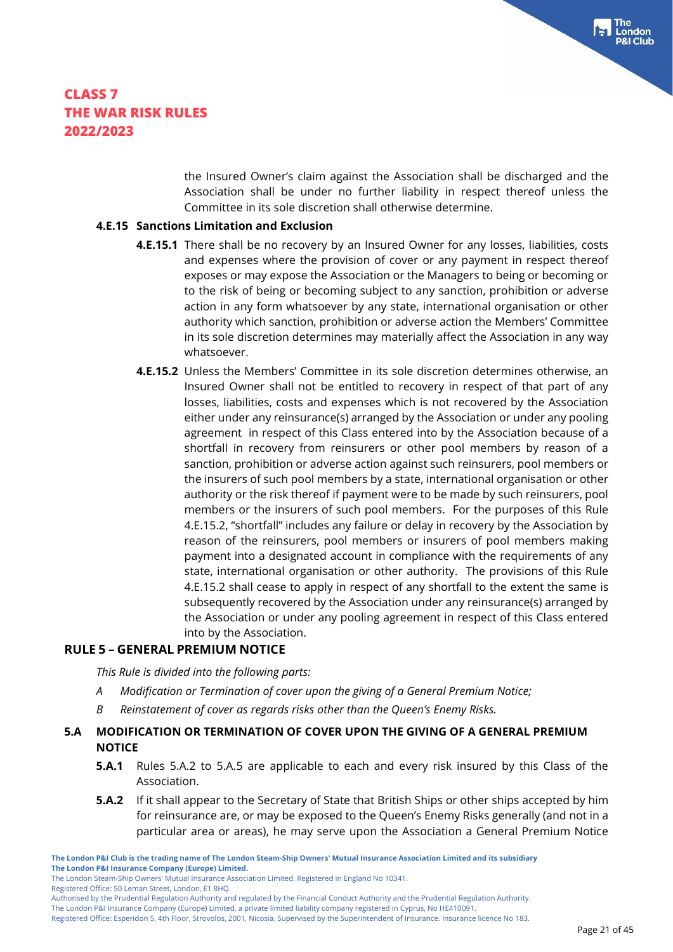the Insured Owner's claim against the Association shall be discharged and the Association shall be under no further liability in respect thereof unless the Committee in its sole discretion shall otherwise determine.

#### **4.E.15 Sanctions Limitation and Exclusion**

- **4.E.15.1** There shall be no recovery by an Insured Owner for any losses, liabilities, costs and expenses where the provision of cover or any payment in respect thereof exposes or may expose the Association or the Managers to being or becoming or to the risk of being or becoming subject to any sanction, prohibition or adverse action in any form whatsoever by any state, international organisation or other authority which sanction, prohibition or adverse action the Members' Committee in its sole discretion determines may materially affect the Association in any way whatsoever.
- **4.E.15.2** Unless the Members' Committee in its sole discretion determines otherwise, an Insured Owner shall not be entitled to recovery in respect of that part of any losses, liabilities, costs and expenses which is not recovered by the Association either under any reinsurance(s) arranged by the Association or under any pooling agreement in respect of this Class entered into by the Association because of a shortfall in recovery from reinsurers or other pool members by reason of a sanction, prohibition or adverse action against such reinsurers, pool members or the insurers of such pool members by a state, international organisation or other authority or the risk thereof if payment were to be made by such reinsurers, pool members or the insurers of such pool members. For the purposes of this Rule 4.E.15.2, "shortfall" includes any failure or delay in recovery by the Association by reason of the reinsurers, pool members or insurers of pool members making payment into a designated account in compliance with the requirements of any state, international organisation or other authority. The provisions of this Rule 4.E.15.2 shall cease to apply in respect of any shortfall to the extent the same is subsequently recovered by the Association under any reinsurance(s) arranged by the Association or under any pooling agreement in respect of this Class entered into by the Association.

#### **RULE 5 – GENERAL PREMIUM NOTICE**

*This Rule is divided into the following parts:*

- *A Modification or Termination of cover upon the giving of a General Premium Notice;*
- *B Reinstatement of cover as regards risks other than the Queen's Enemy Risks.*
- **5.A MODIFICATION OR TERMINATION OF COVER UPON THE GIVING OF A GENERAL PREMIUM NOTICE**
	- **5.A.1** Rules 5.A.2 to 5.A.5 are applicable to each and every risk insured by this Class of the Association.
	- **5.A.2** If it shall appear to the Secretary of State that British Ships or other ships accepted by him for reinsurance are, or may be exposed to the Queen's Enemy Risks generally (and not in a particular area or areas), he may serve upon the Association a General Premium Notice

The London Steam-Ship Owners' Mutual Insurance Association Limited. Registered in England No 10341.

Registered Office: 50 Leman Street, London, E1 8HQ.

**The London P&I Club is the trading name of The London Steam-Ship Owners' Mutual Insurance Association Limited and its subsidiary The London P&I Insurance Company (Europe) Limited.**

Authorised by the Prudential Regulation Authority and regulated by the Financial Conduct Authority and the Prudential Regulation Authority.

Registered Office: Esperidon 5, 4th Floor, Strovolos, 2001, Nicosia. Supervised by the Superintendent of Insurance. Insurance licence No 183.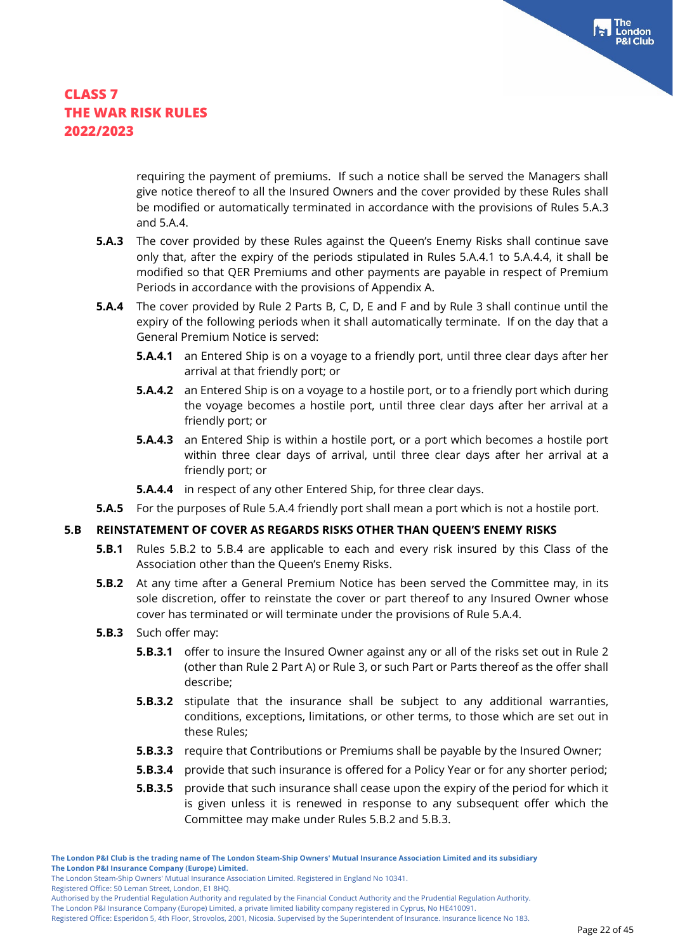requiring the payment of premiums. If such a notice shall be served the Managers shall give notice thereof to all the Insured Owners and the cover provided by these Rules shall be modified or automatically terminated in accordance with the provisions of Rules 5.A.3 and 5.A.4.

- **5.A.3** The cover provided by these Rules against the Queen's Enemy Risks shall continue save only that, after the expiry of the periods stipulated in Rules 5.A.4.1 to 5.A.4.4, it shall be modified so that QER Premiums and other payments are payable in respect of Premium Periods in accordance with the provisions of Appendix A.
- **5.A.4** The cover provided by Rule 2 Parts B, C, D, E and F and by Rule 3 shall continue until the expiry of the following periods when it shall automatically terminate. If on the day that a General Premium Notice is served:
	- **5.A.4.1** an Entered Ship is on a voyage to a friendly port, until three clear days after her arrival at that friendly port; or
	- **5.A.4.2** an Entered Ship is on a voyage to a hostile port, or to a friendly port which during the voyage becomes a hostile port, until three clear days after her arrival at a friendly port; or
	- **5.A.4.3** an Entered Ship is within a hostile port, or a port which becomes a hostile port within three clear days of arrival, until three clear days after her arrival at a friendly port; or
	- **5.A.4.4** in respect of any other Entered Ship, for three clear days.
- **5.A.5** For the purposes of Rule 5.A.4 friendly port shall mean a port which is not a hostile port.

#### **5.B REINSTATEMENT OF COVER AS REGARDS RISKS OTHER THAN QUEEN'S ENEMY RISKS**

- **5.B.1** Rules 5.B.2 to 5.B.4 are applicable to each and every risk insured by this Class of the Association other than the Queen's Enemy Risks.
- **5.B.2** At any time after a General Premium Notice has been served the Committee may, in its sole discretion, offer to reinstate the cover or part thereof to any Insured Owner whose cover has terminated or will terminate under the provisions of Rule 5.A.4.
- **5.B.3** Such offer may:
	- **5.B.3.1** offer to insure the Insured Owner against any or all of the risks set out in Rule 2 (other than Rule 2 Part A) or Rule 3, or such Part or Parts thereof as the offer shall describe;
	- **5.B.3.2** stipulate that the insurance shall be subject to any additional warranties, conditions, exceptions, limitations, or other terms, to those which are set out in these Rules;
	- **5.B.3.3** require that Contributions or Premiums shall be payable by the Insured Owner;
	- **5.B.3.4** provide that such insurance is offered for a Policy Year or for any shorter period;
	- **5.B.3.5** provide that such insurance shall cease upon the expiry of the period for which it is given unless it is renewed in response to any subsequent offer which the Committee may make under Rules 5.B.2 and 5.B.3.

Registered Office: 50 Leman Street, London, E1 8HQ.

Authorised by the Prudential Regulation Authority and regulated by the Financial Conduct Authority and the Prudential Regulation Authority.

The London Steam-Ship Owners' Mutual Insurance Association Limited. Registered in England No 10341.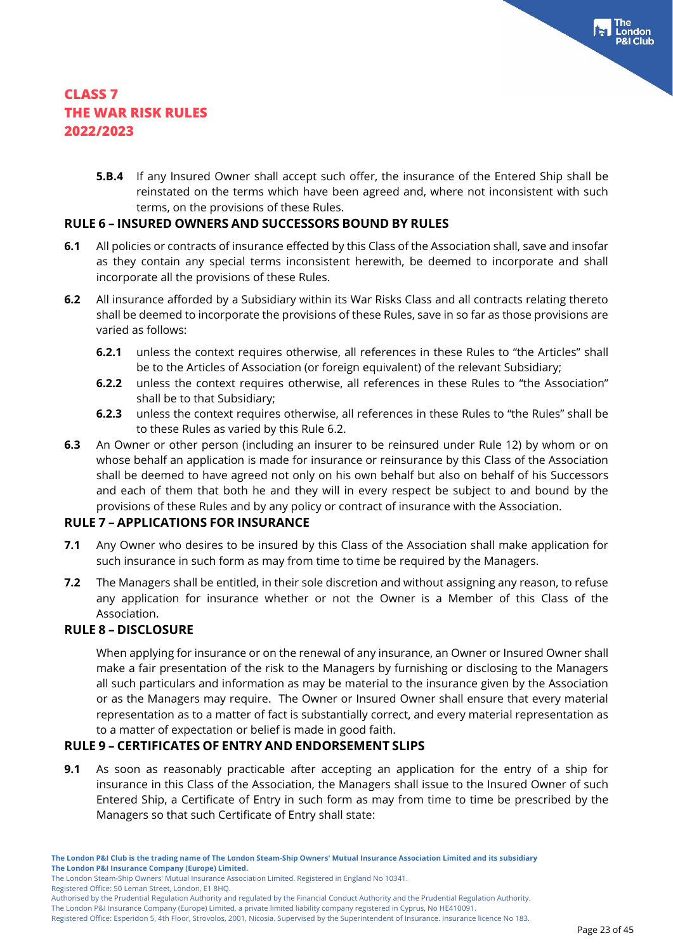**5.B.4** If any Insured Owner shall accept such offer, the insurance of the Entered Ship shall be reinstated on the terms which have been agreed and, where not inconsistent with such terms, on the provisions of these Rules.

#### **RULE 6 – INSURED OWNERS AND SUCCESSORS BOUND BY RULES**

- **6.1** All policies or contracts of insurance effected by this Class of the Association shall, save and insofar as they contain any special terms inconsistent herewith, be deemed to incorporate and shall incorporate all the provisions of these Rules.
- **6.2** All insurance afforded by a Subsidiary within its War Risks Class and all contracts relating thereto shall be deemed to incorporate the provisions of these Rules, save in so far as those provisions are varied as follows:
	- **6.2.1** unless the context requires otherwise, all references in these Rules to "the Articles" shall be to the Articles of Association (or foreign equivalent) of the relevant Subsidiary;
	- **6.2.2** unless the context requires otherwise, all references in these Rules to "the Association" shall be to that Subsidiary;
	- **6.2.3** unless the context requires otherwise, all references in these Rules to "the Rules" shall be to these Rules as varied by this Rule 6.2.
- **6.3** An Owner or other person (including an insurer to be reinsured under Rule 12) by whom or on whose behalf an application is made for insurance or reinsurance by this Class of the Association shall be deemed to have agreed not only on his own behalf but also on behalf of his Successors and each of them that both he and they will in every respect be subject to and bound by the provisions of these Rules and by any policy or contract of insurance with the Association.

## **RULE 7 – APPLICATIONS FOR INSURANCE**

- **7.1** Any Owner who desires to be insured by this Class of the Association shall make application for such insurance in such form as may from time to time be required by the Managers.
- **7.2** The Managers shall be entitled, in their sole discretion and without assigning any reason, to refuse any application for insurance whether or not the Owner is a Member of this Class of the Association.

#### **RULE 8 – DISCLOSURE**

When applying for insurance or on the renewal of any insurance, an Owner or Insured Owner shall make a fair presentation of the risk to the Managers by furnishing or disclosing to the Managers all such particulars and information as may be material to the insurance given by the Association or as the Managers may require. The Owner or Insured Owner shall ensure that every material representation as to a matter of fact is substantially correct, and every material representation as to a matter of expectation or belief is made in good faith.

## **RULE 9 – CERTIFICATES OF ENTRY AND ENDORSEMENT SLIPS**

**9.1** As soon as reasonably practicable after accepting an application for the entry of a ship for insurance in this Class of the Association, the Managers shall issue to the Insured Owner of such Entered Ship, a Certificate of Entry in such form as may from time to time be prescribed by the Managers so that such Certificate of Entry shall state:

Registered Office: 50 Leman Street, London, E1 8HQ.

Authorised by the Prudential Regulation Authority and regulated by the Financial Conduct Authority and the Prudential Regulation Authority.

The London Steam-Ship Owners' Mutual Insurance Association Limited. Registered in England No 10341.

Registered Office: Esperidon 5, 4th Floor, Strovolos, 2001, Nicosia. Supervised by the Superintendent of Insurance. Insurance licence No 183.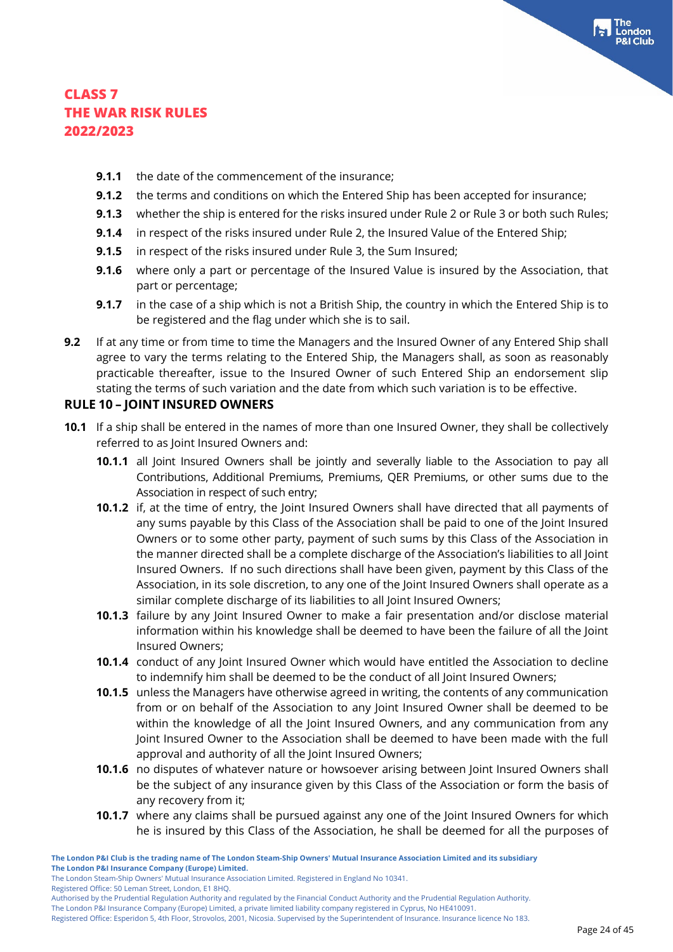- **9.1.1** the date of the commencement of the insurance;
- **9.1.2** the terms and conditions on which the Entered Ship has been accepted for insurance;
- **9.1.3** whether the ship is entered for the risks insured under Rule 2 or Rule 3 or both such Rules;
- **9.1.4** in respect of the risks insured under Rule 2, the Insured Value of the Entered Ship;
- **9.1.5** in respect of the risks insured under Rule 3, the Sum Insured;
- **9.1.6** where only a part or percentage of the Insured Value is insured by the Association, that part or percentage;
- **9.1.7** in the case of a ship which is not a British Ship, the country in which the Entered Ship is to be registered and the flag under which she is to sail.
- **9.2** If at any time or from time to time the Managers and the Insured Owner of any Entered Ship shall agree to vary the terms relating to the Entered Ship, the Managers shall, as soon as reasonably practicable thereafter, issue to the Insured Owner of such Entered Ship an endorsement slip stating the terms of such variation and the date from which such variation is to be effective.

#### **RULE 10 – JOINT INSURED OWNERS**

- **10.1** If a ship shall be entered in the names of more than one Insured Owner, they shall be collectively referred to as Joint Insured Owners and:
	- **10.1.1** all Joint Insured Owners shall be jointly and severally liable to the Association to pay all Contributions, Additional Premiums, Premiums, QER Premiums, or other sums due to the Association in respect of such entry;
	- **10.1.2** if, at the time of entry, the Joint Insured Owners shall have directed that all payments of any sums payable by this Class of the Association shall be paid to one of the Joint Insured Owners or to some other party, payment of such sums by this Class of the Association in the manner directed shall be a complete discharge of the Association's liabilities to all Joint Insured Owners. If no such directions shall have been given, payment by this Class of the Association, in its sole discretion, to any one of the Joint Insured Owners shall operate as a similar complete discharge of its liabilities to all Joint Insured Owners;
	- **10.1.3** failure by any Joint Insured Owner to make a fair presentation and/or disclose material information within his knowledge shall be deemed to have been the failure of all the Joint Insured Owners;
	- **10.1.4** conduct of any Joint Insured Owner which would have entitled the Association to decline to indemnify him shall be deemed to be the conduct of all Joint Insured Owners;
	- **10.1.5** unless the Managers have otherwise agreed in writing, the contents of any communication from or on behalf of the Association to any Joint Insured Owner shall be deemed to be within the knowledge of all the Joint Insured Owners, and any communication from any Joint Insured Owner to the Association shall be deemed to have been made with the full approval and authority of all the Joint Insured Owners;
	- **10.1.6** no disputes of whatever nature or howsoever arising between Joint Insured Owners shall be the subject of any insurance given by this Class of the Association or form the basis of any recovery from it;
	- **10.1.7** where any claims shall be pursued against any one of the Joint Insured Owners for which he is insured by this Class of the Association, he shall be deemed for all the purposes of

**The London P&I Club is the trading name of The London Steam-Ship Owners' Mutual Insurance Association Limited and its subsidiary The London P&I Insurance Company (Europe) Limited.**

The London Steam-Ship Owners' Mutual Insurance Association Limited. Registered in England No 10341.

Registered Office: 50 Leman Street, London, E1 8HQ.

Authorised by the Prudential Regulation Authority and regulated by the Financial Conduct Authority and the Prudential Regulation Authority.

The London P&I Insurance Company (Europe) Limited, a private limited liability company registered in Cyprus, No HE410091.

Registered Office: Esperidon 5, 4th Floor, Strovolos, 2001, Nicosia. Supervised by the Superintendent of Insurance. Insurance licence No 183.

ondon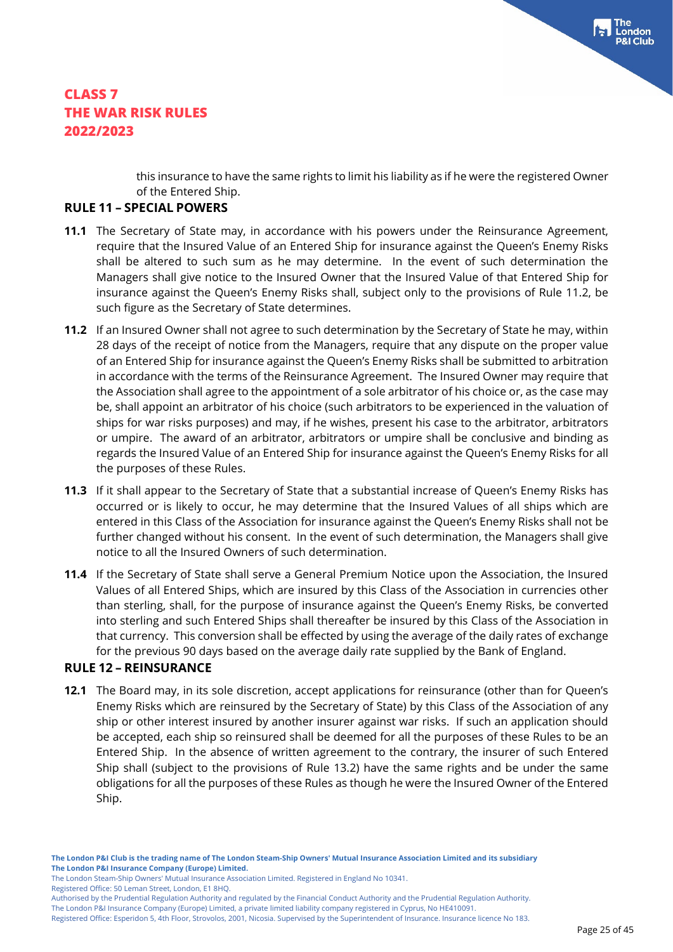this insurance to have the same rights to limit his liability as if he were the registered Owner of the Entered Ship.

#### **RULE 11 – SPECIAL POWERS**

- **11.1** The Secretary of State may, in accordance with his powers under the Reinsurance Agreement, require that the Insured Value of an Entered Ship for insurance against the Queen's Enemy Risks shall be altered to such sum as he may determine. In the event of such determination the Managers shall give notice to the Insured Owner that the Insured Value of that Entered Ship for insurance against the Queen's Enemy Risks shall, subject only to the provisions of Rule 11.2, be such figure as the Secretary of State determines.
- **11.2** If an Insured Owner shall not agree to such determination by the Secretary of State he may, within 28 days of the receipt of notice from the Managers, require that any dispute on the proper value of an Entered Ship for insurance against the Queen's Enemy Risks shall be submitted to arbitration in accordance with the terms of the Reinsurance Agreement. The Insured Owner may require that the Association shall agree to the appointment of a sole arbitrator of his choice or, as the case may be, shall appoint an arbitrator of his choice (such arbitrators to be experienced in the valuation of ships for war risks purposes) and may, if he wishes, present his case to the arbitrator, arbitrators or umpire. The award of an arbitrator, arbitrators or umpire shall be conclusive and binding as regards the Insured Value of an Entered Ship for insurance against the Queen's Enemy Risks for all the purposes of these Rules.
- **11.3** If it shall appear to the Secretary of State that a substantial increase of Queen's Enemy Risks has occurred or is likely to occur, he may determine that the Insured Values of all ships which are entered in this Class of the Association for insurance against the Queen's Enemy Risks shall not be further changed without his consent. In the event of such determination, the Managers shall give notice to all the Insured Owners of such determination.
- **11.4** If the Secretary of State shall serve a General Premium Notice upon the Association, the Insured Values of all Entered Ships, which are insured by this Class of the Association in currencies other than sterling, shall, for the purpose of insurance against the Queen's Enemy Risks, be converted into sterling and such Entered Ships shall thereafter be insured by this Class of the Association in that currency. This conversion shall be effected by using the average of the daily rates of exchange for the previous 90 days based on the average daily rate supplied by the Bank of England.

#### **RULE 12 – REINSURANCE**

**12.1** The Board may, in its sole discretion, accept applications for reinsurance (other than for Queen's Enemy Risks which are reinsured by the Secretary of State) by this Class of the Association of any ship or other interest insured by another insurer against war risks. If such an application should be accepted, each ship so reinsured shall be deemed for all the purposes of these Rules to be an Entered Ship. In the absence of written agreement to the contrary, the insurer of such Entered Ship shall (subject to the provisions of Rule 13.2) have the same rights and be under the same obligations for all the purposes of these Rules as though he were the Insured Owner of the Entered Ship.

Registered Office: 50 Leman Street, London, E1 8HQ.

The London Steam-Ship Owners' Mutual Insurance Association Limited. Registered in England No 10341.

Authorised by the Prudential Regulation Authority and regulated by the Financial Conduct Authority and the Prudential Regulation Authority.

The London P&I Insurance Company (Europe) Limited, a private limited liability company registered in Cyprus, No HE410091. Registered Office: Esperidon 5, 4th Floor, Strovolos, 2001, Nicosia. Supervised by the Superintendent of Insurance. Insurance licence No 183.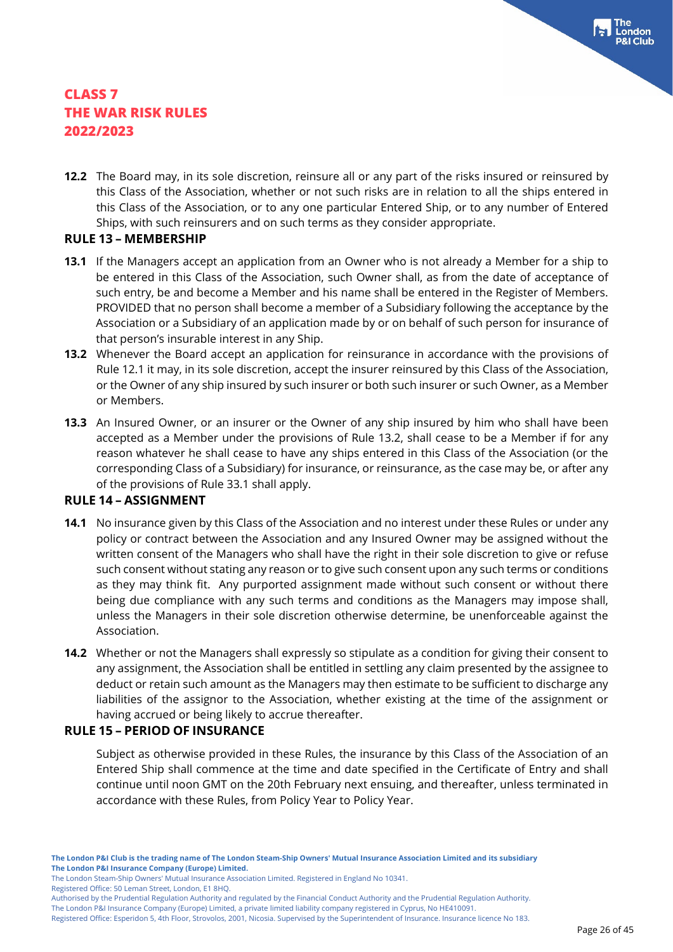**12.2** The Board may, in its sole discretion, reinsure all or any part of the risks insured or reinsured by this Class of the Association, whether or not such risks are in relation to all the ships entered in this Class of the Association, or to any one particular Entered Ship, or to any number of Entered Ships, with such reinsurers and on such terms as they consider appropriate.

#### **RULE 13 – MEMBERSHIP**

- **13.1** If the Managers accept an application from an Owner who is not already a Member for a ship to be entered in this Class of the Association, such Owner shall, as from the date of acceptance of such entry, be and become a Member and his name shall be entered in the Register of Members. PROVIDED that no person shall become a member of a Subsidiary following the acceptance by the Association or a Subsidiary of an application made by or on behalf of such person for insurance of that person's insurable interest in any Ship.
- **13.2** Whenever the Board accept an application for reinsurance in accordance with the provisions of Rule 12.1 it may, in its sole discretion, accept the insurer reinsured by this Class of the Association, or the Owner of any ship insured by such insurer or both such insurer or such Owner, as a Member or Members.
- **13.3** An Insured Owner, or an insurer or the Owner of any ship insured by him who shall have been accepted as a Member under the provisions of Rule 13.2, shall cease to be a Member if for any reason whatever he shall cease to have any ships entered in this Class of the Association (or the corresponding Class of a Subsidiary) for insurance, or reinsurance, as the case may be, or after any of the provisions of Rule 33.1 shall apply.

#### **RULE 14 – ASSIGNMENT**

- **14.1** No insurance given by this Class of the Association and no interest under these Rules or under any policy or contract between the Association and any Insured Owner may be assigned without the written consent of the Managers who shall have the right in their sole discretion to give or refuse such consent without stating any reason or to give such consent upon any such terms or conditions as they may think fit. Any purported assignment made without such consent or without there being due compliance with any such terms and conditions as the Managers may impose shall, unless the Managers in their sole discretion otherwise determine, be unenforceable against the Association.
- **14.2** Whether or not the Managers shall expressly so stipulate as a condition for giving their consent to any assignment, the Association shall be entitled in settling any claim presented by the assignee to deduct or retain such amount as the Managers may then estimate to be sufficient to discharge any liabilities of the assignor to the Association, whether existing at the time of the assignment or having accrued or being likely to accrue thereafter.

## **RULE 15 – PERIOD OF INSURANCE**

Subject as otherwise provided in these Rules, the insurance by this Class of the Association of an Entered Ship shall commence at the time and date specified in the Certificate of Entry and shall continue until noon GMT on the 20th February next ensuing, and thereafter, unless terminated in accordance with these Rules, from Policy Year to Policy Year.

The London Steam-Ship Owners' Mutual Insurance Association Limited. Registered in England No 10341.

Registered Office: 50 Leman Street, London, E1 8HQ.

Authorised by the Prudential Regulation Authority and regulated by the Financial Conduct Authority and the Prudential Regulation Authority.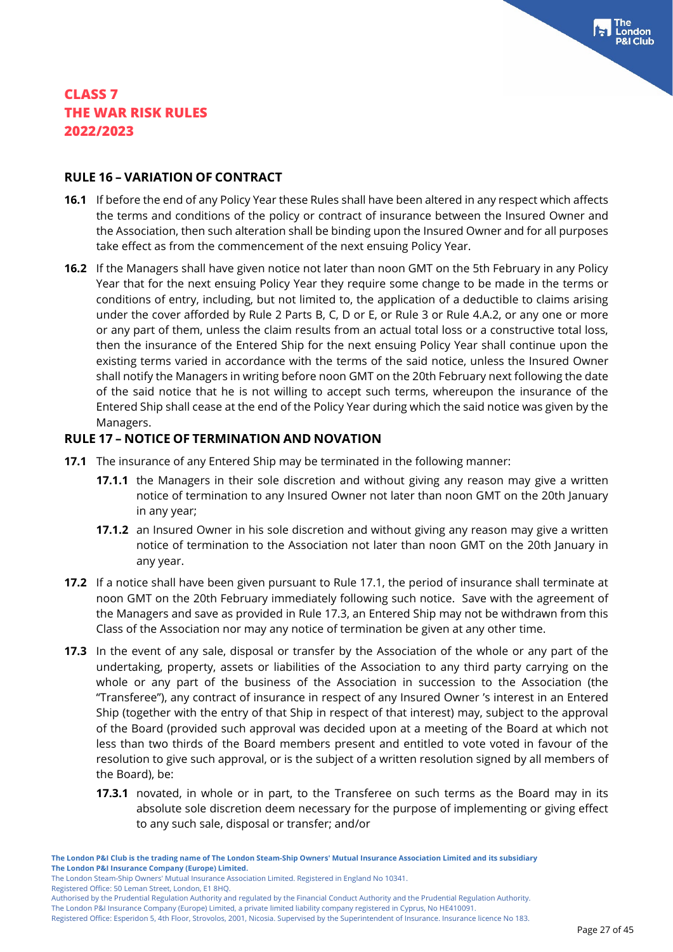#### **RULE 16 – VARIATION OF CONTRACT**

- **16.1** If before the end of any Policy Year these Rules shall have been altered in any respect which affects the terms and conditions of the policy or contract of insurance between the Insured Owner and the Association, then such alteration shall be binding upon the Insured Owner and for all purposes take effect as from the commencement of the next ensuing Policy Year.
- **16.2** If the Managers shall have given notice not later than noon GMT on the 5th February in any Policy Year that for the next ensuing Policy Year they require some change to be made in the terms or conditions of entry, including, but not limited to, the application of a deductible to claims arising under the cover afforded by Rule 2 Parts B, C, D or E, or Rule 3 or Rule 4.A.2, or any one or more or any part of them, unless the claim results from an actual total loss or a constructive total loss, then the insurance of the Entered Ship for the next ensuing Policy Year shall continue upon the existing terms varied in accordance with the terms of the said notice, unless the Insured Owner shall notify the Managers in writing before noon GMT on the 20th February next following the date of the said notice that he is not willing to accept such terms, whereupon the insurance of the Entered Ship shall cease at the end of the Policy Year during which the said notice was given by the Managers.

## **RULE 17 – NOTICE OF TERMINATION AND NOVATION**

- **17.1** The insurance of any Entered Ship may be terminated in the following manner:
	- **17.1.1** the Managers in their sole discretion and without giving any reason may give a written notice of termination to any Insured Owner not later than noon GMT on the 20th January in any year;
	- **17.1.2** an Insured Owner in his sole discretion and without giving any reason may give a written notice of termination to the Association not later than noon GMT on the 20th January in any year.
- **17.2** If a notice shall have been given pursuant to Rule 17.1, the period of insurance shall terminate at noon GMT on the 20th February immediately following such notice. Save with the agreement of the Managers and save as provided in Rule 17.3, an Entered Ship may not be withdrawn from this Class of the Association nor may any notice of termination be given at any other time.
- **17.3** In the event of any sale, disposal or transfer by the Association of the whole or any part of the undertaking, property, assets or liabilities of the Association to any third party carrying on the whole or any part of the business of the Association in succession to the Association (the "Transferee"), any contract of insurance in respect of any Insured Owner 's interest in an Entered Ship (together with the entry of that Ship in respect of that interest) may, subject to the approval of the Board (provided such approval was decided upon at a meeting of the Board at which not less than two thirds of the Board members present and entitled to vote voted in favour of the resolution to give such approval, or is the subject of a written resolution signed by all members of the Board), be:
	- **17.3.1** novated, in whole or in part, to the Transferee on such terms as the Board may in its absolute sole discretion deem necessary for the purpose of implementing or giving effect to any such sale, disposal or transfer; and/or

Registered Office: 50 Leman Street, London, E1 8HQ.

**The London P&I Club is the trading name of The London Steam-Ship Owners' Mutual Insurance Association Limited and its subsidiary The London P&I Insurance Company (Europe) Limited.**

The London Steam-Ship Owners' Mutual Insurance Association Limited. Registered in England No 10341.

Authorised by the Prudential Regulation Authority and regulated by the Financial Conduct Authority and the Prudential Regulation Authority.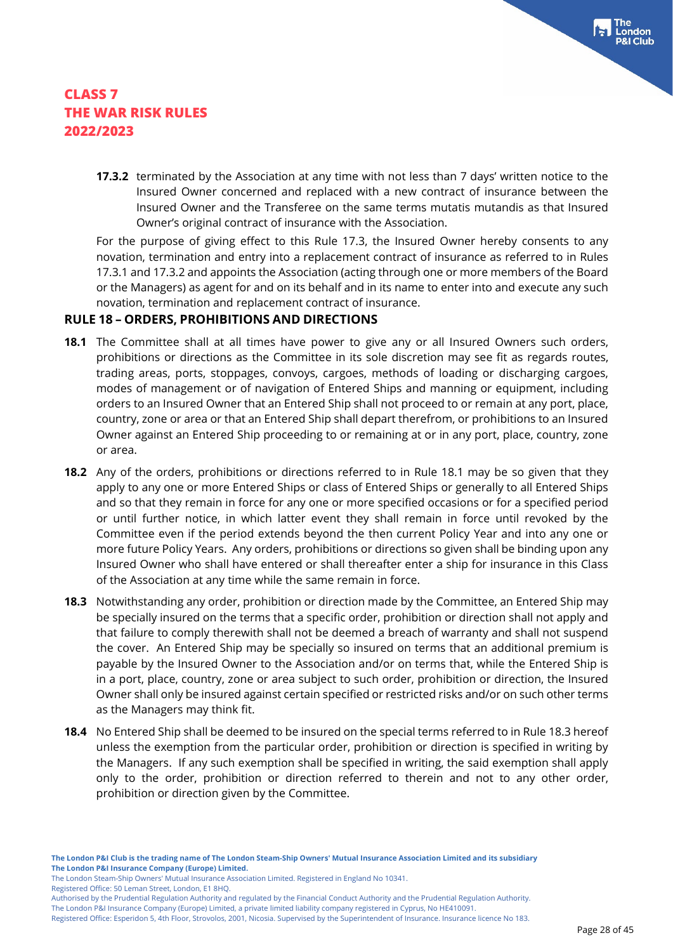**17.3.2** terminated by the Association at any time with not less than 7 days' written notice to the Insured Owner concerned and replaced with a new contract of insurance between the Insured Owner and the Transferee on the same terms mutatis mutandis as that Insured Owner's original contract of insurance with the Association.

For the purpose of giving effect to this Rule 17.3, the Insured Owner hereby consents to any novation, termination and entry into a replacement contract of insurance as referred to in Rules 17.3.1 and 17.3.2 and appoints the Association (acting through one or more members of the Board or the Managers) as agent for and on its behalf and in its name to enter into and execute any such novation, termination and replacement contract of insurance.

## **RULE 18 – ORDERS, PROHIBITIONS AND DIRECTIONS**

- **18.1** The Committee shall at all times have power to give any or all Insured Owners such orders, prohibitions or directions as the Committee in its sole discretion may see fit as regards routes, trading areas, ports, stoppages, convoys, cargoes, methods of loading or discharging cargoes, modes of management or of navigation of Entered Ships and manning or equipment, including orders to an Insured Owner that an Entered Ship shall not proceed to or remain at any port, place, country, zone or area or that an Entered Ship shall depart therefrom, or prohibitions to an Insured Owner against an Entered Ship proceeding to or remaining at or in any port, place, country, zone or area.
- **18.2** Any of the orders, prohibitions or directions referred to in Rule 18.1 may be so given that they apply to any one or more Entered Ships or class of Entered Ships or generally to all Entered Ships and so that they remain in force for any one or more specified occasions or for a specified period or until further notice, in which latter event they shall remain in force until revoked by the Committee even if the period extends beyond the then current Policy Year and into any one or more future Policy Years. Any orders, prohibitions or directions so given shall be binding upon any Insured Owner who shall have entered or shall thereafter enter a ship for insurance in this Class of the Association at any time while the same remain in force.
- **18.3** Notwithstanding any order, prohibition or direction made by the Committee, an Entered Ship may be specially insured on the terms that a specific order, prohibition or direction shall not apply and that failure to comply therewith shall not be deemed a breach of warranty and shall not suspend the cover. An Entered Ship may be specially so insured on terms that an additional premium is payable by the Insured Owner to the Association and/or on terms that, while the Entered Ship is in a port, place, country, zone or area subject to such order, prohibition or direction, the Insured Owner shall only be insured against certain specified or restricted risks and/or on such other terms as the Managers may think fit.
- **18.4** No Entered Ship shall be deemed to be insured on the special terms referred to in Rule 18.3 hereof unless the exemption from the particular order, prohibition or direction is specified in writing by the Managers. If any such exemption shall be specified in writing, the said exemption shall apply only to the order, prohibition or direction referred to therein and not to any other order, prohibition or direction given by the Committee.

The London Steam-Ship Owners' Mutual Insurance Association Limited. Registered in England No 10341.

Registered Office: 50 Leman Street, London, E1 8HQ.

Authorised by the Prudential Regulation Authority and regulated by the Financial Conduct Authority and the Prudential Regulation Authority.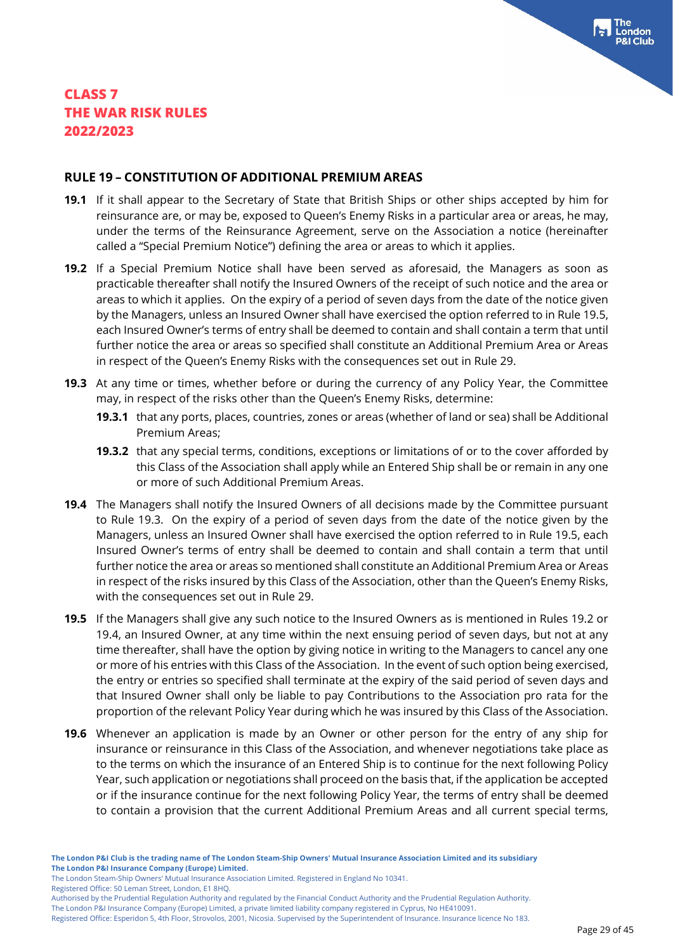#### **RULE 19 – CONSTITUTION OF ADDITIONAL PREMIUM AREAS**

- **19.1** If it shall appear to the Secretary of State that British Ships or other ships accepted by him for reinsurance are, or may be, exposed to Queen's Enemy Risks in a particular area or areas, he may, under the terms of the Reinsurance Agreement, serve on the Association a notice (hereinafter called a "Special Premium Notice") defining the area or areas to which it applies.
- **19.2** If a Special Premium Notice shall have been served as aforesaid, the Managers as soon as practicable thereafter shall notify the Insured Owners of the receipt of such notice and the area or areas to which it applies. On the expiry of a period of seven days from the date of the notice given by the Managers, unless an Insured Owner shall have exercised the option referred to in Rule 19.5, each Insured Owner's terms of entry shall be deemed to contain and shall contain a term that until further notice the area or areas so specified shall constitute an Additional Premium Area or Areas in respect of the Queen's Enemy Risks with the consequences set out in Rule 29.
- **19.3** At any time or times, whether before or during the currency of any Policy Year, the Committee may, in respect of the risks other than the Queen's Enemy Risks, determine:
	- **19.3.1** that any ports, places, countries, zones or areas (whether of land or sea) shall be Additional Premium Areas;
	- **19.3.2** that any special terms, conditions, exceptions or limitations of or to the cover afforded by this Class of the Association shall apply while an Entered Ship shall be or remain in any one or more of such Additional Premium Areas.
- **19.4** The Managers shall notify the Insured Owners of all decisions made by the Committee pursuant to Rule 19.3. On the expiry of a period of seven days from the date of the notice given by the Managers, unless an Insured Owner shall have exercised the option referred to in Rule 19.5, each Insured Owner's terms of entry shall be deemed to contain and shall contain a term that until further notice the area or areas so mentioned shall constitute an Additional Premium Area or Areas in respect of the risks insured by this Class of the Association, other than the Queen's Enemy Risks, with the consequences set out in Rule 29.
- **19.5** If the Managers shall give any such notice to the Insured Owners as is mentioned in Rules 19.2 or 19.4, an Insured Owner, at any time within the next ensuing period of seven days, but not at any time thereafter, shall have the option by giving notice in writing to the Managers to cancel any one or more of his entries with this Class of the Association. In the event of such option being exercised, the entry or entries so specified shall terminate at the expiry of the said period of seven days and that Insured Owner shall only be liable to pay Contributions to the Association pro rata for the proportion of the relevant Policy Year during which he was insured by this Class of the Association.
- **19.6** Whenever an application is made by an Owner or other person for the entry of any ship for insurance or reinsurance in this Class of the Association, and whenever negotiations take place as to the terms on which the insurance of an Entered Ship is to continue for the next following Policy Year, such application or negotiations shall proceed on the basis that, if the application be accepted or if the insurance continue for the next following Policy Year, the terms of entry shall be deemed to contain a provision that the current Additional Premium Areas and all current special terms,

Registered Office: 50 Leman Street, London, E1 8HQ.

Authorised by the Prudential Regulation Authority and regulated by the Financial Conduct Authority and the Prudential Regulation Authority.

The London Steam-Ship Owners' Mutual Insurance Association Limited. Registered in England No 10341.

Registered Office: Esperidon 5, 4th Floor, Strovolos, 2001, Nicosia. Supervised by the Superintendent of Insurance. Insurance licence No 183.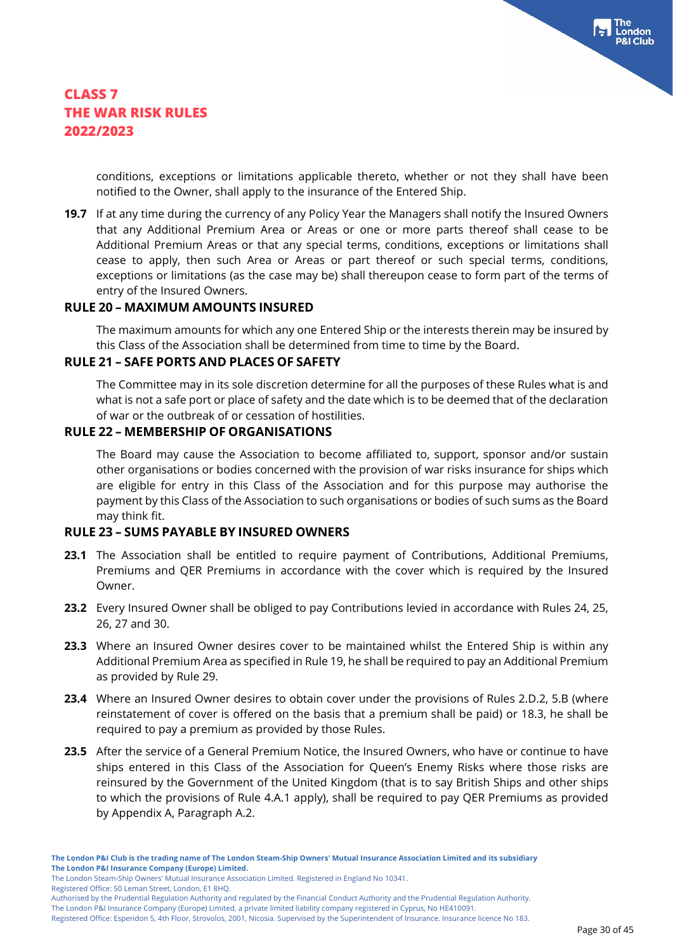conditions, exceptions or limitations applicable thereto, whether or not they shall have been notified to the Owner, shall apply to the insurance of the Entered Ship.

**19.7** If at any time during the currency of any Policy Year the Managers shall notify the Insured Owners that any Additional Premium Area or Areas or one or more parts thereof shall cease to be Additional Premium Areas or that any special terms, conditions, exceptions or limitations shall cease to apply, then such Area or Areas or part thereof or such special terms, conditions, exceptions or limitations (as the case may be) shall thereupon cease to form part of the terms of entry of the Insured Owners.

#### **RULE 20 – MAXIMUM AMOUNTS INSURED**

The maximum amounts for which any one Entered Ship or the interests therein may be insured by this Class of the Association shall be determined from time to time by the Board.

#### **RULE 21 – SAFE PORTS AND PLACES OF SAFETY**

The Committee may in its sole discretion determine for all the purposes of these Rules what is and what is not a safe port or place of safety and the date which is to be deemed that of the declaration of war or the outbreak of or cessation of hostilities.

#### **RULE 22 – MEMBERSHIP OF ORGANISATIONS**

The Board may cause the Association to become affiliated to, support, sponsor and/or sustain other organisations or bodies concerned with the provision of war risks insurance for ships which are eligible for entry in this Class of the Association and for this purpose may authorise the payment by this Class of the Association to such organisations or bodies of such sums as the Board may think fit.

#### **RULE 23 – SUMS PAYABLE BY INSURED OWNERS**

- **23.1** The Association shall be entitled to require payment of Contributions, Additional Premiums, Premiums and QER Premiums in accordance with the cover which is required by the Insured Owner.
- **23.2** Every Insured Owner shall be obliged to pay Contributions levied in accordance with Rules 24, 25, 26, 27 and 30.
- **23.3** Where an Insured Owner desires cover to be maintained whilst the Entered Ship is within any Additional Premium Area as specified in Rule 19, he shall be required to pay an Additional Premium as provided by Rule 29.
- **23.4** Where an Insured Owner desires to obtain cover under the provisions of Rules 2.D.2, 5.B (where reinstatement of cover is offered on the basis that a premium shall be paid) or 18.3, he shall be required to pay a premium as provided by those Rules.
- **23.5** After the service of a General Premium Notice, the Insured Owners, who have or continue to have ships entered in this Class of the Association for Queen's Enemy Risks where those risks are reinsured by the Government of the United Kingdom (that is to say British Ships and other ships to which the provisions of Rule 4.A.1 apply), shall be required to pay QER Premiums as provided by Appendix A, Paragraph A.2.

Registered Office: 50 Leman Street, London, E1 8HQ.

Authorised by the Prudential Regulation Authority and regulated by the Financial Conduct Authority and the Prudential Regulation Authority.

The London P&I Insurance Company (Europe) Limited, a private limited liability company registered in Cyprus, No HE410091.

The London Steam-Ship Owners' Mutual Insurance Association Limited. Registered in England No 10341.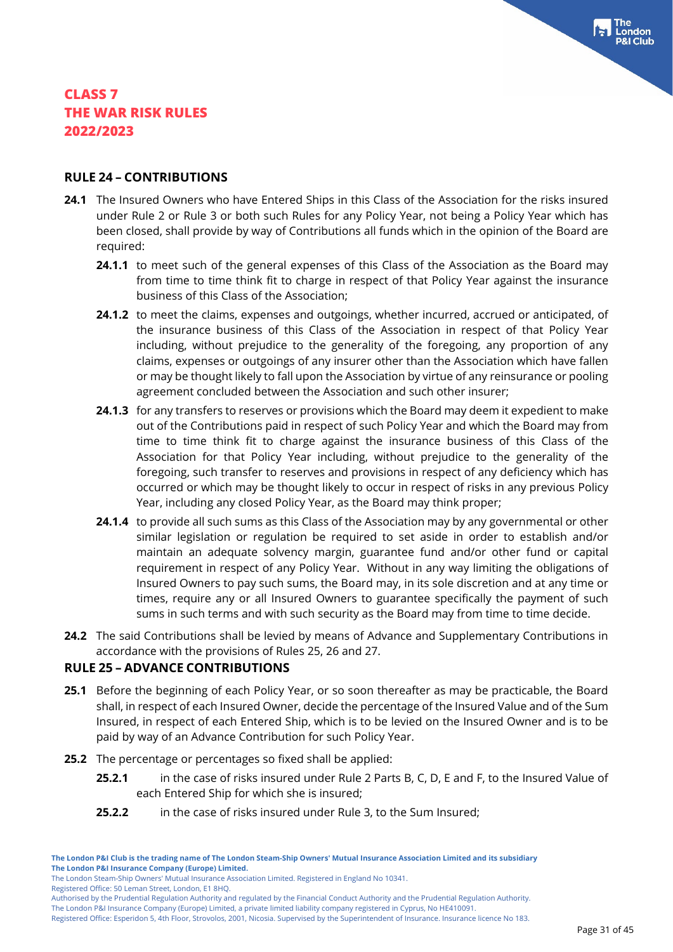#### **RULE 24 – CONTRIBUTIONS**

- **24.1** The Insured Owners who have Entered Ships in this Class of the Association for the risks insured under Rule 2 or Rule 3 or both such Rules for any Policy Year, not being a Policy Year which has been closed, shall provide by way of Contributions all funds which in the opinion of the Board are required:
	- **24.1.1** to meet such of the general expenses of this Class of the Association as the Board may from time to time think fit to charge in respect of that Policy Year against the insurance business of this Class of the Association;
	- 24.1.2 to meet the claims, expenses and outgoings, whether incurred, accrued or anticipated, of the insurance business of this Class of the Association in respect of that Policy Year including, without prejudice to the generality of the foregoing, any proportion of any claims, expenses or outgoings of any insurer other than the Association which have fallen or may be thought likely to fall upon the Association by virtue of any reinsurance or pooling agreement concluded between the Association and such other insurer;
	- **24.1.3** for any transfers to reserves or provisions which the Board may deem it expedient to make out of the Contributions paid in respect of such Policy Year and which the Board may from time to time think fit to charge against the insurance business of this Class of the Association for that Policy Year including, without prejudice to the generality of the foregoing, such transfer to reserves and provisions in respect of any deficiency which has occurred or which may be thought likely to occur in respect of risks in any previous Policy Year, including any closed Policy Year, as the Board may think proper;
	- **24.1.4** to provide all such sums as this Class of the Association may by any governmental or other similar legislation or regulation be required to set aside in order to establish and/or maintain an adequate solvency margin, guarantee fund and/or other fund or capital requirement in respect of any Policy Year. Without in any way limiting the obligations of Insured Owners to pay such sums, the Board may, in its sole discretion and at any time or times, require any or all Insured Owners to guarantee specifically the payment of such sums in such terms and with such security as the Board may from time to time decide.
- 24.2 The said Contributions shall be levied by means of Advance and Supplementary Contributions in accordance with the provisions of Rules 25, 26 and 27.

#### **RULE 25 – ADVANCE CONTRIBUTIONS**

- **25.1** Before the beginning of each Policy Year, or so soon thereafter as may be practicable, the Board shall, in respect of each Insured Owner, decide the percentage of the Insured Value and of the Sum Insured, in respect of each Entered Ship, which is to be levied on the Insured Owner and is to be paid by way of an Advance Contribution for such Policy Year.
- **25.2** The percentage or percentages so fixed shall be applied:
	- **25.2.1** in the case of risks insured under Rule 2 Parts B, C, D, E and F, to the Insured Value of each Entered Ship for which she is insured;
	- **25.2.2** in the case of risks insured under Rule 3, to the Sum Insured;

Registered Office: 50 Leman Street, London, E1 8HQ.

The London Steam-Ship Owners' Mutual Insurance Association Limited. Registered in England No 10341.

Authorised by the Prudential Regulation Authority and regulated by the Financial Conduct Authority and the Prudential Regulation Authority.

Registered Office: Esperidon 5, 4th Floor, Strovolos, 2001, Nicosia. Supervised by the Superintendent of Insurance. Insurance licence No 183.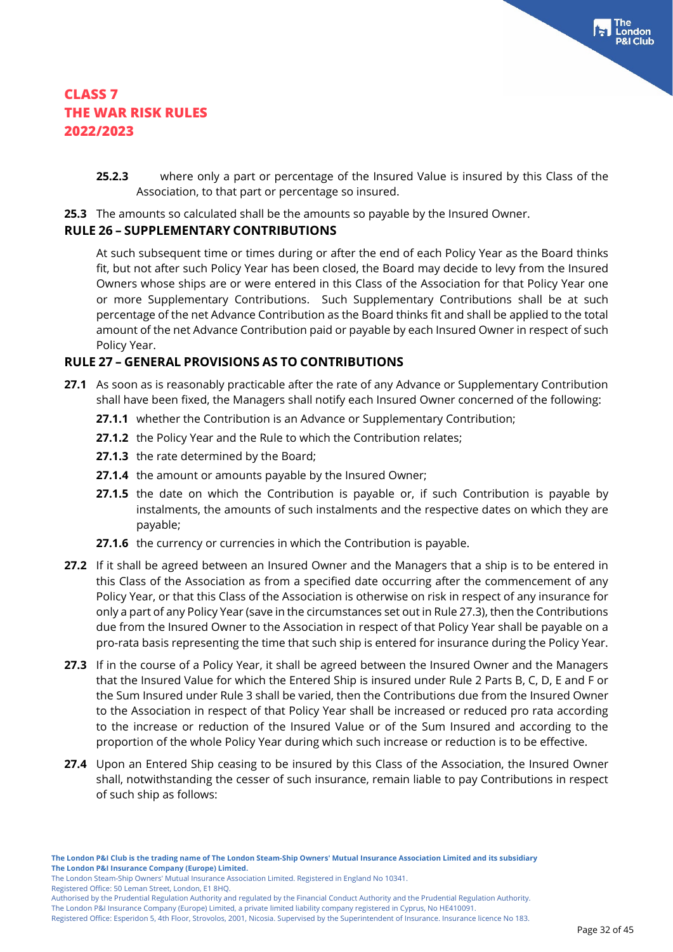**25.2.3** where only a part or percentage of the Insured Value is insured by this Class of the Association, to that part or percentage so insured.

**25.3** The amounts so calculated shall be the amounts so payable by the Insured Owner.

#### **RULE 26 – SUPPLEMENTARY CONTRIBUTIONS**

At such subsequent time or times during or after the end of each Policy Year as the Board thinks fit, but not after such Policy Year has been closed, the Board may decide to levy from the Insured Owners whose ships are or were entered in this Class of the Association for that Policy Year one or more Supplementary Contributions. Such Supplementary Contributions shall be at such percentage of the net Advance Contribution as the Board thinks fit and shall be applied to the total amount of the net Advance Contribution paid or payable by each Insured Owner in respect of such Policy Year.

#### **RULE 27 – GENERAL PROVISIONS AS TO CONTRIBUTIONS**

- **27.1** As soon as is reasonably practicable after the rate of any Advance or Supplementary Contribution shall have been fixed, the Managers shall notify each Insured Owner concerned of the following:
	- **27.1.1** whether the Contribution is an Advance or Supplementary Contribution;
	- **27.1.2** the Policy Year and the Rule to which the Contribution relates;
	- 27.1.3 the rate determined by the Board;
	- **27.1.4** the amount or amounts payable by the Insured Owner;
	- **27.1.5** the date on which the Contribution is payable or, if such Contribution is payable by instalments, the amounts of such instalments and the respective dates on which they are payable;
	- **27.1.6** the currency or currencies in which the Contribution is payable.
- **27.2** If it shall be agreed between an Insured Owner and the Managers that a ship is to be entered in this Class of the Association as from a specified date occurring after the commencement of any Policy Year, or that this Class of the Association is otherwise on risk in respect of any insurance for only a part of any Policy Year (save in the circumstances set out in Rule 27.3), then the Contributions due from the Insured Owner to the Association in respect of that Policy Year shall be payable on a pro-rata basis representing the time that such ship is entered for insurance during the Policy Year.
- **27.3** If in the course of a Policy Year, it shall be agreed between the Insured Owner and the Managers that the Insured Value for which the Entered Ship is insured under Rule 2 Parts B, C, D, E and F or the Sum Insured under Rule 3 shall be varied, then the Contributions due from the Insured Owner to the Association in respect of that Policy Year shall be increased or reduced pro rata according to the increase or reduction of the Insured Value or of the Sum Insured and according to the proportion of the whole Policy Year during which such increase or reduction is to be effective.
- **27.4** Upon an Entered Ship ceasing to be insured by this Class of the Association, the Insured Owner shall, notwithstanding the cesser of such insurance, remain liable to pay Contributions in respect of such ship as follows:

Registered Office: 50 Leman Street, London, E1 8HQ.

Authorised by the Prudential Regulation Authority and regulated by the Financial Conduct Authority and the Prudential Regulation Authority.

The London Steam-Ship Owners' Mutual Insurance Association Limited. Registered in England No 10341.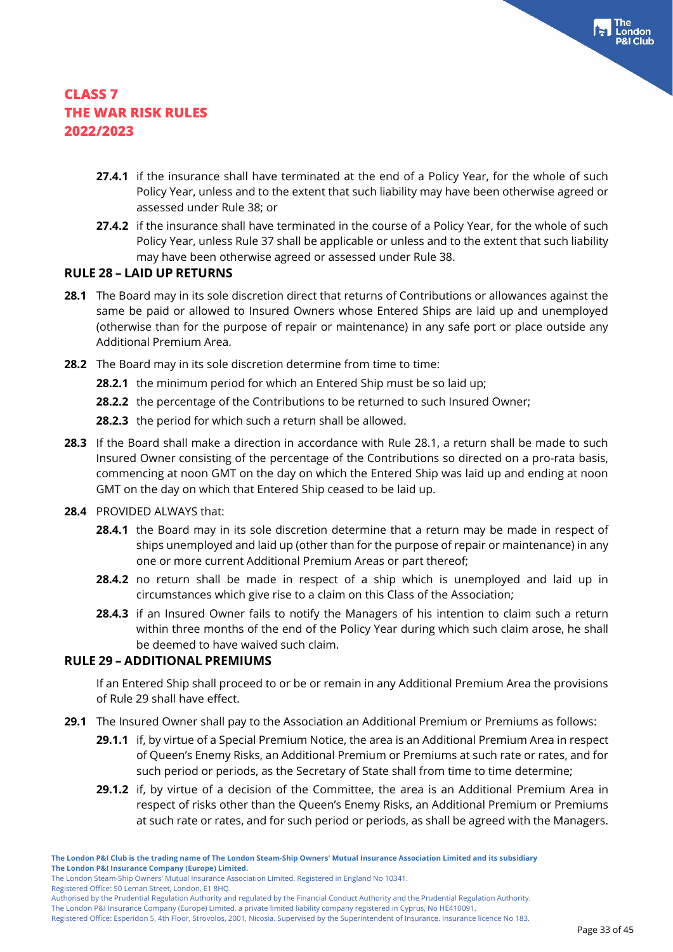- **27.4.1** if the insurance shall have terminated at the end of a Policy Year, for the whole of such Policy Year, unless and to the extent that such liability may have been otherwise agreed or assessed under Rule 38; or
- **27.4.2** if the insurance shall have terminated in the course of a Policy Year, for the whole of such Policy Year, unless Rule 37 shall be applicable or unless and to the extent that such liability may have been otherwise agreed or assessed under Rule 38.

#### **RULE 28 – LAID UP RETURNS**

- **28.1** The Board may in its sole discretion direct that returns of Contributions or allowances against the same be paid or allowed to Insured Owners whose Entered Ships are laid up and unemployed (otherwise than for the purpose of repair or maintenance) in any safe port or place outside any Additional Premium Area.
- **28.2** The Board may in its sole discretion determine from time to time:
	- **28.2.1** the minimum period for which an Entered Ship must be so laid up;
	- **28.2.2** the percentage of the Contributions to be returned to such Insured Owner;
	- **28.2.3** the period for which such a return shall be allowed.
- **28.3** If the Board shall make a direction in accordance with Rule 28.1, a return shall be made to such Insured Owner consisting of the percentage of the Contributions so directed on a pro-rata basis, commencing at noon GMT on the day on which the Entered Ship was laid up and ending at noon GMT on the day on which that Entered Ship ceased to be laid up.
- **28.4** PROVIDED ALWAYS that:
	- **28.4.1** the Board may in its sole discretion determine that a return may be made in respect of ships unemployed and laid up (other than for the purpose of repair or maintenance) in any one or more current Additional Premium Areas or part thereof;
	- **28.4.2** no return shall be made in respect of a ship which is unemployed and laid up in circumstances which give rise to a claim on this Class of the Association;
	- **28.4.3** if an Insured Owner fails to notify the Managers of his intention to claim such a return within three months of the end of the Policy Year during which such claim arose, he shall be deemed to have waived such claim.

#### **RULE 29 – ADDITIONAL PREMIUMS**

If an Entered Ship shall proceed to or be or remain in any Additional Premium Area the provisions of Rule 29 shall have effect.

- **29.1** The Insured Owner shall pay to the Association an Additional Premium or Premiums as follows:
	- **29.1.1** if, by virtue of a Special Premium Notice, the area is an Additional Premium Area in respect of Queen's Enemy Risks, an Additional Premium or Premiums at such rate or rates, and for such period or periods, as the Secretary of State shall from time to time determine;
	- **29.1.2** if, by virtue of a decision of the Committee, the area is an Additional Premium Area in respect of risks other than the Queen's Enemy Risks, an Additional Premium or Premiums at such rate or rates, and for such period or periods, as shall be agreed with the Managers.

Registered Office: 50 Leman Street, London, E1 8HQ.

The London P&I Insurance Company (Europe) Limited, a private limited liability company registered in Cyprus, No HE410091.

The London Steam-Ship Owners' Mutual Insurance Association Limited. Registered in England No 10341.

Authorised by the Prudential Regulation Authority and regulated by the Financial Conduct Authority and the Prudential Regulation Authority.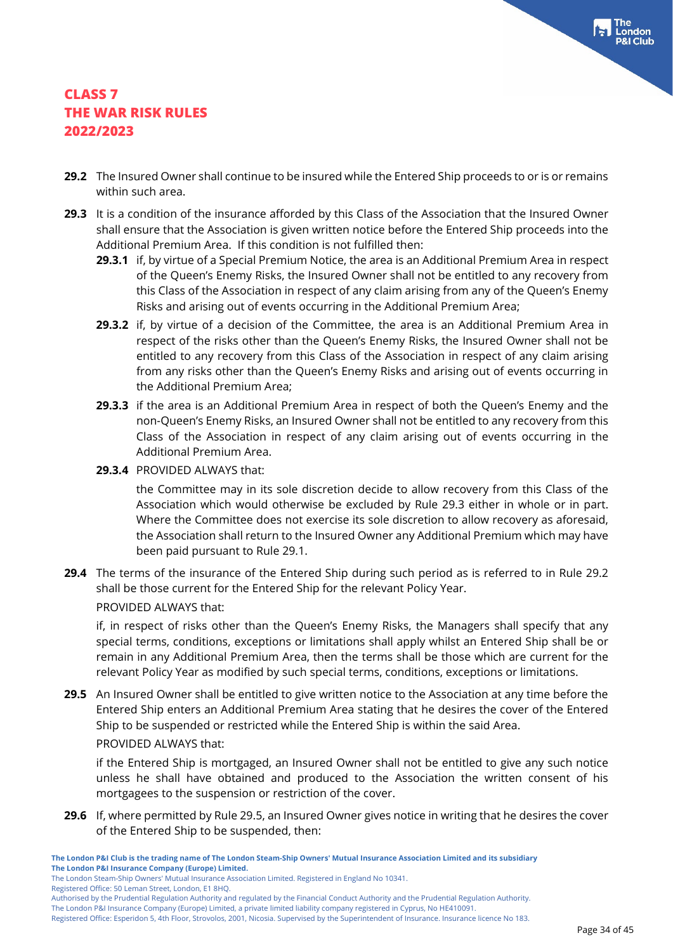- **29.2** The Insured Owner shall continue to be insured while the Entered Ship proceeds to or is or remains within such area.
- **29.3** It is a condition of the insurance afforded by this Class of the Association that the Insured Owner shall ensure that the Association is given written notice before the Entered Ship proceeds into the Additional Premium Area. If this condition is not fulfilled then:
	- **29.3.1** if, by virtue of a Special Premium Notice, the area is an Additional Premium Area in respect of the Queen's Enemy Risks, the Insured Owner shall not be entitled to any recovery from this Class of the Association in respect of any claim arising from any of the Queen's Enemy Risks and arising out of events occurring in the Additional Premium Area;
	- **29.3.2** if, by virtue of a decision of the Committee, the area is an Additional Premium Area in respect of the risks other than the Queen's Enemy Risks, the Insured Owner shall not be entitled to any recovery from this Class of the Association in respect of any claim arising from any risks other than the Queen's Enemy Risks and arising out of events occurring in the Additional Premium Area;
	- **29.3.3** if the area is an Additional Premium Area in respect of both the Queen's Enemy and the non-Queen's Enemy Risks, an Insured Owner shall not be entitled to any recovery from this Class of the Association in respect of any claim arising out of events occurring in the Additional Premium Area.
	- **29.3.4** PROVIDED ALWAYS that:

the Committee may in its sole discretion decide to allow recovery from this Class of the Association which would otherwise be excluded by Rule 29.3 either in whole or in part. Where the Committee does not exercise its sole discretion to allow recovery as aforesaid, the Association shall return to the Insured Owner any Additional Premium which may have been paid pursuant to Rule 29.1.

**29.4** The terms of the insurance of the Entered Ship during such period as is referred to in Rule 29.2 shall be those current for the Entered Ship for the relevant Policy Year. PROVIDED ALWAYS that:

if, in respect of risks other than the Queen's Enemy Risks, the Managers shall specify that any special terms, conditions, exceptions or limitations shall apply whilst an Entered Ship shall be or remain in any Additional Premium Area, then the terms shall be those which are current for the relevant Policy Year as modified by such special terms, conditions, exceptions or limitations.

**29.5** An Insured Owner shall be entitled to give written notice to the Association at any time before the Entered Ship enters an Additional Premium Area stating that he desires the cover of the Entered Ship to be suspended or restricted while the Entered Ship is within the said Area.

#### PROVIDED ALWAYS that:

if the Entered Ship is mortgaged, an Insured Owner shall not be entitled to give any such notice unless he shall have obtained and produced to the Association the written consent of his mortgagees to the suspension or restriction of the cover.

**29.6** If, where permitted by Rule 29.5, an Insured Owner gives notice in writing that he desires the cover of the Entered Ship to be suspended, then:

The London Steam-Ship Owners' Mutual Insurance Association Limited. Registered in England No 10341.

Registered Office: 50 Leman Street, London, E1 8HQ.

Authorised by the Prudential Regulation Authority and regulated by the Financial Conduct Authority and the Prudential Regulation Authority.

The London P&I Insurance Company (Europe) Limited, a private limited liability company registered in Cyprus, No HE410091.

Registered Office: Esperidon 5, 4th Floor, Strovolos, 2001, Nicosia. Supervised by the Superintendent of Insurance. Insurance licence No 183.

ondon

**The London P&I Club is the trading name of The London Steam-Ship Owners' Mutual Insurance Association Limited and its subsidiary The London P&I Insurance Company (Europe) Limited.**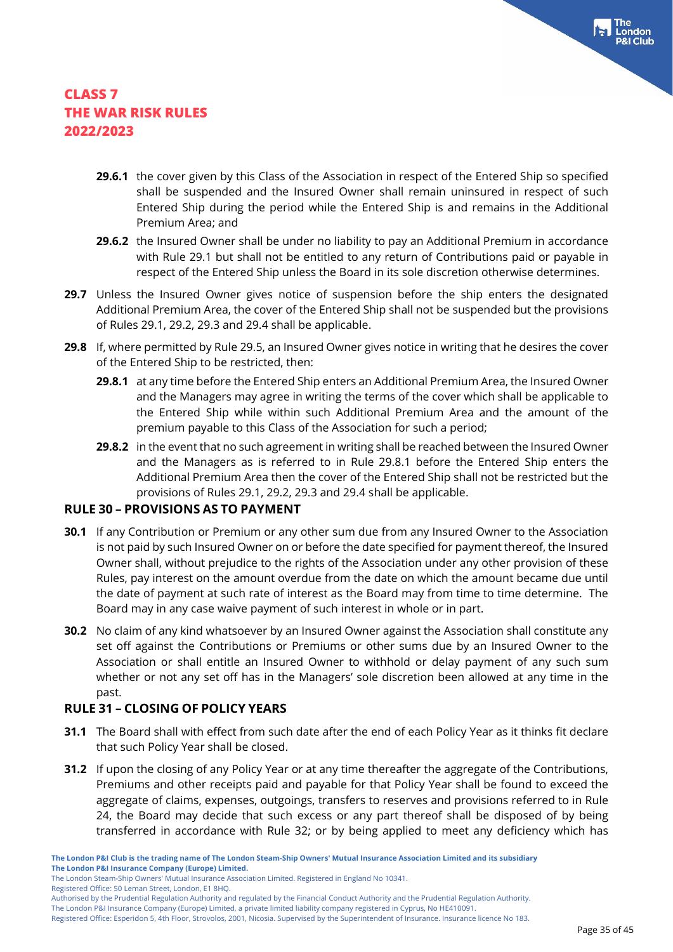- **29.6.1** the cover given by this Class of the Association in respect of the Entered Ship so specified shall be suspended and the Insured Owner shall remain uninsured in respect of such Entered Ship during the period while the Entered Ship is and remains in the Additional Premium Area; and
- **29.6.2** the Insured Owner shall be under no liability to pay an Additional Premium in accordance with Rule 29.1 but shall not be entitled to any return of Contributions paid or payable in respect of the Entered Ship unless the Board in its sole discretion otherwise determines.
- **29.7** Unless the Insured Owner gives notice of suspension before the ship enters the designated Additional Premium Area, the cover of the Entered Ship shall not be suspended but the provisions of Rules 29.1, 29.2, 29.3 and 29.4 shall be applicable.
- **29.8** If, where permitted by Rule 29.5, an Insured Owner gives notice in writing that he desires the cover of the Entered Ship to be restricted, then:
	- **29.8.1** at any time before the Entered Ship enters an Additional Premium Area, the Insured Owner and the Managers may agree in writing the terms of the cover which shall be applicable to the Entered Ship while within such Additional Premium Area and the amount of the premium payable to this Class of the Association for such a period;
	- **29.8.2** in the event that no such agreement in writing shall be reached between the Insured Owner and the Managers as is referred to in Rule 29.8.1 before the Entered Ship enters the Additional Premium Area then the cover of the Entered Ship shall not be restricted but the provisions of Rules 29.1, 29.2, 29.3 and 29.4 shall be applicable.

#### **RULE 30 – PROVISIONS AS TO PAYMENT**

- **30.1** If any Contribution or Premium or any other sum due from any Insured Owner to the Association is not paid by such Insured Owner on or before the date specified for payment thereof, the Insured Owner shall, without prejudice to the rights of the Association under any other provision of these Rules, pay interest on the amount overdue from the date on which the amount became due until the date of payment at such rate of interest as the Board may from time to time determine. The Board may in any case waive payment of such interest in whole or in part.
- **30.2** No claim of any kind whatsoever by an Insured Owner against the Association shall constitute any set off against the Contributions or Premiums or other sums due by an Insured Owner to the Association or shall entitle an Insured Owner to withhold or delay payment of any such sum whether or not any set off has in the Managers' sole discretion been allowed at any time in the past.

## **RULE 31 – CLOSING OF POLICY YEARS**

- **31.1** The Board shall with effect from such date after the end of each Policy Year as it thinks fit declare that such Policy Year shall be closed.
- **31.2** If upon the closing of any Policy Year or at any time thereafter the aggregate of the Contributions, Premiums and other receipts paid and payable for that Policy Year shall be found to exceed the aggregate of claims, expenses, outgoings, transfers to reserves and provisions referred to in Rule 24, the Board may decide that such excess or any part thereof shall be disposed of by being transferred in accordance with Rule 32; or by being applied to meet any deficiency which has

Registered Office: 50 Leman Street, London, E1 8HQ.

The London Steam-Ship Owners' Mutual Insurance Association Limited. Registered in England No 10341.

Authorised by the Prudential Regulation Authority and regulated by the Financial Conduct Authority and the Prudential Regulation Authority.

The London P&I Insurance Company (Europe) Limited, a private limited liability company registered in Cyprus, No HE410091.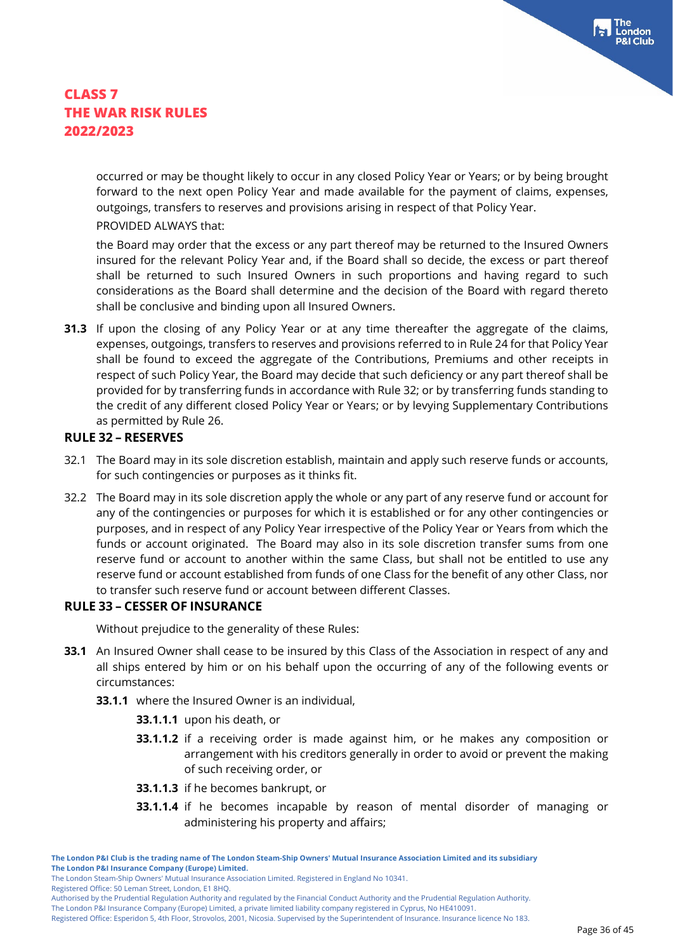occurred or may be thought likely to occur in any closed Policy Year or Years; or by being brought forward to the next open Policy Year and made available for the payment of claims, expenses, outgoings, transfers to reserves and provisions arising in respect of that Policy Year.

#### PROVIDED ALWAYS that:

the Board may order that the excess or any part thereof may be returned to the Insured Owners insured for the relevant Policy Year and, if the Board shall so decide, the excess or part thereof shall be returned to such Insured Owners in such proportions and having regard to such considerations as the Board shall determine and the decision of the Board with regard thereto shall be conclusive and binding upon all Insured Owners.

**31.3** If upon the closing of any Policy Year or at any time thereafter the aggregate of the claims, expenses, outgoings, transfers to reserves and provisions referred to in Rule 24 for that Policy Year shall be found to exceed the aggregate of the Contributions, Premiums and other receipts in respect of such Policy Year, the Board may decide that such deficiency or any part thereof shall be provided for by transferring funds in accordance with Rule 32; or by transferring funds standing to the credit of any different closed Policy Year or Years; or by levying Supplementary Contributions as permitted by Rule 26.

#### **RULE 32 – RESERVES**

- 32.1 The Board may in its sole discretion establish, maintain and apply such reserve funds or accounts, for such contingencies or purposes as it thinks fit.
- 32.2 The Board may in its sole discretion apply the whole or any part of any reserve fund or account for any of the contingencies or purposes for which it is established or for any other contingencies or purposes, and in respect of any Policy Year irrespective of the Policy Year or Years from which the funds or account originated. The Board may also in its sole discretion transfer sums from one reserve fund or account to another within the same Class, but shall not be entitled to use any reserve fund or account established from funds of one Class for the benefit of any other Class, nor to transfer such reserve fund or account between different Classes.

#### **RULE 33 – CESSER OF INSURANCE**

Without prejudice to the generality of these Rules:

- **33.1** An Insured Owner shall cease to be insured by this Class of the Association in respect of any and all ships entered by him or on his behalf upon the occurring of any of the following events or circumstances:
	- **33.1.1** where the Insured Owner is an individual,
		- **33.1.1.1** upon his death, or
		- **33.1.1.2** if a receiving order is made against him, or he makes any composition or arrangement with his creditors generally in order to avoid or prevent the making of such receiving order, or
		- **33.1.1.3** if he becomes bankrupt, or
		- **33.1.1.4** if he becomes incapable by reason of mental disorder of managing or administering his property and affairs;

Registered Office: 50 Leman Street, London, E1 8HQ.

The London P&I Insurance Company (Europe) Limited, a private limited liability company registered in Cyprus, No HE410091.

**The London P&I Club is the trading name of The London Steam-Ship Owners' Mutual Insurance Association Limited and its subsidiary The London P&I Insurance Company (Europe) Limited.**

The London Steam-Ship Owners' Mutual Insurance Association Limited. Registered in England No 10341.

Authorised by the Prudential Regulation Authority and regulated by the Financial Conduct Authority and the Prudential Regulation Authority.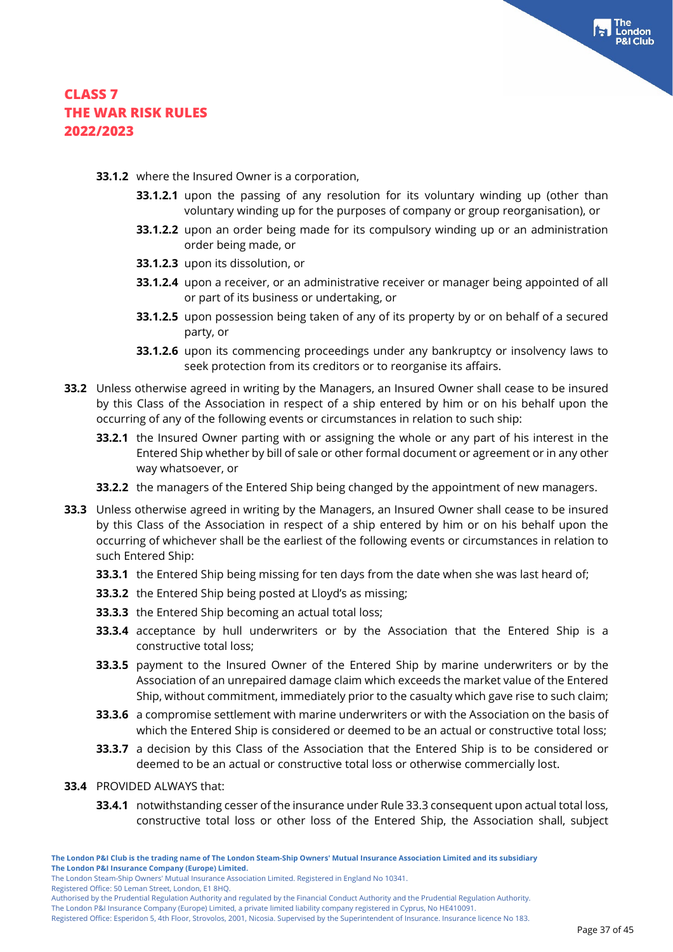- **33.1.2** where the Insured Owner is a corporation,
	- **33.1.2.1** upon the passing of any resolution for its voluntary winding up (other than voluntary winding up for the purposes of company or group reorganisation), or
	- **33.1.2.2** upon an order being made for its compulsory winding up or an administration order being made, or
	- **33.1.2.3** upon its dissolution, or
	- **33.1.2.4** upon a receiver, or an administrative receiver or manager being appointed of all or part of its business or undertaking, or
	- **33.1.2.5** upon possession being taken of any of its property by or on behalf of a secured party, or
	- **33.1.2.6** upon its commencing proceedings under any bankruptcy or insolvency laws to seek protection from its creditors or to reorganise its affairs.
- **33.2** Unless otherwise agreed in writing by the Managers, an Insured Owner shall cease to be insured by this Class of the Association in respect of a ship entered by him or on his behalf upon the occurring of any of the following events or circumstances in relation to such ship:
	- **33.2.1** the Insured Owner parting with or assigning the whole or any part of his interest in the Entered Ship whether by bill of sale or other formal document or agreement or in any other way whatsoever, or
	- **33.2.2** the managers of the Entered Ship being changed by the appointment of new managers.
- **33.3** Unless otherwise agreed in writing by the Managers, an Insured Owner shall cease to be insured by this Class of the Association in respect of a ship entered by him or on his behalf upon the occurring of whichever shall be the earliest of the following events or circumstances in relation to such Entered Ship:
	- **33.3.1** the Entered Ship being missing for ten days from the date when she was last heard of;
	- **33.3.2** the Entered Ship being posted at Lloyd's as missing;
	- **33.3.3** the Entered Ship becoming an actual total loss;
	- **33.3.4** acceptance by hull underwriters or by the Association that the Entered Ship is a constructive total loss;
	- **33.3.5** payment to the Insured Owner of the Entered Ship by marine underwriters or by the Association of an unrepaired damage claim which exceeds the market value of the Entered Ship, without commitment, immediately prior to the casualty which gave rise to such claim;
	- **33.3.6** a compromise settlement with marine underwriters or with the Association on the basis of which the Entered Ship is considered or deemed to be an actual or constructive total loss;
	- **33.3.7** a decision by this Class of the Association that the Entered Ship is to be considered or deemed to be an actual or constructive total loss or otherwise commercially lost.

#### **33.4** PROVIDED ALWAYS that:

**33.4.1** notwithstanding cesser of the insurance under Rule 33.3 consequent upon actual total loss, constructive total loss or other loss of the Entered Ship, the Association shall, subject

Registered Office: 50 Leman Street, London, E1 8HQ.

The London P&I Insurance Company (Europe) Limited, a private limited liability company registered in Cyprus, No HE410091.

Registered Office: Esperidon 5, 4th Floor, Strovolos, 2001, Nicosia. Supervised by the Superintendent of Insurance. Insurance licence No 183.

ondon

The London Steam-Ship Owners' Mutual Insurance Association Limited. Registered in England No 10341.

Authorised by the Prudential Regulation Authority and regulated by the Financial Conduct Authority and the Prudential Regulation Authority.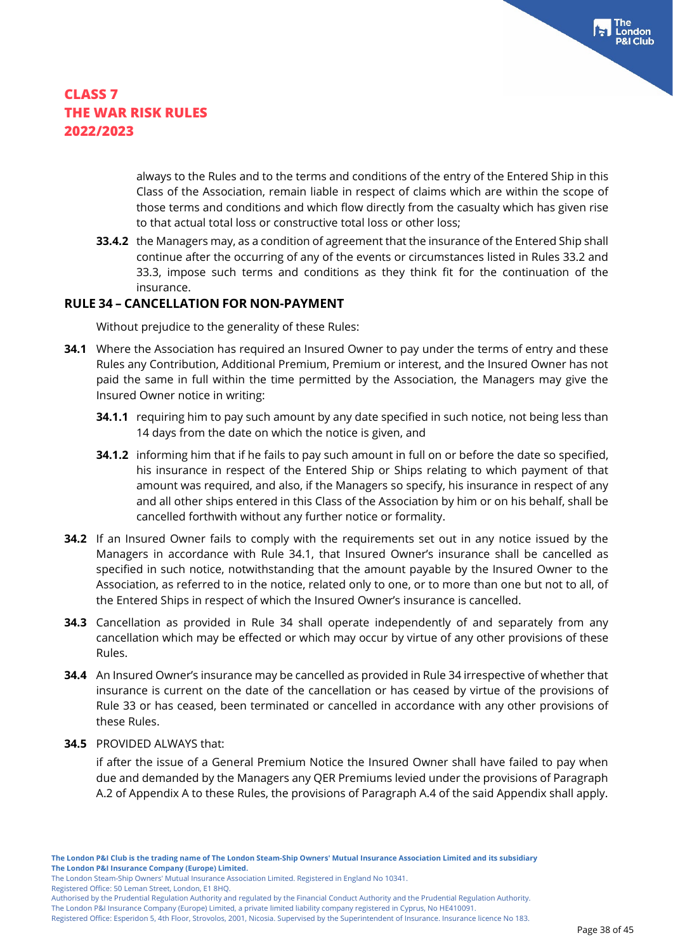always to the Rules and to the terms and conditions of the entry of the Entered Ship in this Class of the Association, remain liable in respect of claims which are within the scope of those terms and conditions and which flow directly from the casualty which has given rise to that actual total loss or constructive total loss or other loss;

**33.4.2** the Managers may, as a condition of agreement that the insurance of the Entered Ship shall continue after the occurring of any of the events or circumstances listed in Rules 33.2 and 33.3, impose such terms and conditions as they think fit for the continuation of the insurance.

#### **RULE 34 – CANCELLATION FOR NON-PAYMENT**

Without prejudice to the generality of these Rules:

- **34.1** Where the Association has required an Insured Owner to pay under the terms of entry and these Rules any Contribution, Additional Premium, Premium or interest, and the Insured Owner has not paid the same in full within the time permitted by the Association, the Managers may give the Insured Owner notice in writing:
	- **34.1.1** requiring him to pay such amount by any date specified in such notice, not being less than 14 days from the date on which the notice is given, and
	- **34.1.2** informing him that if he fails to pay such amount in full on or before the date so specified, his insurance in respect of the Entered Ship or Ships relating to which payment of that amount was required, and also, if the Managers so specify, his insurance in respect of any and all other ships entered in this Class of the Association by him or on his behalf, shall be cancelled forthwith without any further notice or formality.
- **34.2** If an Insured Owner fails to comply with the requirements set out in any notice issued by the Managers in accordance with Rule 34.1, that Insured Owner's insurance shall be cancelled as specified in such notice, notwithstanding that the amount payable by the Insured Owner to the Association, as referred to in the notice, related only to one, or to more than one but not to all, of the Entered Ships in respect of which the Insured Owner's insurance is cancelled.
- **34.3** Cancellation as provided in Rule 34 shall operate independently of and separately from any cancellation which may be effected or which may occur by virtue of any other provisions of these Rules.
- **34.4** An Insured Owner's insurance may be cancelled as provided in Rule 34 irrespective of whether that insurance is current on the date of the cancellation or has ceased by virtue of the provisions of Rule 33 or has ceased, been terminated or cancelled in accordance with any other provisions of these Rules.
- **34.5** PROVIDED ALWAYS that:

if after the issue of a General Premium Notice the Insured Owner shall have failed to pay when due and demanded by the Managers any QER Premiums levied under the provisions of Paragraph A.2 of Appendix A to these Rules, the provisions of Paragraph A.4 of the said Appendix shall apply.

The London Steam-Ship Owners' Mutual Insurance Association Limited. Registered in England No 10341.

Registered Office: 50 Leman Street, London, E1 8HQ.

Authorised by the Prudential Regulation Authority and regulated by the Financial Conduct Authority and the Prudential Regulation Authority.

The London P&I Insurance Company (Europe) Limited, a private limited liability company registered in Cyprus, No HE410091.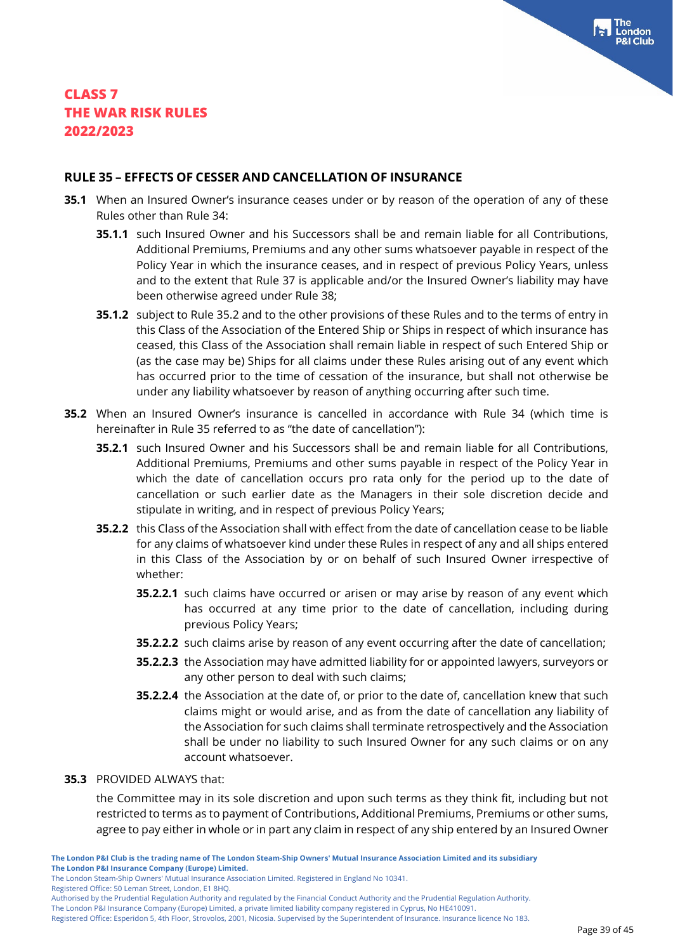#### **RULE 35 – EFFECTS OF CESSER AND CANCELLATION OF INSURANCE**

- **35.1** When an Insured Owner's insurance ceases under or by reason of the operation of any of these Rules other than Rule 34:
	- **35.1.1** such Insured Owner and his Successors shall be and remain liable for all Contributions, Additional Premiums, Premiums and any other sums whatsoever payable in respect of the Policy Year in which the insurance ceases, and in respect of previous Policy Years, unless and to the extent that Rule 37 is applicable and/or the Insured Owner's liability may have been otherwise agreed under Rule 38;
	- **35.1.2** subject to Rule 35.2 and to the other provisions of these Rules and to the terms of entry in this Class of the Association of the Entered Ship or Ships in respect of which insurance has ceased, this Class of the Association shall remain liable in respect of such Entered Ship or (as the case may be) Ships for all claims under these Rules arising out of any event which has occurred prior to the time of cessation of the insurance, but shall not otherwise be under any liability whatsoever by reason of anything occurring after such time.
- **35.2** When an Insured Owner's insurance is cancelled in accordance with Rule 34 (which time is hereinafter in Rule 35 referred to as "the date of cancellation"):
	- **35.2.1** such Insured Owner and his Successors shall be and remain liable for all Contributions, Additional Premiums, Premiums and other sums payable in respect of the Policy Year in which the date of cancellation occurs pro rata only for the period up to the date of cancellation or such earlier date as the Managers in their sole discretion decide and stipulate in writing, and in respect of previous Policy Years;
	- **35.2.2** this Class of the Association shall with effect from the date of cancellation cease to be liable for any claims of whatsoever kind under these Rules in respect of any and all ships entered in this Class of the Association by or on behalf of such Insured Owner irrespective of whether:
		- **35.2.2.1** such claims have occurred or arisen or may arise by reason of any event which has occurred at any time prior to the date of cancellation, including during previous Policy Years;
		- **35.2.2.2** such claims arise by reason of any event occurring after the date of cancellation;
		- **35.2.2.3** the Association may have admitted liability for or appointed lawyers, surveyors or any other person to deal with such claims;
		- **35.2.2.4** the Association at the date of, or prior to the date of, cancellation knew that such claims might or would arise, and as from the date of cancellation any liability of the Association for such claims shall terminate retrospectively and the Association shall be under no liability to such Insured Owner for any such claims or on any account whatsoever.

#### **35.3** PROVIDED ALWAYS that:

the Committee may in its sole discretion and upon such terms as they think fit, including but not restricted to terms as to payment of Contributions, Additional Premiums, Premiums or other sums, agree to pay either in whole or in part any claim in respect of any ship entered by an Insured Owner

Registered Office: 50 Leman Street, London, E1 8HQ.

The London Steam-Ship Owners' Mutual Insurance Association Limited. Registered in England No 10341.

Authorised by the Prudential Regulation Authority and regulated by the Financial Conduct Authority and the Prudential Regulation Authority.

Registered Office: Esperidon 5, 4th Floor, Strovolos, 2001, Nicosia. Supervised by the Superintendent of Insurance. Insurance licence No 183.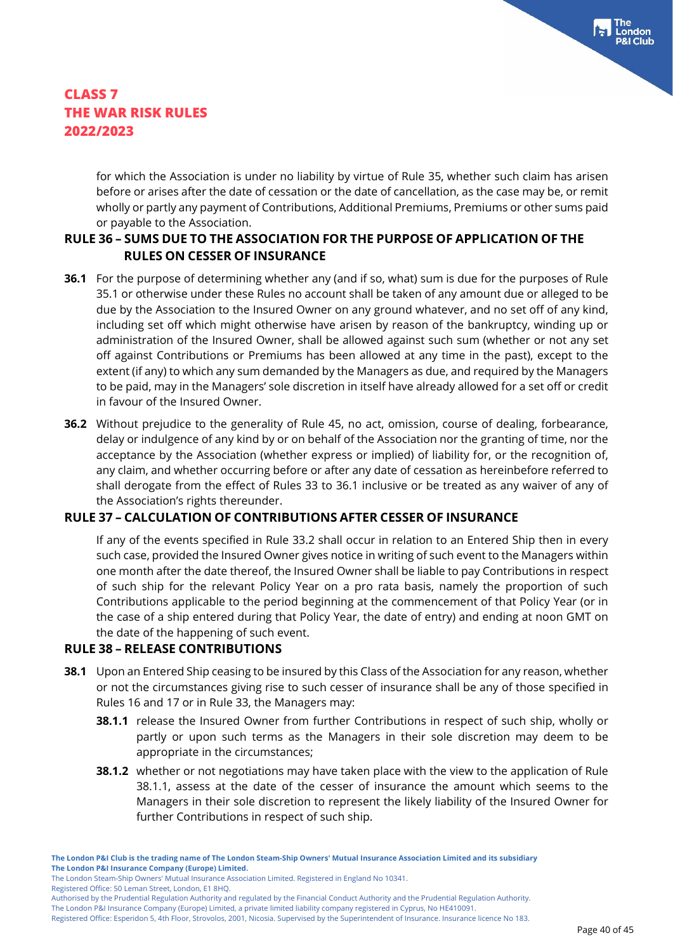for which the Association is under no liability by virtue of Rule 35, whether such claim has arisen before or arises after the date of cessation or the date of cancellation, as the case may be, or remit wholly or partly any payment of Contributions, Additional Premiums, Premiums or other sums paid or payable to the Association.

## **RULE 36 – SUMS DUE TO THE ASSOCIATION FOR THE PURPOSE OF APPLICATION OF THE RULES ON CESSER OF INSURANCE**

- **36.1** For the purpose of determining whether any (and if so, what) sum is due for the purposes of Rule 35.1 or otherwise under these Rules no account shall be taken of any amount due or alleged to be due by the Association to the Insured Owner on any ground whatever, and no set off of any kind, including set off which might otherwise have arisen by reason of the bankruptcy, winding up or administration of the Insured Owner, shall be allowed against such sum (whether or not any set off against Contributions or Premiums has been allowed at any time in the past), except to the extent (if any) to which any sum demanded by the Managers as due, and required by the Managers to be paid, may in the Managers' sole discretion in itself have already allowed for a set off or credit in favour of the Insured Owner.
- **36.2** Without prejudice to the generality of Rule 45, no act, omission, course of dealing, forbearance, delay or indulgence of any kind by or on behalf of the Association nor the granting of time, nor the acceptance by the Association (whether express or implied) of liability for, or the recognition of, any claim, and whether occurring before or after any date of cessation as hereinbefore referred to shall derogate from the effect of Rules 33 to 36.1 inclusive or be treated as any waiver of any of the Association's rights thereunder.

## **RULE 37 – CALCULATION OF CONTRIBUTIONS AFTER CESSER OF INSURANCE**

If any of the events specified in Rule 33.2 shall occur in relation to an Entered Ship then in every such case, provided the Insured Owner gives notice in writing of such event to the Managers within one month after the date thereof, the Insured Owner shall be liable to pay Contributions in respect of such ship for the relevant Policy Year on a pro rata basis, namely the proportion of such Contributions applicable to the period beginning at the commencement of that Policy Year (or in the case of a ship entered during that Policy Year, the date of entry) and ending at noon GMT on the date of the happening of such event.

#### **RULE 38 – RELEASE CONTRIBUTIONS**

- **38.1** Upon an Entered Ship ceasing to be insured by this Class of the Association for any reason, whether or not the circumstances giving rise to such cesser of insurance shall be any of those specified in Rules 16 and 17 or in Rule 33, the Managers may:
	- **38.1.1** release the Insured Owner from further Contributions in respect of such ship, wholly or partly or upon such terms as the Managers in their sole discretion may deem to be appropriate in the circumstances;
	- **38.1.2** whether or not negotiations may have taken place with the view to the application of Rule 38.1.1, assess at the date of the cesser of insurance the amount which seems to the Managers in their sole discretion to represent the likely liability of the Insured Owner for further Contributions in respect of such ship.

Registered Office: 50 Leman Street, London, E1 8HQ.

**The London P&I Club is the trading name of The London Steam-Ship Owners' Mutual Insurance Association Limited and its subsidiary The London P&I Insurance Company (Europe) Limited.**

The London Steam-Ship Owners' Mutual Insurance Association Limited. Registered in England No 10341.

Authorised by the Prudential Regulation Authority and regulated by the Financial Conduct Authority and the Prudential Regulation Authority.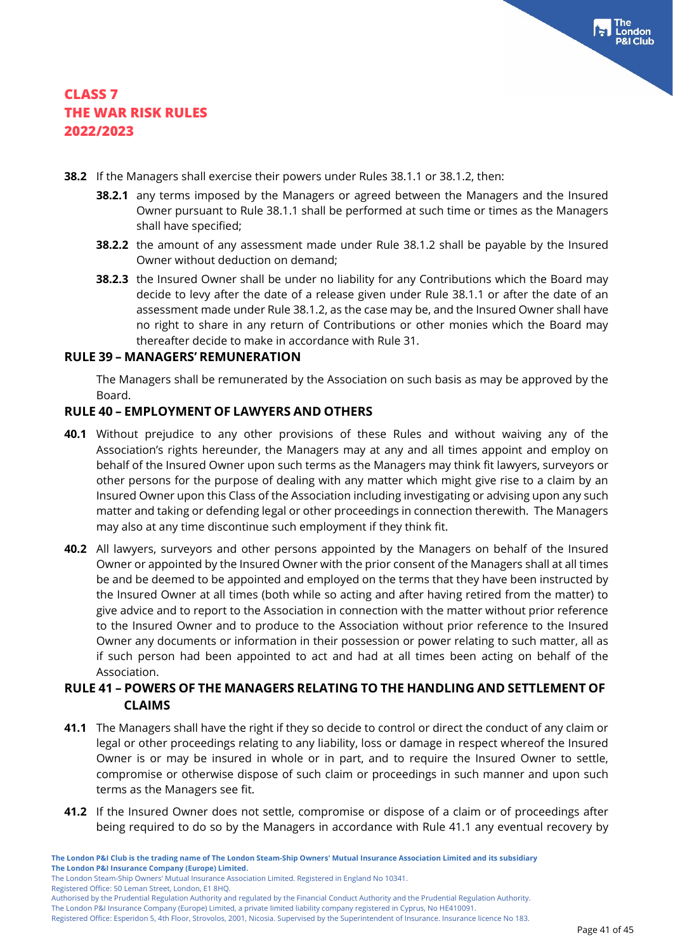- **38.2** If the Managers shall exercise their powers under Rules 38.1.1 or 38.1.2, then:
	- **38.2.1** any terms imposed by the Managers or agreed between the Managers and the Insured Owner pursuant to Rule 38.1.1 shall be performed at such time or times as the Managers shall have specified;
	- **38.2.2** the amount of any assessment made under Rule 38.1.2 shall be payable by the Insured Owner without deduction on demand;
	- **38.2.3** the Insured Owner shall be under no liability for any Contributions which the Board may decide to levy after the date of a release given under Rule 38.1.1 or after the date of an assessment made under Rule 38.1.2, as the case may be, and the Insured Owner shall have no right to share in any return of Contributions or other monies which the Board may thereafter decide to make in accordance with Rule 31.

#### **RULE 39 – MANAGERS' REMUNERATION**

The Managers shall be remunerated by the Association on such basis as may be approved by the Board.

## **RULE 40 – EMPLOYMENT OF LAWYERS AND OTHERS**

- **40.1** Without prejudice to any other provisions of these Rules and without waiving any of the Association's rights hereunder, the Managers may at any and all times appoint and employ on behalf of the Insured Owner upon such terms as the Managers may think fit lawyers, surveyors or other persons for the purpose of dealing with any matter which might give rise to a claim by an Insured Owner upon this Class of the Association including investigating or advising upon any such matter and taking or defending legal or other proceedings in connection therewith. The Managers may also at any time discontinue such employment if they think fit.
- **40.2** All lawyers, surveyors and other persons appointed by the Managers on behalf of the Insured Owner or appointed by the Insured Owner with the prior consent of the Managers shall at all times be and be deemed to be appointed and employed on the terms that they have been instructed by the Insured Owner at all times (both while so acting and after having retired from the matter) to give advice and to report to the Association in connection with the matter without prior reference to the Insured Owner and to produce to the Association without prior reference to the Insured Owner any documents or information in their possession or power relating to such matter, all as if such person had been appointed to act and had at all times been acting on behalf of the Association.

## **RULE 41 – POWERS OF THE MANAGERS RELATING TO THE HANDLING AND SETTLEMENT OF CLAIMS**

- **41.1** The Managers shall have the right if they so decide to control or direct the conduct of any claim or legal or other proceedings relating to any liability, loss or damage in respect whereof the Insured Owner is or may be insured in whole or in part, and to require the Insured Owner to settle, compromise or otherwise dispose of such claim or proceedings in such manner and upon such terms as the Managers see fit.
- **41.2** If the Insured Owner does not settle, compromise or dispose of a claim or of proceedings after being required to do so by the Managers in accordance with Rule 41.1 any eventual recovery by

The London Steam-Ship Owners' Mutual Insurance Association Limited. Registered in England No 10341.

Registered Office: 50 Leman Street, London, E1 8HQ.

Authorised by the Prudential Regulation Authority and regulated by the Financial Conduct Authority and the Prudential Regulation Authority.

The London P&I Insurance Company (Europe) Limited, a private limited liability company registered in Cyprus, No HE410091.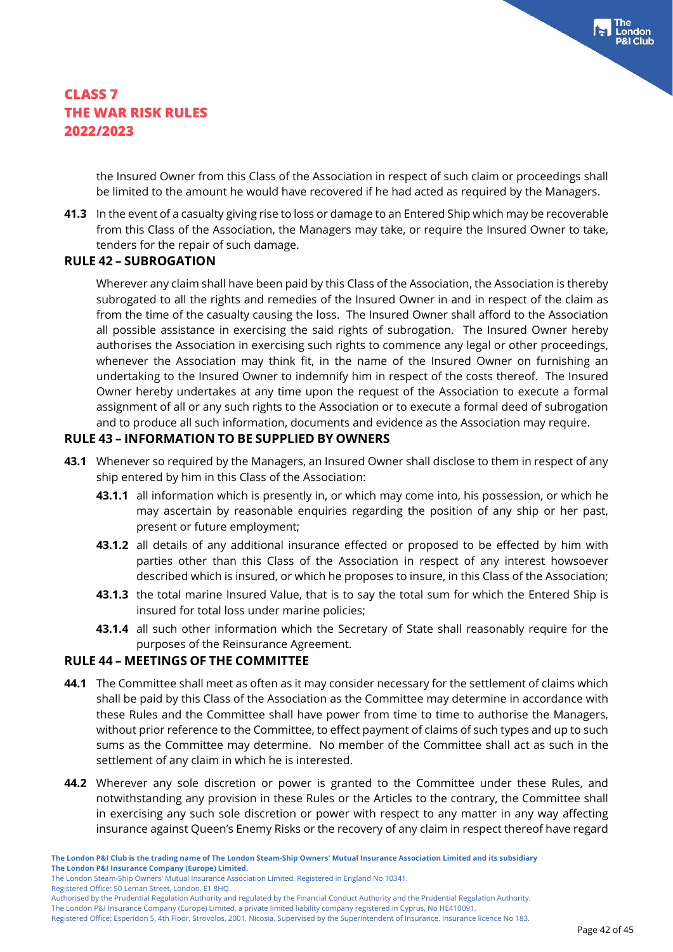the Insured Owner from this Class of the Association in respect of such claim or proceedings shall be limited to the amount he would have recovered if he had acted as required by the Managers.

**41.3** In the event of a casualty giving rise to loss or damage to an Entered Ship which may be recoverable from this Class of the Association, the Managers may take, or require the Insured Owner to take, tenders for the repair of such damage.

#### **RULE 42 – SUBROGATION**

Wherever any claim shall have been paid by this Class of the Association, the Association is thereby subrogated to all the rights and remedies of the Insured Owner in and in respect of the claim as from the time of the casualty causing the loss. The Insured Owner shall afford to the Association all possible assistance in exercising the said rights of subrogation. The Insured Owner hereby authorises the Association in exercising such rights to commence any legal or other proceedings, whenever the Association may think fit, in the name of the Insured Owner on furnishing an undertaking to the Insured Owner to indemnify him in respect of the costs thereof. The Insured Owner hereby undertakes at any time upon the request of the Association to execute a formal assignment of all or any such rights to the Association or to execute a formal deed of subrogation and to produce all such information, documents and evidence as the Association may require.

## **RULE 43 – INFORMATION TO BE SUPPLIED BY OWNERS**

- **43.1** Whenever so required by the Managers, an Insured Owner shall disclose to them in respect of any ship entered by him in this Class of the Association:
	- **43.1.1** all information which is presently in, or which may come into, his possession, or which he may ascertain by reasonable enquiries regarding the position of any ship or her past, present or future employment;
	- **43.1.2** all details of any additional insurance effected or proposed to be effected by him with parties other than this Class of the Association in respect of any interest howsoever described which is insured, or which he proposes to insure, in this Class of the Association;
	- **43.1.3** the total marine Insured Value, that is to say the total sum for which the Entered Ship is insured for total loss under marine policies;
	- **43.1.4** all such other information which the Secretary of State shall reasonably require for the purposes of the Reinsurance Agreement.

## **RULE 44 – MEETINGS OF THE COMMITTEE**

- **44.1** The Committee shall meet as often as it may consider necessary for the settlement of claims which shall be paid by this Class of the Association as the Committee may determine in accordance with these Rules and the Committee shall have power from time to time to authorise the Managers, without prior reference to the Committee, to effect payment of claims of such types and up to such sums as the Committee may determine. No member of the Committee shall act as such in the settlement of any claim in which he is interested.
- **44.2** Wherever any sole discretion or power is granted to the Committee under these Rules, and notwithstanding any provision in these Rules or the Articles to the contrary, the Committee shall in exercising any such sole discretion or power with respect to any matter in any way affecting insurance against Queen's Enemy Risks or the recovery of any claim in respect thereof have regard

Registered Office: 50 Leman Street, London, E1 8HQ.

The London Steam-Ship Owners' Mutual Insurance Association Limited. Registered in England No 10341.

Authorised by the Prudential Regulation Authority and regulated by the Financial Conduct Authority and the Prudential Regulation Authority.

Registered Office: Esperidon 5, 4th Floor, Strovolos, 2001, Nicosia. Supervised by the Superintendent of Insurance. Insurance licence No 183.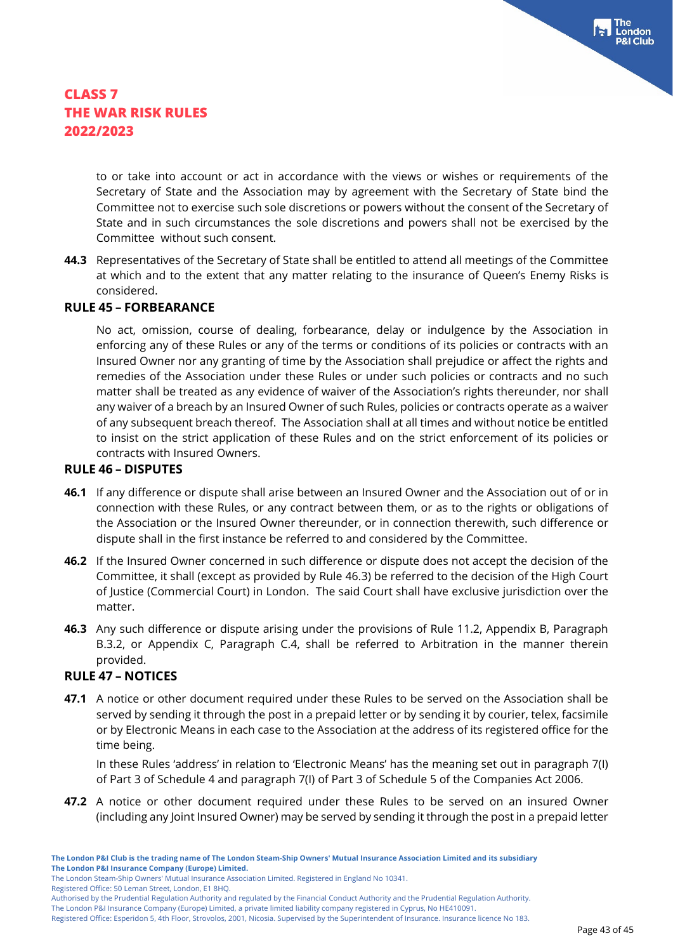to or take into account or act in accordance with the views or wishes or requirements of the Secretary of State and the Association may by agreement with the Secretary of State bind the Committee not to exercise such sole discretions or powers without the consent of the Secretary of State and in such circumstances the sole discretions and powers shall not be exercised by the Committee without such consent.

**44.3** Representatives of the Secretary of State shall be entitled to attend all meetings of the Committee at which and to the extent that any matter relating to the insurance of Queen's Enemy Risks is considered.

#### **RULE 45 – FORBEARANCE**

No act, omission, course of dealing, forbearance, delay or indulgence by the Association in enforcing any of these Rules or any of the terms or conditions of its policies or contracts with an Insured Owner nor any granting of time by the Association shall prejudice or affect the rights and remedies of the Association under these Rules or under such policies or contracts and no such matter shall be treated as any evidence of waiver of the Association's rights thereunder, nor shall any waiver of a breach by an Insured Owner of such Rules, policies or contracts operate as a waiver of any subsequent breach thereof. The Association shall at all times and without notice be entitled to insist on the strict application of these Rules and on the strict enforcement of its policies or contracts with Insured Owners.

#### **RULE 46 – DISPUTES**

- **46.1** If any difference or dispute shall arise between an Insured Owner and the Association out of or in connection with these Rules, or any contract between them, or as to the rights or obligations of the Association or the Insured Owner thereunder, or in connection therewith, such difference or dispute shall in the first instance be referred to and considered by the Committee.
- **46.2** If the Insured Owner concerned in such difference or dispute does not accept the decision of the Committee, it shall (except as provided by Rule 46.3) be referred to the decision of the High Court of Justice (Commercial Court) in London. The said Court shall have exclusive jurisdiction over the matter.
- **46.3** Any such difference or dispute arising under the provisions of Rule 11.2, Appendix B, Paragraph B.3.2, or Appendix C, Paragraph C.4, shall be referred to Arbitration in the manner therein provided.

#### **RULE 47 – NOTICES**

**47.1** A notice or other document required under these Rules to be served on the Association shall be served by sending it through the post in a prepaid letter or by sending it by courier, telex, facsimile or by Electronic Means in each case to the Association at the address of its registered office for the time being.

In these Rules 'address' in relation to 'Electronic Means' has the meaning set out in paragraph 7(I) of Part 3 of Schedule 4 and paragraph 7(I) of Part 3 of Schedule 5 of the Companies Act 2006.

**47.2** A notice or other document required under these Rules to be served on an insured Owner (including any Joint Insured Owner) may be served by sending it through the post in a prepaid letter

Registered Office: 50 Leman Street, London, E1 8HQ.

Authorised by the Prudential Regulation Authority and regulated by the Financial Conduct Authority and the Prudential Regulation Authority.

The London P&I Insurance Company (Europe) Limited, a private limited liability company registered in Cyprus, No HE410091.

The London Steam-Ship Owners' Mutual Insurance Association Limited. Registered in England No 10341.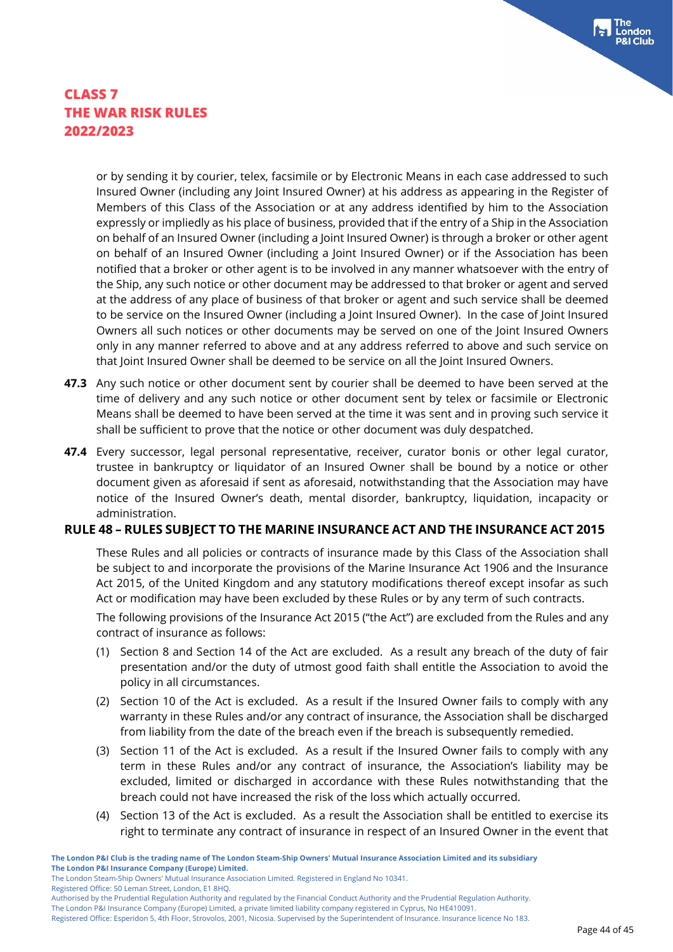or by sending it by courier, telex, facsimile or by Electronic Means in each case addressed to such Insured Owner (including any Joint Insured Owner) at his address as appearing in the Register of Members of this Class of the Association or at any address identified by him to the Association expressly or impliedly as his place of business, provided that if the entry of a Ship in the Association on behalf of an Insured Owner (including a Joint Insured Owner) is through a broker or other agent on behalf of an Insured Owner (including a Joint Insured Owner) or if the Association has been notified that a broker or other agent is to be involved in any manner whatsoever with the entry of the Ship, any such notice or other document may be addressed to that broker or agent and served at the address of any place of business of that broker or agent and such service shall be deemed to be service on the Insured Owner (including a Joint Insured Owner). In the case of Joint Insured Owners all such notices or other documents may be served on one of the Joint Insured Owners only in any manner referred to above and at any address referred to above and such service on that Joint Insured Owner shall be deemed to be service on all the Joint Insured Owners.

- **47.3** Any such notice or other document sent by courier shall be deemed to have been served at the time of delivery and any such notice or other document sent by telex or facsimile or Electronic Means shall be deemed to have been served at the time it was sent and in proving such service it shall be sufficient to prove that the notice or other document was duly despatched.
- **47.4** Every successor, legal personal representative, receiver, curator bonis or other legal curator, trustee in bankruptcy or liquidator of an Insured Owner shall be bound by a notice or other document given as aforesaid if sent as aforesaid, notwithstanding that the Association may have notice of the Insured Owner's death, mental disorder, bankruptcy, liquidation, incapacity or administration.

#### **RULE 48 – RULES SUBJECT TO THE MARINE INSURANCE ACT AND THE INSURANCE ACT 2015**

These Rules and all policies or contracts of insurance made by this Class of the Association shall be subject to and incorporate the provisions of the Marine Insurance Act 1906 and the Insurance Act 2015, of the United Kingdom and any statutory modifications thereof except insofar as such Act or modification may have been excluded by these Rules or by any term of such contracts.

The following provisions of the Insurance Act 2015 ("the Act") are excluded from the Rules and any contract of insurance as follows:

- (1) Section 8 and Section 14 of the Act are excluded. As a result any breach of the duty of fair presentation and/or the duty of utmost good faith shall entitle the Association to avoid the policy in all circumstances.
- (2) Section 10 of the Act is excluded. As a result if the Insured Owner fails to comply with any warranty in these Rules and/or any contract of insurance, the Association shall be discharged from liability from the date of the breach even if the breach is subsequently remedied.
- (3) Section 11 of the Act is excluded. As a result if the Insured Owner fails to comply with any term in these Rules and/or any contract of insurance, the Association's liability may be excluded, limited or discharged in accordance with these Rules notwithstanding that the breach could not have increased the risk of the loss which actually occurred.
- (4) Section 13 of the Act is excluded. As a result the Association shall be entitled to exercise its right to terminate any contract of insurance in respect of an Insured Owner in the event that

**The London P&I Club is the trading name of The London Steam-Ship Owners' Mutual Insurance Association Limited and its subsidiary The London P&I Insurance Company (Europe) Limited.**

The London Steam-Ship Owners' Mutual Insurance Association Limited. Registered in England No 10341.

Registered Office: 50 Leman Street, London, E1 8HQ.

Authorised by the Prudential Regulation Authority and regulated by the Financial Conduct Authority and the Prudential Regulation Authority.

The London P&I Insurance Company (Europe) Limited, a private limited liability company registered in Cyprus, No HE410091.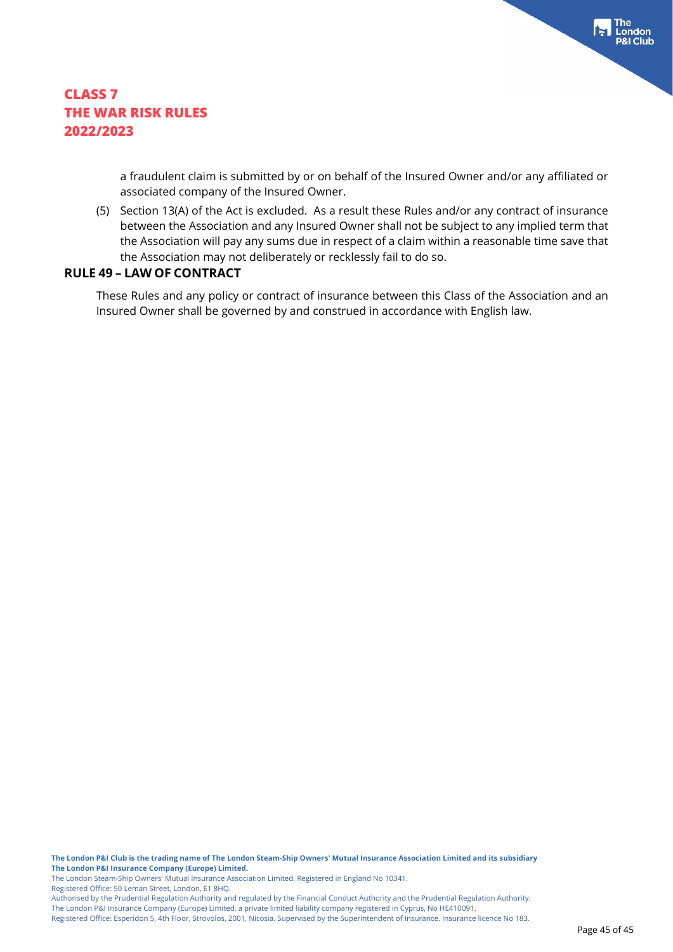a fraudulent claim is submitted by or on behalf of the Insured Owner and/or any affiliated or associated company of the Insured Owner.

(5) Section 13(A) of the Act is excluded. As a result these Rules and/or any contract of insurance between the Association and any Insured Owner shall not be subject to any implied term that the Association will pay any sums due in respect of a claim within a reasonable time save that the Association may not deliberately or recklessly fail to do so.

#### **RULE 49 – LAW OF CONTRACT**

These Rules and any policy or contract of insurance between this Class of the Association and an Insured Owner shall be governed by and construed in accordance with English law.

**The London P&I Club is the trading name of The London Steam-Ship Owners' Mutual Insurance Association Limited and its subsidiary The London P&I Insurance Company (Europe) Limited.**

The London Steam-Ship Owners' Mutual Insurance Association Limited. Registered in England No 10341.

Registered Office: 50 Leman Street, London, E1 8HQ.

Authorised by the Prudential Regulation Authority and regulated by the Financial Conduct Authority and the Prudential Regulation Authority. The London P&I Insurance Company (Europe) Limited, a private limited liability company registered in Cyprus, No HE410091.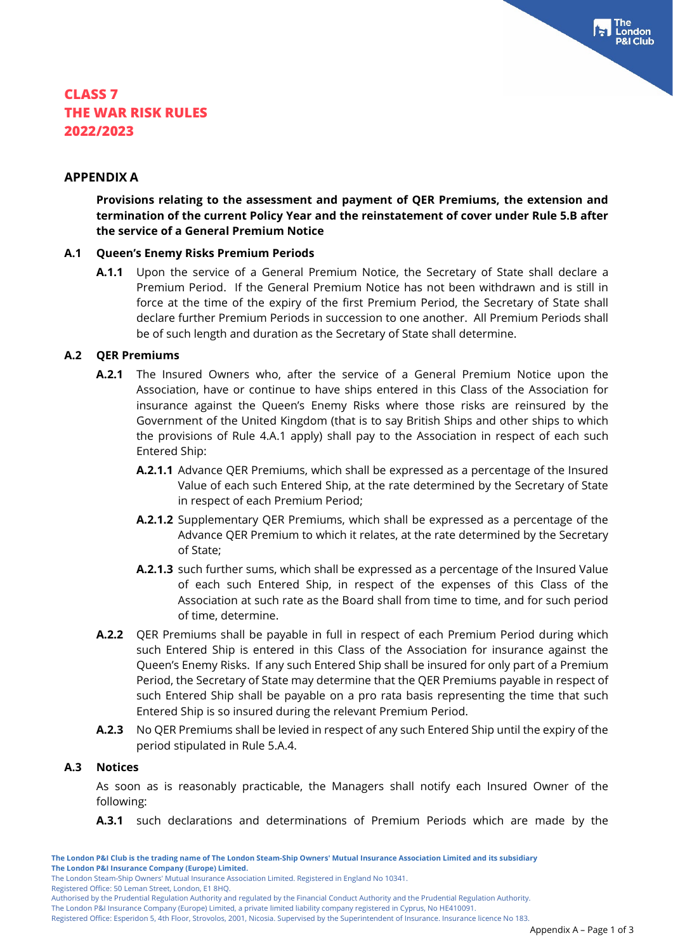#### **APPENDIX A**

**Provisions relating to the assessment and payment of QER Premiums, the extension and termination of the current Policy Year and the reinstatement of cover under Rule 5.B after the service of a General Premium Notice**

#### **A.1 Queen's Enemy Risks Premium Periods**

**A.1.1** Upon the service of a General Premium Notice, the Secretary of State shall declare a Premium Period. If the General Premium Notice has not been withdrawn and is still in force at the time of the expiry of the first Premium Period, the Secretary of State shall declare further Premium Periods in succession to one another. All Premium Periods shall be of such length and duration as the Secretary of State shall determine.

#### **A.2 QER Premiums**

- **A.2.1** The Insured Owners who, after the service of a General Premium Notice upon the Association, have or continue to have ships entered in this Class of the Association for insurance against the Queen's Enemy Risks where those risks are reinsured by the Government of the United Kingdom (that is to say British Ships and other ships to which the provisions of Rule 4.A.1 apply) shall pay to the Association in respect of each such Entered Ship:
	- **A.2.1.1** Advance QER Premiums, which shall be expressed as a percentage of the Insured Value of each such Entered Ship, at the rate determined by the Secretary of State in respect of each Premium Period;
	- **A.2.1.2** Supplementary QER Premiums, which shall be expressed as a percentage of the Advance QER Premium to which it relates, at the rate determined by the Secretary of State;
	- **A.2.1.3** such further sums, which shall be expressed as a percentage of the Insured Value of each such Entered Ship, in respect of the expenses of this Class of the Association at such rate as the Board shall from time to time, and for such period of time, determine.
- **A.2.2** QER Premiums shall be payable in full in respect of each Premium Period during which such Entered Ship is entered in this Class of the Association for insurance against the Queen's Enemy Risks. If any such Entered Ship shall be insured for only part of a Premium Period, the Secretary of State may determine that the QER Premiums payable in respect of such Entered Ship shall be payable on a pro rata basis representing the time that such Entered Ship is so insured during the relevant Premium Period.
- **A.2.3** No QER Premiums shall be levied in respect of any such Entered Ship until the expiry of the period stipulated in Rule 5.A.4.

#### **A.3 Notices**

As soon as is reasonably practicable, the Managers shall notify each Insured Owner of the following:

**A.3.1** such declarations and determinations of Premium Periods which are made by the

Registered Office: 50 Leman Street, London, E1 8HQ.

The London P&I Insurance Company (Europe) Limited, a private limited liability company registered in Cyprus, No HE410091.

ondon

The London Steam-Ship Owners' Mutual Insurance Association Limited. Registered in England No 10341.

Authorised by the Prudential Regulation Authority and regulated by the Financial Conduct Authority and the Prudential Regulation Authority.

Registered Office: Esperidon 5, 4th Floor, Strovolos, 2001, Nicosia. Supervised by the Superintendent of Insurance. Insurance licence No 183.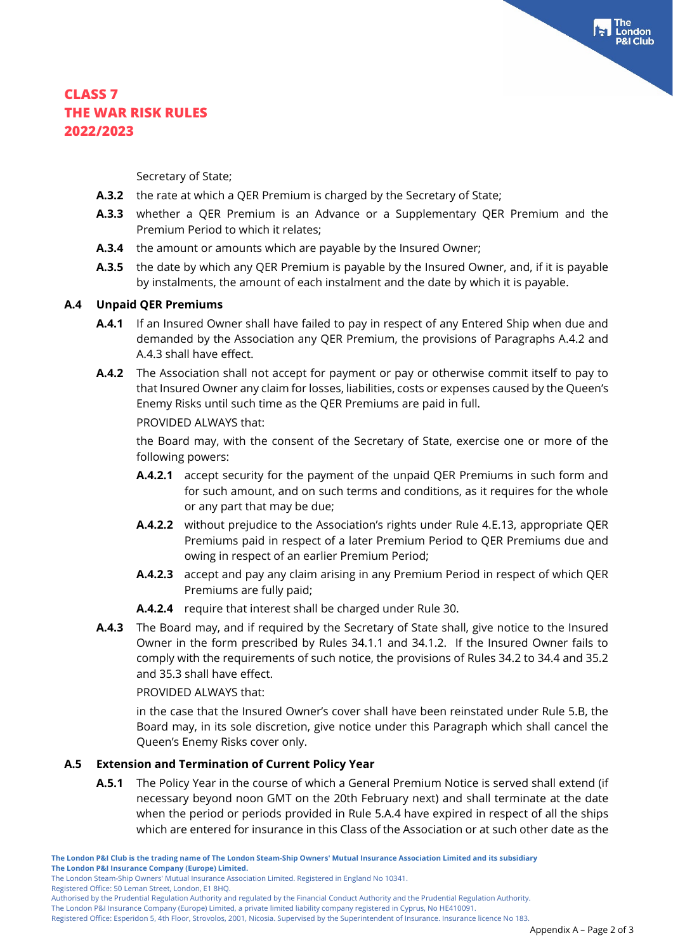Secretary of State;

- **A.3.2** the rate at which a QER Premium is charged by the Secretary of State;
- **A.3.3** whether a QER Premium is an Advance or a Supplementary QER Premium and the Premium Period to which it relates;
- **A.3.4** the amount or amounts which are payable by the Insured Owner;
- **A.3.5** the date by which any QER Premium is payable by the Insured Owner, and, if it is payable by instalments, the amount of each instalment and the date by which it is payable.

## **A.4 Unpaid QER Premiums**

- **A.4.1** If an Insured Owner shall have failed to pay in respect of any Entered Ship when due and demanded by the Association any QER Premium, the provisions of Paragraphs A.4.2 and A.4.3 shall have effect.
- **A.4.2** The Association shall not accept for payment or pay or otherwise commit itself to pay to that Insured Owner any claim for losses, liabilities, costs or expenses caused by the Queen's Enemy Risks until such time as the QER Premiums are paid in full.

PROVIDED ALWAYS that:

the Board may, with the consent of the Secretary of State, exercise one or more of the following powers:

- **A.4.2.1** accept security for the payment of the unpaid QER Premiums in such form and for such amount, and on such terms and conditions, as it requires for the whole or any part that may be due;
- **A.4.2.2** without prejudice to the Association's rights under Rule 4.E.13, appropriate QER Premiums paid in respect of a later Premium Period to QER Premiums due and owing in respect of an earlier Premium Period;
- **A.4.2.3** accept and pay any claim arising in any Premium Period in respect of which QER Premiums are fully paid;
- **A.4.2.4** require that interest shall be charged under Rule 30.
- **A.4.3** The Board may, and if required by the Secretary of State shall, give notice to the Insured Owner in the form prescribed by Rules 34.1.1 and 34.1.2. If the Insured Owner fails to comply with the requirements of such notice, the provisions of Rules 34.2 to 34.4 and 35.2 and 35.3 shall have effect.

PROVIDED ALWAYS that:

in the case that the Insured Owner's cover shall have been reinstated under Rule 5.B, the Board may, in its sole discretion, give notice under this Paragraph which shall cancel the Queen's Enemy Risks cover only.

## **A.5 Extension and Termination of Current Policy Year**

**A.5.1** The Policy Year in the course of which a General Premium Notice is served shall extend (if necessary beyond noon GMT on the 20th February next) and shall terminate at the date when the period or periods provided in Rule 5.A.4 have expired in respect of all the ships which are entered for insurance in this Class of the Association or at such other date as the

The London Steam-Ship Owners' Mutual Insurance Association Limited. Registered in England No 10341.

Registered Office: 50 Leman Street, London, E1 8HQ.

Authorised by the Prudential Regulation Authority and regulated by the Financial Conduct Authority and the Prudential Regulation Authority.

Registered Office: Esperidon 5, 4th Floor, Strovolos, 2001, Nicosia. Supervised by the Superintendent of Insurance. Insurance licence No 183.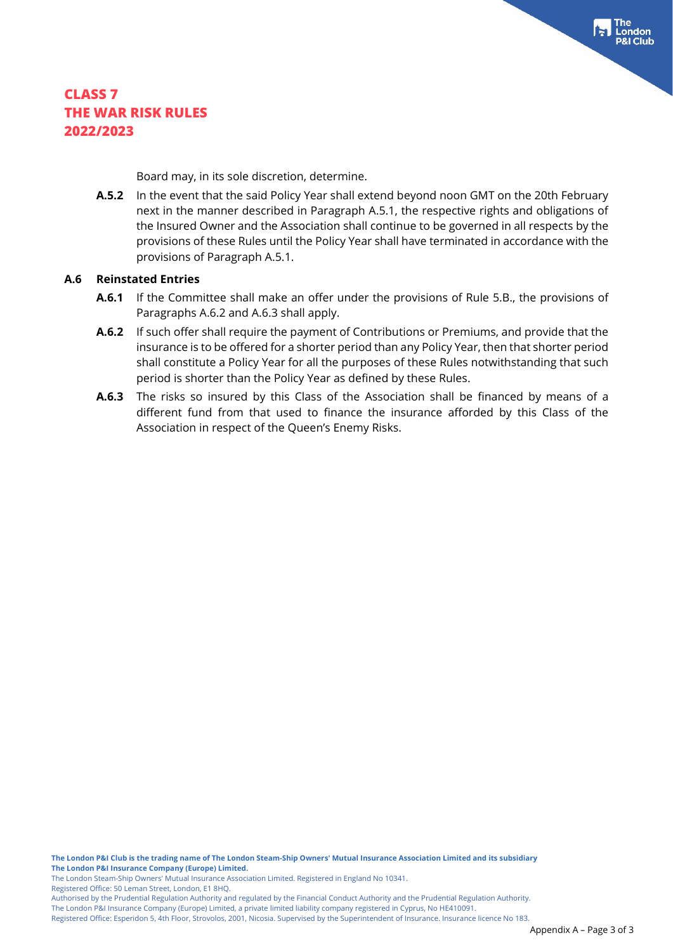Board may, in its sole discretion, determine.

**A.5.2** In the event that the said Policy Year shall extend beyond noon GMT on the 20th February next in the manner described in Paragraph A.5.1, the respective rights and obligations of the Insured Owner and the Association shall continue to be governed in all respects by the provisions of these Rules until the Policy Year shall have terminated in accordance with the provisions of Paragraph A.5.1.

#### **A.6 Reinstated Entries**

- **A.6.1** If the Committee shall make an offer under the provisions of Rule 5.B., the provisions of Paragraphs A.6.2 and A.6.3 shall apply.
- **A.6.2** If such offer shall require the payment of Contributions or Premiums, and provide that the insurance is to be offered for a shorter period than any Policy Year, then that shorter period shall constitute a Policy Year for all the purposes of these Rules notwithstanding that such period is shorter than the Policy Year as defined by these Rules.
- **A.6.3** The risks so insured by this Class of the Association shall be financed by means of a different fund from that used to finance the insurance afforded by this Class of the Association in respect of the Queen's Enemy Risks.

**The London P&I Club is the trading name of The London Steam-Ship Owners' Mutual Insurance Association Limited and its subsidiary The London P&I Insurance Company (Europe) Limited.**

The London Steam-Ship Owners' Mutual Insurance Association Limited. Registered in England No 10341.

Registered Office: 50 Leman Street, London, E1 8HQ.

Authorised by the Prudential Regulation Authority and regulated by the Financial Conduct Authority and the Prudential Regulation Authority.

The London P&I Insurance Company (Europe) Limited, a private limited liability company registered in Cyprus, No HE410091.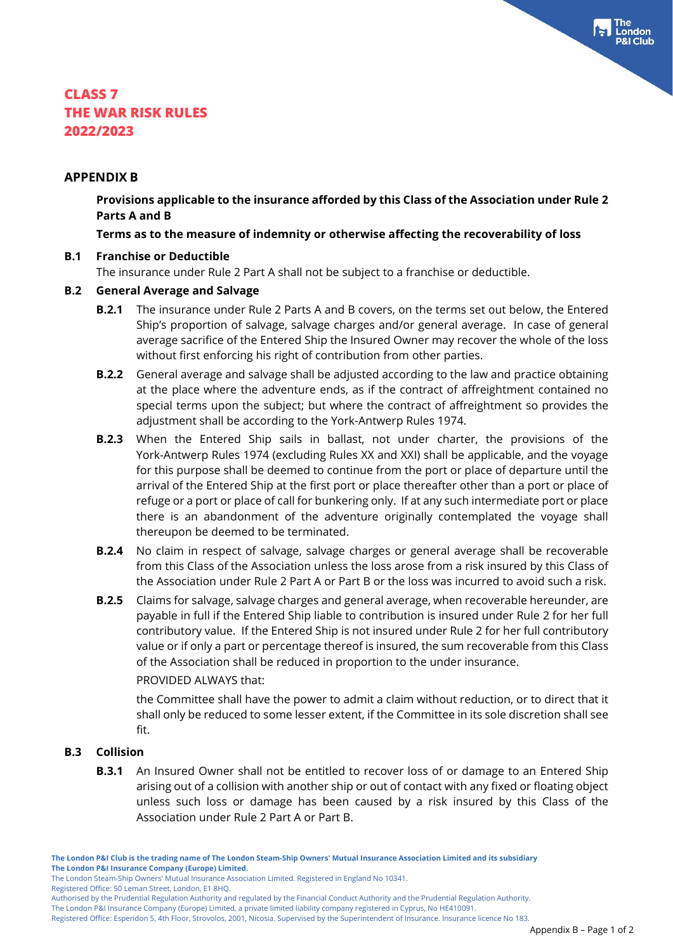#### **APPENDIX B**

**Provisions applicable to the insurance afforded by this Class of the Association under Rule 2 Parts A and B**

#### **Terms as to the measure of indemnity or otherwise affecting the recoverability of loss**

#### **B.1 Franchise or Deductible**

The insurance under Rule 2 Part A shall not be subject to a franchise or deductible.

#### **B.2 General Average and Salvage**

- **B.2.1** The insurance under Rule 2 Parts A and B covers, on the terms set out below, the Entered Ship's proportion of salvage, salvage charges and/or general average. In case of general average sacrifice of the Entered Ship the Insured Owner may recover the whole of the loss without first enforcing his right of contribution from other parties.
- **B.2.2** General average and salvage shall be adjusted according to the law and practice obtaining at the place where the adventure ends, as if the contract of affreightment contained no special terms upon the subject; but where the contract of affreightment so provides the adjustment shall be according to the York-Antwerp Rules 1974.
- **B.2.3** When the Entered Ship sails in ballast, not under charter, the provisions of the York-Antwerp Rules 1974 (excluding Rules XX and XXI) shall be applicable, and the voyage for this purpose shall be deemed to continue from the port or place of departure until the arrival of the Entered Ship at the first port or place thereafter other than a port or place of refuge or a port or place of call for bunkering only. If at any such intermediate port or place there is an abandonment of the adventure originally contemplated the voyage shall thereupon be deemed to be terminated.
- **B.2.4** No claim in respect of salvage, salvage charges or general average shall be recoverable from this Class of the Association unless the loss arose from a risk insured by this Class of the Association under Rule 2 Part A or Part B or the loss was incurred to avoid such a risk.
- **B.2.5** Claims for salvage, salvage charges and general average, when recoverable hereunder, are payable in full if the Entered Ship liable to contribution is insured under Rule 2 for her full contributory value. If the Entered Ship is not insured under Rule 2 for her full contributory value or if only a part or percentage thereof is insured, the sum recoverable from this Class of the Association shall be reduced in proportion to the under insurance.

#### PROVIDED ALWAYS that:

the Committee shall have the power to admit a claim without reduction, or to direct that it shall only be reduced to some lesser extent, if the Committee in its sole discretion shall see fit.

#### **B.3 Collision**

**B.3.1** An Insured Owner shall not be entitled to recover loss of or damage to an Entered Ship arising out of a collision with another ship or out of contact with any fixed or floating object unless such loss or damage has been caused by a risk insured by this Class of the Association under Rule 2 Part A or Part B.

Registered Office: 50 Leman Street, London, E1 8HQ.

The London Steam-Ship Owners' Mutual Insurance Association Limited. Registered in England No 10341.

Authorised by the Prudential Regulation Authority and regulated by the Financial Conduct Authority and the Prudential Regulation Authority.

The London P&I Insurance Company (Europe) Limited, a private limited liability company registered in Cyprus, No HE410091.

Registered Office: Esperidon 5, 4th Floor, Strovolos, 2001, Nicosia. Supervised by the Superintendent of Insurance. Insurance licence No 183.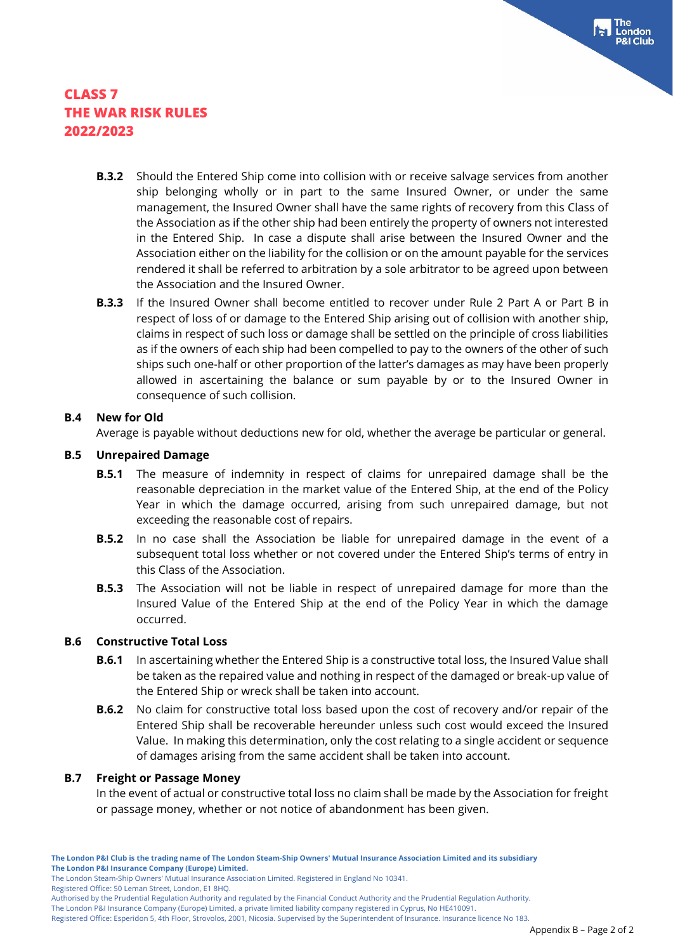- **B.3.2** Should the Entered Ship come into collision with or receive salvage services from another ship belonging wholly or in part to the same Insured Owner, or under the same management, the Insured Owner shall have the same rights of recovery from this Class of the Association as if the other ship had been entirely the property of owners not interested in the Entered Ship. In case a dispute shall arise between the Insured Owner and the Association either on the liability for the collision or on the amount payable for the services rendered it shall be referred to arbitration by a sole arbitrator to be agreed upon between the Association and the Insured Owner.
- **B.3.3** If the Insured Owner shall become entitled to recover under Rule 2 Part A or Part B in respect of loss of or damage to the Entered Ship arising out of collision with another ship, claims in respect of such loss or damage shall be settled on the principle of cross liabilities as if the owners of each ship had been compelled to pay to the owners of the other of such ships such one-half or other proportion of the latter's damages as may have been properly allowed in ascertaining the balance or sum payable by or to the Insured Owner in consequence of such collision.

#### **B.4 New for Old**

Average is payable without deductions new for old, whether the average be particular or general.

#### **B.5 Unrepaired Damage**

- **B.5.1** The measure of indemnity in respect of claims for unrepaired damage shall be the reasonable depreciation in the market value of the Entered Ship, at the end of the Policy Year in which the damage occurred, arising from such unrepaired damage, but not exceeding the reasonable cost of repairs.
- **B.5.2** In no case shall the Association be liable for unrepaired damage in the event of a subsequent total loss whether or not covered under the Entered Ship's terms of entry in this Class of the Association.
- **B.5.3** The Association will not be liable in respect of unrepaired damage for more than the Insured Value of the Entered Ship at the end of the Policy Year in which the damage occurred.

#### **B.6 Constructive Total Loss**

- **B.6.1** In ascertaining whether the Entered Ship is a constructive total loss, the Insured Value shall be taken as the repaired value and nothing in respect of the damaged or break-up value of the Entered Ship or wreck shall be taken into account.
- **B.6.2** No claim for constructive total loss based upon the cost of recovery and/or repair of the Entered Ship shall be recoverable hereunder unless such cost would exceed the Insured Value. In making this determination, only the cost relating to a single accident or sequence of damages arising from the same accident shall be taken into account.

#### **B.7 Freight or Passage Money**

In the event of actual or constructive total loss no claim shall be made by the Association for freight or passage money, whether or not notice of abandonment has been given.

The London Steam-Ship Owners' Mutual Insurance Association Limited. Registered in England No 10341.

Registered Office: 50 Leman Street, London, E1 8HQ.

The London P&I Insurance Company (Europe) Limited, a private limited liability company registered in Cyprus, No HE410091.

Authorised by the Prudential Regulation Authority and regulated by the Financial Conduct Authority and the Prudential Regulation Authority.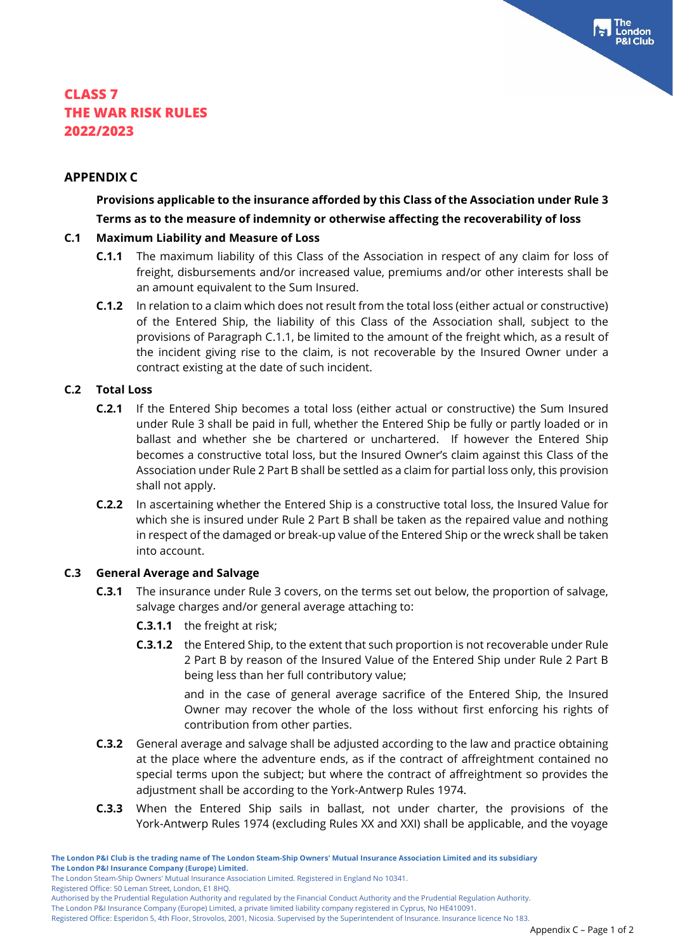#### **APPENDIX C**

# **Provisions applicable to the insurance afforded by this Class of the Association under Rule 3 Terms as to the measure of indemnity or otherwise affecting the recoverability of loss**

#### **C.1 Maximum Liability and Measure of Loss**

- **C.1.1** The maximum liability of this Class of the Association in respect of any claim for loss of freight, disbursements and/or increased value, premiums and/or other interests shall be an amount equivalent to the Sum Insured.
- **C.1.2** In relation to a claim which does not result from the total loss (either actual or constructive) of the Entered Ship, the liability of this Class of the Association shall, subject to the provisions of Paragraph C.1.1, be limited to the amount of the freight which, as a result of the incident giving rise to the claim, is not recoverable by the Insured Owner under a contract existing at the date of such incident.

#### **C.2 Total Loss**

- **C.2.1** If the Entered Ship becomes a total loss (either actual or constructive) the Sum Insured under Rule 3 shall be paid in full, whether the Entered Ship be fully or partly loaded or in ballast and whether she be chartered or unchartered. If however the Entered Ship becomes a constructive total loss, but the Insured Owner's claim against this Class of the Association under Rule 2 Part B shall be settled as a claim for partial loss only, this provision shall not apply.
- **C.2.2** In ascertaining whether the Entered Ship is a constructive total loss, the Insured Value for which she is insured under Rule 2 Part B shall be taken as the repaired value and nothing in respect of the damaged or break-up value of the Entered Ship or the wreck shall be taken into account.

#### **C.3 General Average and Salvage**

- **C.3.1** The insurance under Rule 3 covers, on the terms set out below, the proportion of salvage, salvage charges and/or general average attaching to:
	- **C.3.1.1** the freight at risk;
	- **C.3.1.2** the Entered Ship, to the extent that such proportion is not recoverable under Rule 2 Part B by reason of the Insured Value of the Entered Ship under Rule 2 Part B being less than her full contributory value;

and in the case of general average sacrifice of the Entered Ship, the Insured Owner may recover the whole of the loss without first enforcing his rights of contribution from other parties.

- **C.3.2** General average and salvage shall be adjusted according to the law and practice obtaining at the place where the adventure ends, as if the contract of affreightment contained no special terms upon the subject; but where the contract of affreightment so provides the adjustment shall be according to the York-Antwerp Rules 1974.
- **C.3.3** When the Entered Ship sails in ballast, not under charter, the provisions of the York-Antwerp Rules 1974 (excluding Rules XX and XXI) shall be applicable, and the voyage

The London Steam-Ship Owners' Mutual Insurance Association Limited. Registered in England No 10341.

Registered Office: 50 Leman Street, London, E1 8HQ.

The London P&I Insurance Company (Europe) Limited, a private limited liability company registered in Cyprus, No HE410091.

Authorised by the Prudential Regulation Authority and regulated by the Financial Conduct Authority and the Prudential Regulation Authority.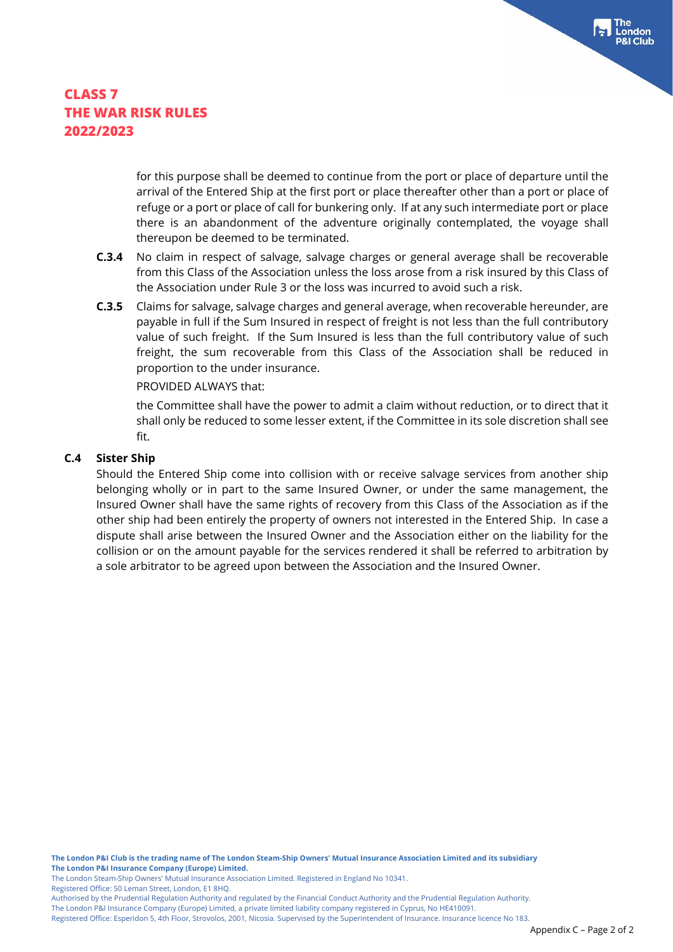for this purpose shall be deemed to continue from the port or place of departure until the arrival of the Entered Ship at the first port or place thereafter other than a port or place of refuge or a port or place of call for bunkering only. If at any such intermediate port or place there is an abandonment of the adventure originally contemplated, the voyage shall thereupon be deemed to be terminated.

- **C.3.4** No claim in respect of salvage, salvage charges or general average shall be recoverable from this Class of the Association unless the loss arose from a risk insured by this Class of the Association under Rule 3 or the loss was incurred to avoid such a risk.
- **C.3.5** Claims for salvage, salvage charges and general average, when recoverable hereunder, are payable in full if the Sum Insured in respect of freight is not less than the full contributory value of such freight. If the Sum Insured is less than the full contributory value of such freight, the sum recoverable from this Class of the Association shall be reduced in proportion to the under insurance.

#### PROVIDED ALWAYS that:

the Committee shall have the power to admit a claim without reduction, or to direct that it shall only be reduced to some lesser extent, if the Committee in its sole discretion shall see fit.

#### **C.4 Sister Ship**

Should the Entered Ship come into collision with or receive salvage services from another ship belonging wholly or in part to the same Insured Owner, or under the same management, the Insured Owner shall have the same rights of recovery from this Class of the Association as if the other ship had been entirely the property of owners not interested in the Entered Ship. In case a dispute shall arise between the Insured Owner and the Association either on the liability for the collision or on the amount payable for the services rendered it shall be referred to arbitration by a sole arbitrator to be agreed upon between the Association and the Insured Owner.

**The London P&I Club is the trading name of The London Steam-Ship Owners' Mutual Insurance Association Limited and its subsidiary The London P&I Insurance Company (Europe) Limited.**

The London Steam-Ship Owners' Mutual Insurance Association Limited. Registered in England No 10341.

Registered Office: 50 Leman Street, London, E1 8HQ.

The London P&I Insurance Company (Europe) Limited, a private limited liability company registered in Cyprus, No HE410091.

Authorised by the Prudential Regulation Authority and regulated by the Financial Conduct Authority and the Prudential Regulation Authority.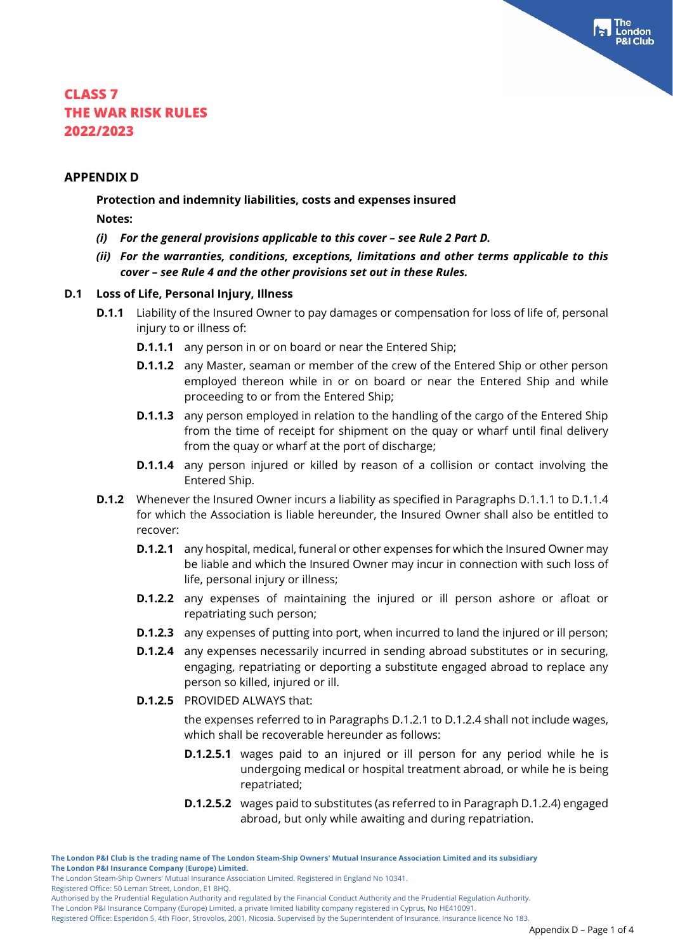#### **APPENDIX D**

**Protection and indemnity liabilities, costs and expenses insured Notes:**

- *(i) For the general provisions applicable to this cover – see Rule 2 Part D.*
- *(ii) For the warranties, conditions, exceptions, limitations and other terms applicable to this cover – see Rule 4 and the other provisions set out in these Rules.*

#### **D.1 Loss of Life, Personal Injury, Illness**

- **D.1.1** Liability of the Insured Owner to pay damages or compensation for loss of life of, personal injury to or illness of:
	- **D.1.1.1** any person in or on board or near the Entered Ship;
	- **D.1.1.2** any Master, seaman or member of the crew of the Entered Ship or other person employed thereon while in or on board or near the Entered Ship and while proceeding to or from the Entered Ship;
	- **D.1.1.3** any person employed in relation to the handling of the cargo of the Entered Ship from the time of receipt for shipment on the quay or wharf until final delivery from the quay or wharf at the port of discharge;
	- **D.1.1.4** any person injured or killed by reason of a collision or contact involving the Entered Ship.
- **D.1.2** Whenever the Insured Owner incurs a liability as specified in Paragraphs D.1.1.1 to D.1.1.4 for which the Association is liable hereunder, the Insured Owner shall also be entitled to recover:
	- **D.1.2.1** any hospital, medical, funeral or other expenses for which the Insured Owner may be liable and which the Insured Owner may incur in connection with such loss of life, personal injury or illness;
	- **D.1.2.2** any expenses of maintaining the injured or ill person ashore or afloat or repatriating such person;
	- **D.1.2.3** any expenses of putting into port, when incurred to land the injured or ill person;
	- **D.1.2.4** any expenses necessarily incurred in sending abroad substitutes or in securing, engaging, repatriating or deporting a substitute engaged abroad to replace any person so killed, injured or ill.
	- **D.1.2.5** PROVIDED ALWAYS that:

the expenses referred to in Paragraphs D.1.2.1 to D.1.2.4 shall not include wages, which shall be recoverable hereunder as follows:

- **D.1.2.5.1** wages paid to an injured or ill person for any period while he is undergoing medical or hospital treatment abroad, or while he is being repatriated;
- **D.1.2.5.2** wages paid to substitutes (as referred to in Paragraph D.1.2.4) engaged abroad, but only while awaiting and during repatriation.

The London Steam-Ship Owners' Mutual Insurance Association Limited. Registered in England No 10341.

Registered Office: 50 Leman Street, London, E1 8HQ.

The London P&I Insurance Company (Europe) Limited, a private limited liability company registered in Cyprus, No HE410091.

Registered Office: Esperidon 5, 4th Floor, Strovolos, 2001, Nicosia. Supervised by the Superintendent of Insurance. Insurance licence No 183.

ondon

Authorised by the Prudential Regulation Authority and regulated by the Financial Conduct Authority and the Prudential Regulation Authority.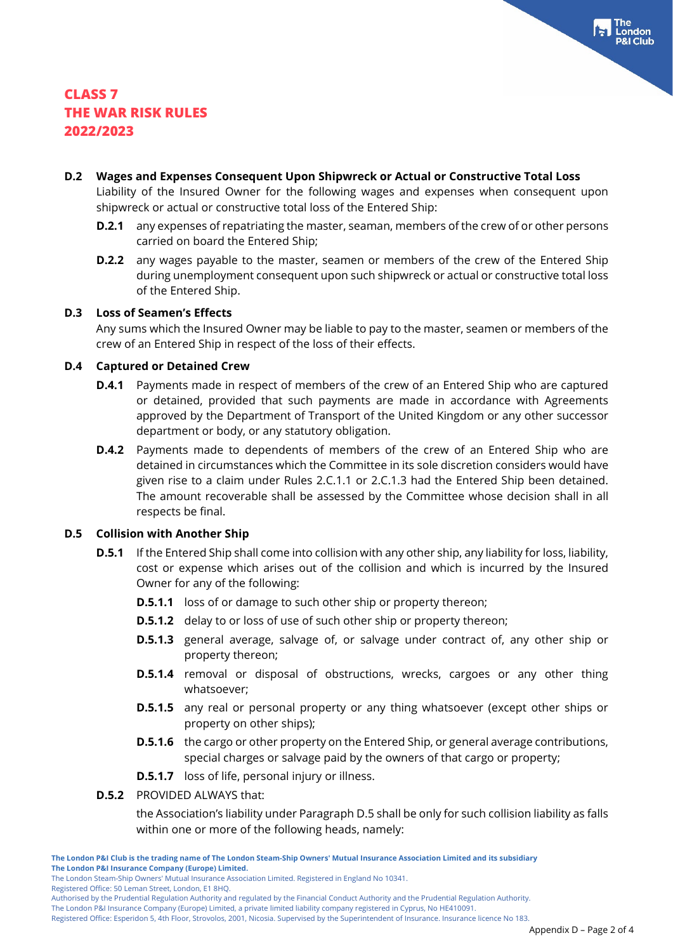#### **D.2 Wages and Expenses Consequent Upon Shipwreck or Actual or Constructive Total Loss** Liability of the Insured Owner for the following wages and expenses when consequent upon shipwreck or actual or constructive total loss of the Entered Ship:

- **D.2.1** any expenses of repatriating the master, seaman, members of the crew of or other persons carried on board the Entered Ship;
- **D.2.2** any wages payable to the master, seamen or members of the crew of the Entered Ship during unemployment consequent upon such shipwreck or actual or constructive total loss of the Entered Ship.

#### **D.3 Loss of Seamen's Effects**

Any sums which the Insured Owner may be liable to pay to the master, seamen or members of the crew of an Entered Ship in respect of the loss of their effects.

#### **D.4 Captured or Detained Crew**

- **D.4.1** Payments made in respect of members of the crew of an Entered Ship who are captured or detained, provided that such payments are made in accordance with Agreements approved by the Department of Transport of the United Kingdom or any other successor department or body, or any statutory obligation.
- **D.4.2** Payments made to dependents of members of the crew of an Entered Ship who are detained in circumstances which the Committee in its sole discretion considers would have given rise to a claim under Rules 2.C.1.1 or 2.C.1.3 had the Entered Ship been detained. The amount recoverable shall be assessed by the Committee whose decision shall in all respects be final.

#### **D.5 Collision with Another Ship**

- **D.5.1** If the Entered Ship shall come into collision with any other ship, any liability for loss, liability, cost or expense which arises out of the collision and which is incurred by the Insured Owner for any of the following:
	- **D.5.1.1** loss of or damage to such other ship or property thereon;
	- **D.5.1.2** delay to or loss of use of such other ship or property thereon;
	- **D.5.1.3** general average, salvage of, or salvage under contract of, any other ship or property thereon;
	- **D.5.1.4** removal or disposal of obstructions, wrecks, cargoes or any other thing whatsoever;
	- **D.5.1.5** any real or personal property or any thing whatsoever (except other ships or property on other ships);
	- **D.5.1.6** the cargo or other property on the Entered Ship, or general average contributions, special charges or salvage paid by the owners of that cargo or property;
	- **D.5.1.7** loss of life, personal injury or illness.
- **D.5.2** PROVIDED ALWAYS that:

the Association's liability under Paragraph D.5 shall be only for such collision liability as falls within one or more of the following heads, namely:

**The London P&I Club is the trading name of The London Steam-Ship Owners' Mutual Insurance Association Limited and its subsidiary The London P&I Insurance Company (Europe) Limited.**

The London Steam-Ship Owners' Mutual Insurance Association Limited. Registered in England No 10341.

Registered Office: 50 Leman Street, London, E1 8HQ.

Authorised by the Prudential Regulation Authority and regulated by the Financial Conduct Authority and the Prudential Regulation Authority.

The London P&I Insurance Company (Europe) Limited, a private limited liability company registered in Cyprus, No HE410091.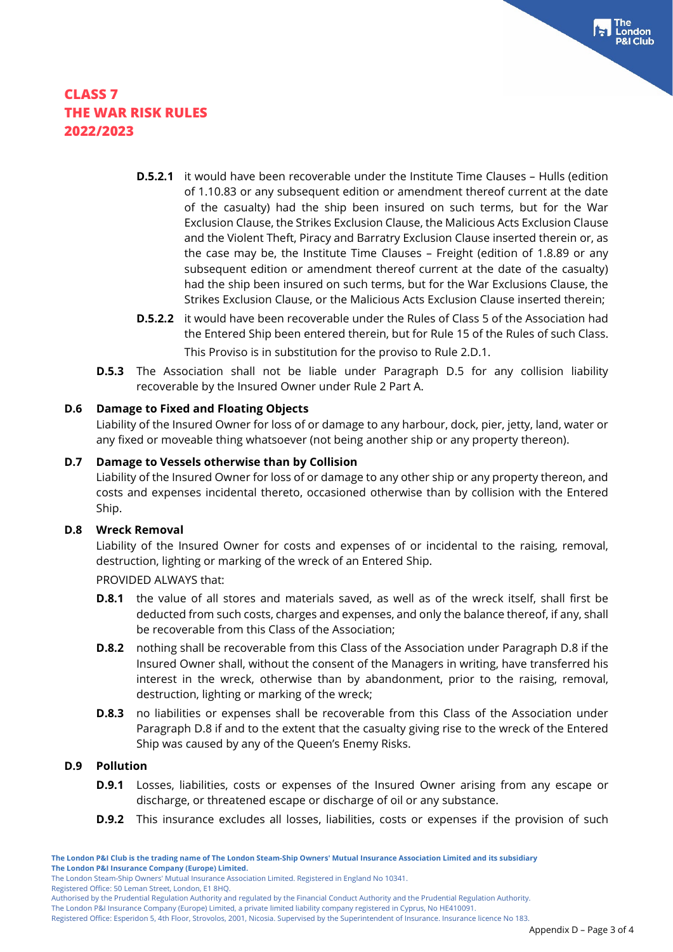- **D.5.2.1** it would have been recoverable under the Institute Time Clauses Hulls (edition of 1.10.83 or any subsequent edition or amendment thereof current at the date of the casualty) had the ship been insured on such terms, but for the War Exclusion Clause, the Strikes Exclusion Clause, the Malicious Acts Exclusion Clause and the Violent Theft, Piracy and Barratry Exclusion Clause inserted therein or, as the case may be, the Institute Time Clauses – Freight (edition of 1.8.89 or any subsequent edition or amendment thereof current at the date of the casualty) had the ship been insured on such terms, but for the War Exclusions Clause, the Strikes Exclusion Clause, or the Malicious Acts Exclusion Clause inserted therein;
- **D.5.2.2** it would have been recoverable under the Rules of Class 5 of the Association had the Entered Ship been entered therein, but for Rule 15 of the Rules of such Class. This Proviso is in substitution for the proviso to Rule 2.D.1.
- **D.5.3** The Association shall not be liable under Paragraph D.5 for any collision liability recoverable by the Insured Owner under Rule 2 Part A.

#### **D.6 Damage to Fixed and Floating Objects**

Liability of the Insured Owner for loss of or damage to any harbour, dock, pier, jetty, land, water or any fixed or moveable thing whatsoever (not being another ship or any property thereon).

#### **D.7 Damage to Vessels otherwise than by Collision**

Liability of the Insured Owner for loss of or damage to any other ship or any property thereon, and costs and expenses incidental thereto, occasioned otherwise than by collision with the Entered Ship.

#### **D.8 Wreck Removal**

Liability of the Insured Owner for costs and expenses of or incidental to the raising, removal, destruction, lighting or marking of the wreck of an Entered Ship.

#### PROVIDED ALWAYS that:

- **D.8.1** the value of all stores and materials saved, as well as of the wreck itself, shall first be deducted from such costs, charges and expenses, and only the balance thereof, if any, shall be recoverable from this Class of the Association;
- **D.8.2** nothing shall be recoverable from this Class of the Association under Paragraph D.8 if the Insured Owner shall, without the consent of the Managers in writing, have transferred his interest in the wreck, otherwise than by abandonment, prior to the raising, removal, destruction, lighting or marking of the wreck;
- **D.8.3** no liabilities or expenses shall be recoverable from this Class of the Association under Paragraph D.8 if and to the extent that the casualty giving rise to the wreck of the Entered Ship was caused by any of the Queen's Enemy Risks.

#### **D.9 Pollution**

- **D.9.1** Losses, liabilities, costs or expenses of the Insured Owner arising from any escape or discharge, or threatened escape or discharge of oil or any substance.
- **D.9.2** This insurance excludes all losses, liabilities, costs or expenses if the provision of such

The London Steam-Ship Owners' Mutual Insurance Association Limited. Registered in England No 10341.

Registered Office: 50 Leman Street, London, E1 8HQ.

Authorised by the Prudential Regulation Authority and regulated by the Financial Conduct Authority and the Prudential Regulation Authority.

Registered Office: Esperidon 5, 4th Floor, Strovolos, 2001, Nicosia. Supervised by the Superintendent of Insurance. Insurance licence No 183.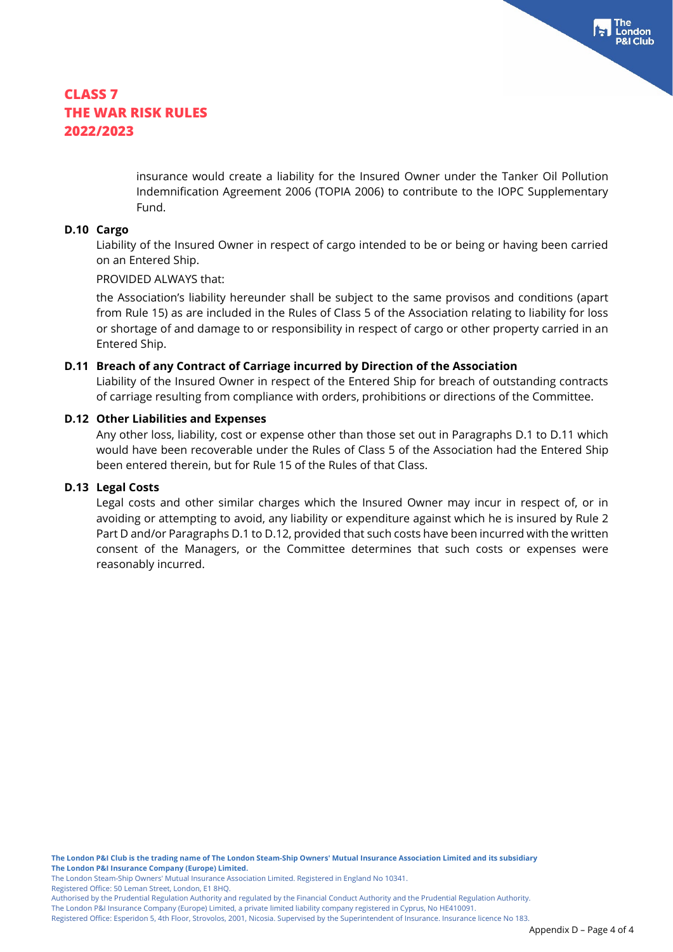insurance would create a liability for the Insured Owner under the Tanker Oil Pollution Indemnification Agreement 2006 (TOPIA 2006) to contribute to the IOPC Supplementary Fund.

#### **D.10 Cargo**

Liability of the Insured Owner in respect of cargo intended to be or being or having been carried on an Entered Ship.

#### PROVIDED ALWAYS that:

the Association's liability hereunder shall be subject to the same provisos and conditions (apart from Rule 15) as are included in the Rules of Class 5 of the Association relating to liability for loss or shortage of and damage to or responsibility in respect of cargo or other property carried in an Entered Ship.

#### **D.11 Breach of any Contract of Carriage incurred by Direction of the Association**

Liability of the Insured Owner in respect of the Entered Ship for breach of outstanding contracts of carriage resulting from compliance with orders, prohibitions or directions of the Committee.

#### **D.12 Other Liabilities and Expenses**

Any other loss, liability, cost or expense other than those set out in Paragraphs D.1 to D.11 which would have been recoverable under the Rules of Class 5 of the Association had the Entered Ship been entered therein, but for Rule 15 of the Rules of that Class.

#### **D.13 Legal Costs**

Legal costs and other similar charges which the Insured Owner may incur in respect of, or in avoiding or attempting to avoid, any liability or expenditure against which he is insured by Rule 2 Part D and/or Paragraphs D.1 to D.12, provided that such costs have been incurred with the written consent of the Managers, or the Committee determines that such costs or expenses were reasonably incurred.

Registered Office: 50 Leman Street, London, E1 8HQ.

The London Steam-Ship Owners' Mutual Insurance Association Limited. Registered in England No 10341.

Authorised by the Prudential Regulation Authority and regulated by the Financial Conduct Authority and the Prudential Regulation Authority.

The London P&I Insurance Company (Europe) Limited, a private limited liability company registered in Cyprus, No HE410091.

Registered Office: Esperidon 5, 4th Floor, Strovolos, 2001, Nicosia. Supervised by the Superintendent of Insurance. Insurance licence No 183.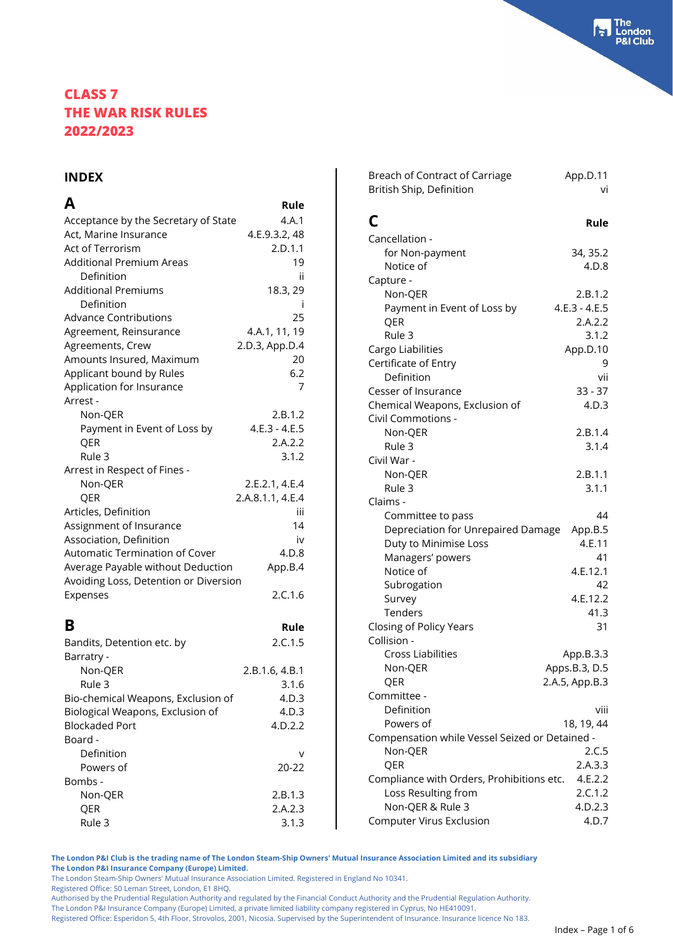#### **INDEX**

| А                                     | Rule             |
|---------------------------------------|------------------|
| Acceptance by the Secretary of State  | 4.A.1            |
| Act, Marine Insurance                 | 4.E.9.3.2, 48    |
| Act of Terrorism                      | 2.D.1.1          |
| <b>Additional Premium Areas</b>       | 19               |
| Definition                            | ii               |
| <b>Additional Premiums</b>            | 18.3, 29         |
| Definition                            |                  |
| <b>Advance Contributions</b>          | 25               |
| Agreement, Reinsurance                | 4.A.1, 11, 19    |
| Agreements, Crew                      | 2.D.3, App.D.4   |
| Amounts Insured, Maximum              | 20               |
| Applicant bound by Rules              | 6.2              |
| Application for Insurance             | 7                |
| Arrest -                              |                  |
| Non-QER                               | 2.B.1.2          |
| Payment in Event of Loss by           | $4.E.3 - 4.E.5$  |
| QER                                   | 2.A.2.2          |
| Rule 3                                | 3.1.2            |
| Arrest in Respect of Fines -          |                  |
| Non-QER                               | 2.E.2.1, 4.E.4   |
| QER                                   | 2.A.8.1.1, 4.E.4 |
| Articles, Definition                  | iii              |
| Assignment of Insurance               | 14               |
| Association, Definition               | iv               |
| Automatic Termination of Cover        | 4.D.8            |
| Average Payable without Deduction     | App.B.4          |
| Avoiding Loss, Detention or Diversion |                  |
| Expenses                              | 2.C.1.6          |
|                                       |                  |
| В                                     | Rule             |
| Bandits, Detention etc. by            | 2.C.1.5          |
| Barratry -                            |                  |
| Non-QER                               | 2.B.1.6, 4.B.1   |
| Rule 3                                | 3.1.6            |
| Bio-chemical Weapons, Exclusion of    | 4.D.3            |
| Biological Weapons, Exclusion of      | 4.D.3            |
| <b>Blockaded Port</b>                 | 4.D.2.2          |
| Board -                               |                  |
| Definition                            | v                |
| Powers of                             | 20-22            |
| Bombs -                               |                  |
| Non-QER                               | 2.B.1.3          |
| QER                                   | 2.A.2.3          |
| Rule 3                                | 3.1.3            |

| С                                                | Rule               |
|--------------------------------------------------|--------------------|
| Cancellation -                                   |                    |
| for Non-payment                                  | 34, 35.2           |
| Notice of                                        | 4.D.8              |
| Capture -                                        |                    |
| Non-QER                                          | 2.B.1.2            |
| Payment in Event of Loss by                      | $4.E.3 - 4.E.5$    |
| QER                                              | 2.A.2.2            |
| Rule 3                                           | 3.1.2              |
| Cargo Liabilities                                | App.D.10           |
| Certificate of Entry                             | 9                  |
| Definition                                       | vii                |
| Cesser of Insurance                              | $33 - 37$          |
| Chemical Weapons, Exclusion of                   | 4.D.3              |
| Civil Commotions -                               |                    |
| Non-QER                                          | 2.B.1.4            |
| Rule 3                                           | 3.1.4              |
| Civil War -                                      |                    |
| Non-QER                                          | 2.B.1.1            |
| Rule 3                                           | 3.1.1              |
| Claims -                                         |                    |
| Committee to pass                                | 44                 |
| Depreciation for Unrepaired Damage               | App.B.5            |
| Duty to Minimise Loss                            | 4.E.11             |
| Managers' powers                                 | 41                 |
| Notice of                                        | 4.E.12.1           |
| Subrogation                                      | 42                 |
| Survey                                           | 4.E.12.2           |
| Tenders                                          | 41.3               |
| Closing of Policy Years                          | 31                 |
| Collision -                                      |                    |
| <b>Cross Liabilities</b>                         | App.B.3.3          |
| Non-QER                                          | Apps.B.3, D.5      |
| QER                                              | 2.A.5, App.B.3     |
| Committee -                                      |                    |
| Definition                                       | viii               |
| Powers of                                        | 18, 19, 44         |
| Compensation while Vessel Seized or Detained -   |                    |
| Non-QER                                          | 2.C.5              |
| QER<br>Compliance with Orders, Prohibitions etc. | 2.A.3.3            |
| Loss Resulting from                              | 4.E.2.2<br>2.C.1.2 |
|                                                  |                    |

Non-QER & Rule 3 4.D.2.3 Computer Virus Exclusion 4.D.7

Breach of Contract of Carriage App.D.11 British Ship, Definition vi

**The London P&I Club is the trading name of The London Steam-Ship Owners' Mutual Insurance Association Limited and its subsidiary The London P&I Insurance Company (Europe) Limited.**

The London Steam-Ship Owners' Mutual Insurance Association Limited. Registered in England No 10341.

Registered Office: 50 Leman Street, London, E1 8HQ.

Authorised by the Prudential Regulation Authority and regulated by the Financial Conduct Authority and the Prudential Regulation Authority. The London P&I Insurance Company (Europe) Limited, a private limited liability company registered in Cyprus, No HE410091.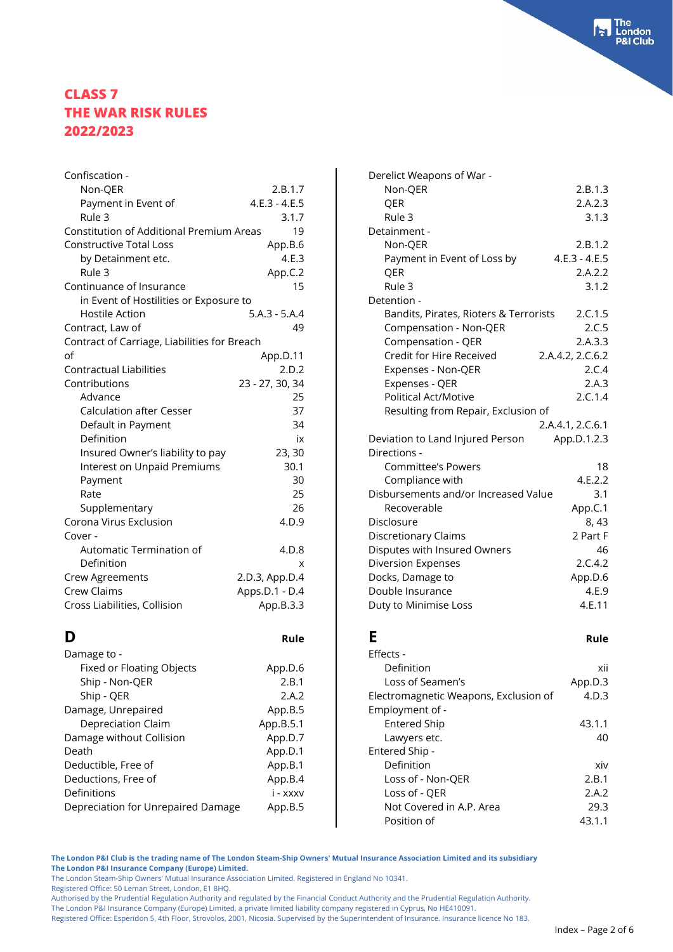| Confiscation -                                  |                 |
|-------------------------------------------------|-----------------|
| Non-QER                                         | 2.B.1.7         |
| Payment in Event of                             | $4.E.3 - 4.E.5$ |
| Rule 3                                          | 3.1.7           |
| <b>Constitution of Additional Premium Areas</b> | 19              |
| <b>Constructive Total Loss</b>                  | App.B.6         |
| by Detainment etc.                              | 4.E.3           |
| Rule 3                                          | App.C.2         |
| Continuance of Insurance                        | 15              |
| in Event of Hostilities or Exposure to          |                 |
| Hostile Action                                  | $5.A.3 - 5.A.4$ |
| Contract, Law of                                | 49              |
| Contract of Carriage, Liabilities for Breach    |                 |
| of                                              | App.D.11        |
| <b>Contractual Liabilities</b>                  | 2.D.2           |
| Contributions                                   | 23 - 27, 30, 34 |
| Advance                                         | 25              |
| <b>Calculation after Cesser</b>                 | 37              |
| Default in Payment                              | 34              |
| Definition                                      | ix              |
| Insured Owner's liability to pay                | 23, 30          |
| Interest on Unpaid Premiums                     | 30.1            |
| Payment                                         | 30              |
| Rate                                            | 25              |
| Supplementary                                   | 26              |
| Corona Virus Exclusion                          | 4.D.9           |
| Cover -                                         |                 |
| Automatic Termination of                        | 4.D.8           |
| Definition                                      | x               |
| <b>Crew Agreements</b>                          | 2.D.3, App.D.4  |
| <b>Crew Claims</b>                              | Apps.D.1 - D.4  |
| Cross Liabilities, Collision                    | App.B.3.3       |
| D                                               | Rule            |
| Damage to -                                     |                 |
| Fixed or Floating Objects                       | App.D.6         |

| Dallidge to -                      |           |
|------------------------------------|-----------|
| <b>Fixed or Floating Objects</b>   | App.D.6   |
| Ship - Non-QER                     | 2.B.1     |
| Ship - QER                         | 2.A.2     |
| Damage, Unrepaired                 | App.B.5   |
| Depreciation Claim                 | App.B.5.1 |
| Damage without Collision           | App.D.7   |
| Death                              | App.D.1   |
| Deductible, Free of                | App.B.1   |
| Deductions, Free of                | App.B.4   |
| Definitions                        | i - xxxv  |
| Depreciation for Unrepaired Damage | App.B.5   |
|                                    |           |

| Derelict Weapons of War -              |                  |
|----------------------------------------|------------------|
| Non-QER                                | 2.B.1.3          |
| OER                                    | 2.A.2.3          |
| Rule 3                                 | 3.1.3            |
| Detainment -                           |                  |
| Non-QER                                | 2.B.1.2          |
| Payment in Event of Loss by            | $4.E.3 - 4.E.5$  |
| OER                                    | 2.A.2.2          |
| Rule 3                                 | 3.1.2            |
| Detention -                            |                  |
| Bandits, Pirates, Rioters & Terrorists | 2.C.1.5          |
| Compensation - Non-QER                 | 2.C.5            |
| Compensation - QER                     | 2.A.3.3          |
| Credit for Hire Received               | 2.A.4.2, 2.C.6.2 |
| Expenses - Non-QER                     | 2.C.4            |
| Expenses - QER                         | 2.A.3            |
| <b>Political Act/Motive</b>            | 2.C.1.4          |
| Resulting from Repair, Exclusion of    |                  |
|                                        | 2.A.4.1, 2.C.6.1 |
| Deviation to Land Injured Person       | App.D.1.2.3      |
| Directions -                           |                  |
| <b>Committee's Powers</b>              | 18               |
| Compliance with                        | 4.E.2.2          |
| Disbursements and/or Increased Value   | 3.1              |
| Recoverable                            | App.C.1          |
| Disclosure                             | 8, 43            |
| Discretionary Claims                   | 2 Part F         |
| Disputes with Insured Owners           | 46               |
| <b>Diversion Expenses</b>              | 2.C.4.2          |
| Docks, Damage to                       | App.D.6          |
| Double Insurance                       | 4.E.9            |
| Duty to Minimise Loss                  | 4.E.11           |
|                                        |                  |

**E** Rule

| <b>Fffects -</b>                      |         |
|---------------------------------------|---------|
| Definition                            | xii     |
| Loss of Seamen's                      | App.D.3 |
| Electromagnetic Weapons, Exclusion of | 4.D.3   |
| Employment of -                       |         |
| <b>Entered Ship</b>                   | 43.1.1  |
| Lawyers etc.                          | 40      |
| Entered Ship -                        |         |
| Definition                            | xiv     |
| Loss of - Non-OER                     | 2.B.1   |
| Loss of - QER                         | 2.A.2   |
| Not Covered in A.P. Area              | 29.3    |
| Position of                           | 43.1.1  |

**The London P&I Club is the trading name of The London Steam-Ship Owners' Mutual Insurance Association Limited and its subsidiary The London P&I Insurance Company (Europe) Limited.**

The London Steam-Ship Owners' Mutual Insurance Association Limited. Registered in England No 10341.

Registered Office: 50 Leman Street, London, E1 8HQ.

Authorised by the Prudential Regulation Authority and regulated by the Financial Conduct Authority and the Prudential Regulation Authority.

The London P&I Insurance Company (Europe) Limited, a private limited liability company registered in Cyprus, No HE410091.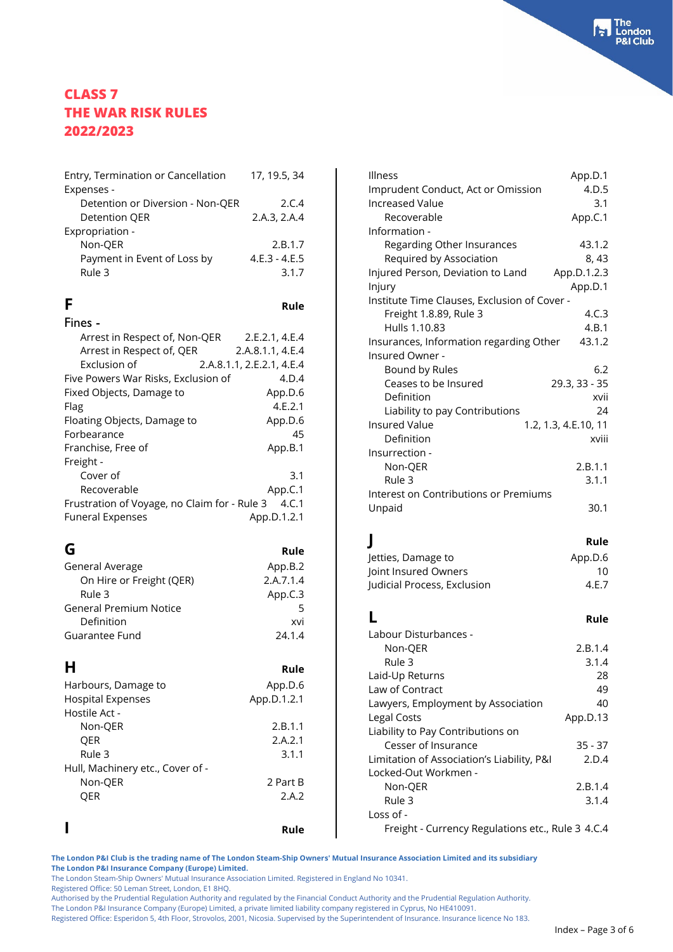| Entry, Termination or Cancellation | 17, 19.5, 34    |
|------------------------------------|-----------------|
| Expenses -                         |                 |
| Detention or Diversion - Non-QER   | 2.C.4           |
| Detention OER                      | 2.A.3, 2.A.4    |
| Expropriation -                    |                 |
| Non-OER                            | 2.B.1.7         |
| Payment in Event of Loss by        | $4.E.3 - 4.E.5$ |
| Rule 3                             | 3.1.7           |
|                                    |                 |

| ٠<br>I |  |
|--------|--|

|  | ٠ |  |
|--|---|--|

| <b>INA</b> |  |
|------------|--|

**F** Rule

| Arrest in Respect of, Non-QER                | 2.E.2.1, 4.E.4            |
|----------------------------------------------|---------------------------|
| Arrest in Respect of, QER                    | 2.A.8.1.1, 4.E.4          |
| Exclusion of                                 | 2.A.8.1.1, 2.E.2.1, 4.E.4 |
| Five Powers War Risks, Exclusion of          | 4.D.4                     |
| Fixed Objects, Damage to                     | App.D.6                   |
| Flag                                         | 4.E.2.1                   |
| Floating Objects, Damage to                  | App.D.6                   |
| Forbearance                                  | 45                        |
| Franchise, Free of                           | App.B.1                   |
| Freight -                                    |                           |
| Cover of                                     | 3.1                       |
| Recoverable                                  | App.C.1                   |
| Frustration of Voyage, no Claim for - Rule 3 | 4.C.1                     |
| <b>Funeral Expenses</b>                      | App.D.1.2.1               |
|                                              |                           |

| G                             | <b>Rule</b> |
|-------------------------------|-------------|
| General Average               | App.B.2     |
| On Hire or Freight (QER)      | 2.A.7.1.4   |
| Rule 3                        | App.C.3     |
| <b>General Premium Notice</b> | 5           |
| Definition                    | xvi         |
| Guarantee Fund                | 24.1.4      |

## **H Rule** Harbours, Damage to App.D.6 Hospital Expenses App.D.1.2.1 Hostile Act - Non-QER 2.B.1.1 QER 2.A.2.1 Rule 3 3.1.1 Hull, Machinery etc., Cover of - Non-QER 2 Part B QER 2.A.2 **I Rule**

| Illness                                      | App.D.1              |
|----------------------------------------------|----------------------|
| Imprudent Conduct, Act or Omission           | 4.D.5                |
| Increased Value                              | 3.1                  |
| Recoverable                                  | App.C.1              |
| Information -                                |                      |
| Regarding Other Insurances                   | 43.1.2               |
| Required by Association                      | 8, 43                |
| Injured Person, Deviation to Land            | App.D.1.2.3          |
| Injury                                       | App.D.1              |
| Institute Time Clauses, Exclusion of Cover - |                      |
| Freight 1.8.89, Rule 3                       | 4.C.3                |
| Hulls 1.10.83                                | 4.B.1                |
| Insurances, Information regarding Other      | 43.1.2               |
| Insured Owner -                              |                      |
| Bound by Rules                               | 6.2                  |
| Ceases to be Insured                         | 29.3, 33 - 35        |
| Definition                                   | xvii                 |
| Liability to pay Contributions               | 24                   |
| <b>Insured Value</b>                         | 1.2, 1.3, 4.E.10, 11 |
| Definition                                   | xviii                |
| Insurrection -                               |                      |
| Non-QER                                      | 2.B.1.1              |
| Rule 3                                       | 3.1.1                |
| Interest on Contributions or Premiums        |                      |
| Unpaid                                       | 30.1                 |

# **J Rule**

| Jetties, Damage to          | App.D.6 |
|-----------------------------|---------|
| Joint Insured Owners        | 10      |
| Judicial Process, Exclusion | 4.E.7   |

|                                                   | Rule      |
|---------------------------------------------------|-----------|
| Labour Disturbances -                             |           |
| Non-OER                                           | 2.B.1.4   |
| Rule 3                                            | 3.1.4     |
| Laid-Up Returns                                   | 28        |
| Law of Contract                                   | 49        |
| Lawyers, Employment by Association                | 40        |
| Legal Costs                                       | App.D.13  |
| Liability to Pay Contributions on                 |           |
| Cesser of Insurance                               | $35 - 37$ |
| Limitation of Association's Liability, P&I        | 2.D.4     |
| Locked-Out Workmen -                              |           |
| Non-OER                                           | 2.B.1.4   |
| Rule 3                                            | 3.1.4     |
| Loss of -                                         |           |
| Freight - Currency Regulations etc., Rule 3 4.C.4 |           |

**The London P&I Club is the trading name of The London Steam-Ship Owners' Mutual Insurance Association Limited and its subsidiary The London P&I Insurance Company (Europe) Limited.**

The London Steam-Ship Owners' Mutual Insurance Association Limited. Registered in England No 10341.

Registered Office: 50 Leman Street, London, E1 8HQ.

Authorised by the Prudential Regulation Authority and regulated by the Financial Conduct Authority and the Prudential Regulation Authority.

The London P&I Insurance Company (Europe) Limited, a private limited liability company registered in Cyprus, No HE410091.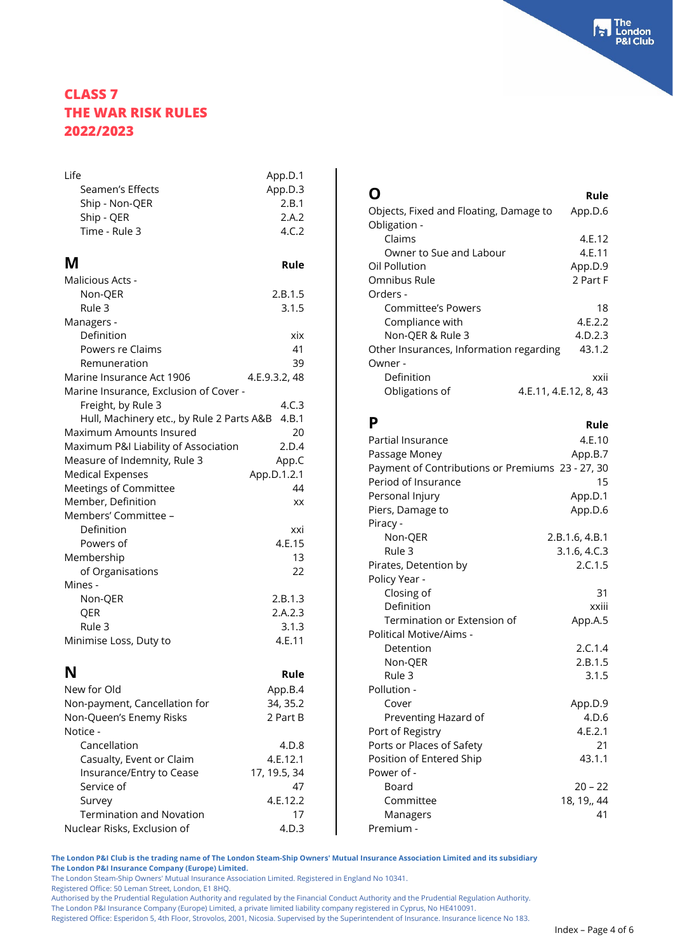| l ife                                              | App.D.1       |
|----------------------------------------------------|---------------|
| Seamen's Effects                                   | App.D.3       |
| Ship - Non-QER                                     | 2.B.1         |
| Ship - QER                                         | 2.A.2         |
| Time - Rule 3                                      | 4.C.2         |
| м                                                  | Rule          |
| Malicious Acts -                                   |               |
| Non-QER                                            | 2.B.1.5       |
| Rule 3                                             | 3.1.5         |
| Managers -                                         |               |
| Definition                                         | xix           |
| Powers re Claims                                   | 41            |
| Remuneration                                       | 39            |
| Marine Insurance Act 1906                          | 4.E.9.3.2, 48 |
| Marine Insurance, Exclusion of Cover -             |               |
| Freight, by Rule 3                                 | 4.C.3         |
| Hull, Machinery etc., by Rule 2 Parts A&B          | 4.B.1         |
| Maximum Amounts Insured                            | 20            |
| Maximum P&I Liability of Association               | 2.D.4         |
| Measure of Indemnity, Rule 3                       | App.C         |
| <b>Medical Expenses</b>                            | App.D.1.2.1   |
| <b>Meetings of Committee</b><br>Member, Definition | 44<br>XX      |
| Members' Committee -                               |               |
| Definition                                         | xxi           |
| Powers of                                          | 4.E.15        |
| Membership                                         | 13            |
| of Organisations                                   | 22            |
| Mines -                                            |               |
| Non-QER                                            | 2.B.1.3       |
| QER                                                | 2.A.2.3       |
| Rule 3                                             | 3.1.3         |
| Minimise Loss, Duty to                             | 4.E.11        |
| N                                                  | Rule          |
| New for Old                                        | App.B.4       |
| Non-payment, Cancellation for                      | 34, 35.2      |
| Non-Queen's Enemy Risks                            | 2 Part B      |
| Notice -                                           |               |
| Cancellation                                       | 4.D.8         |
| Casualty, Event or Claim                           | 4.E.12.1      |
| Insurance/Entry to Cease                           | 17, 19.5, 34  |
| Service of                                         | 47            |
| Survey                                             | 4.E.12.2      |
| <b>Termination and Novation</b>                    | 17            |
| Nuclear Risks, Exclusion of                        | 4.D.3         |

|                                         | Rule                  |
|-----------------------------------------|-----------------------|
| Objects, Fixed and Floating, Damage to  | App.D.6               |
| Obligation -                            |                       |
| Claims                                  | 4.E.12                |
| Owner to Sue and Labour                 | 4.E.11                |
| Oil Pollution                           | App.D.9               |
| Omnibus Rule                            | 2 Part F              |
| Orders -                                |                       |
| <b>Committee's Powers</b>               | 18                    |
| Compliance with                         | 4.E.2.2               |
| Non-OER & Rule 3                        | 4.D.2.3               |
| Other Insurances, Information regarding | 43.1.2                |
| Owner -                                 |                       |
| Definition                              | xxii                  |
| Obligations of                          | 4.E.11, 4.E.12, 8, 43 |

| P                                                | Rule           |
|--------------------------------------------------|----------------|
| Partial Insurance                                | 4.E.10         |
| Passage Money                                    | App.B.7        |
| Payment of Contributions or Premiums 23 - 27, 30 |                |
| Period of Insurance                              | 15             |
| Personal Injury                                  | App.D.1        |
| Piers, Damage to                                 | App.D.6        |
| Piracy -                                         |                |
| Non-OER                                          | 2.B.1.6, 4.B.1 |
| Rule 3                                           | 3.1.6, 4. C.3  |
| Pirates, Detention by                            | 2.C.1.5        |
| Policy Year -                                    |                |
| Closing of                                       | 31             |
| Definition                                       | xxiii          |
| Termination or Extension of                      | App.A.5        |
| Political Motive/Aims -                          |                |
| Detention                                        | 2.C.1.4        |
| Non-OER                                          | 2.B.1.5        |
| Rule 3                                           | 3.1.5          |
| Pollution -                                      |                |
| Cover                                            | App.D.9        |
| Preventing Hazard of                             | 4.D.6          |
| Port of Registry                                 | 4.E.2.1        |
| Ports or Places of Safety                        | 21             |
| Position of Entered Ship                         | 43.1.1         |
| Power of -                                       |                |
| Board                                            | $20 - 22$      |
| Committee                                        | 18, 19,, 44    |
| Managers                                         | 41             |
| Premium -                                        |                |

**The London P&I Club is the trading name of The London Steam-Ship Owners' Mutual Insurance Association Limited and its subsidiary The London P&I Insurance Company (Europe) Limited.**

The London Steam-Ship Owners' Mutual Insurance Association Limited. Registered in England No 10341.

Registered Office: 50 Leman Street, London, E1 8HQ.

Authorised by the Prudential Regulation Authority and regulated by the Financial Conduct Authority and the Prudential Regulation Authority.

The London P&I Insurance Company (Europe) Limited, a private limited liability company registered in Cyprus, No HE410091.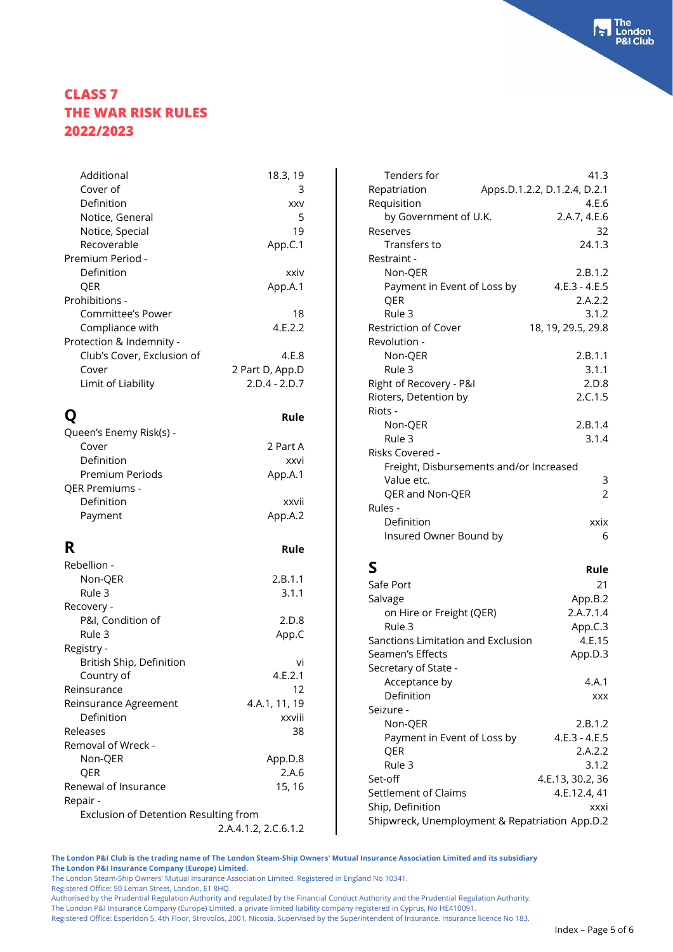| Additional                            | 18.3, 19             |
|---------------------------------------|----------------------|
| Cover of                              | З                    |
| Definition                            | XXV                  |
| Notice, General                       | 5                    |
| Notice, Special                       | 19                   |
| Recoverable                           | App.C.1              |
| Premium Period -                      |                      |
| Definition                            | xxiv                 |
| QER                                   | App.A.1              |
| Prohibitions -                        |                      |
| <b>Committee's Power</b>              | 18                   |
| Compliance with                       | 4.E.2.2              |
| Protection & Indemnity -              |                      |
| Club's Cover, Exclusion of            | 4.E.8                |
| Cover                                 | 2 Part D, App.D      |
| Limit of Liability                    | $2.D.4 - 2.D.7$      |
|                                       |                      |
| Q                                     | Rule                 |
| Queen's Enemy Risk(s) -               |                      |
| Cover                                 | 2 Part A             |
| Definition                            | xxvi                 |
| Premium Periods                       | App.A.1              |
| QER Premiums -                        |                      |
| Definition                            | xxvii                |
| Payment                               | App.A.2              |
| R                                     |                      |
|                                       | Rule                 |
| Rebellion -                           |                      |
| Non-QER                               | 2.B.1.1              |
| Rule 3                                | 3.1.1                |
| Recovery -                            |                      |
| P&I, Condition of                     | 2.D.8                |
| Rule 3                                | App.C                |
| Registry -                            |                      |
| British Ship, Definition              | Vİ                   |
| Country of                            | 4.E.2.1              |
| Reinsurance                           | 12                   |
| Reinsurance Agreement<br>Definition   | 4.A.1, 11, 19        |
| Releases                              | xxviii               |
| Removal of Wreck -                    | 38                   |
|                                       |                      |
| Non-QER                               | App.D.8              |
| QER                                   | 2.A.6<br>15, 16      |
| Renewal of Insurance                  |                      |
| Repair -                              |                      |
| Exclusion of Detention Resulting from | 2.A.4.1.2, 2.C.6.1.2 |
|                                       |                      |

| Tenders for<br>Repatriation        | 41.3<br>Apps.D.1.2.2, D.1.2.4, D.2.1    |
|------------------------------------|-----------------------------------------|
| Requisition                        | 4.E.6                                   |
| by Government of U.K.              | 2.A.7, 4.E.6                            |
| Reserves                           | 32                                      |
| Transfers to                       | 24.1.3                                  |
| Restraint -                        |                                         |
| Non-QER                            | 2.B.1.2                                 |
| Payment in Event of Loss by        | $4.E.3 - 4.E.5$                         |
| OER                                | 2.A.2.2                                 |
| Rule 3                             | 3.1.2                                   |
| <b>Restriction of Cover</b>        | 18, 19, 29.5, 29.8                      |
| Revolution -                       |                                         |
| Non-QER                            | 2.B.1.1                                 |
| Rule 3                             | 3.1.1                                   |
| Right of Recovery - P&I            | 2.D.8                                   |
| Rioters, Detention by              | 2.C.1.5                                 |
| Riots -                            |                                         |
| Non-QER                            | 2.B.1.4                                 |
| Rule 3                             | 3.1.4                                   |
| Risks Covered -                    |                                         |
|                                    | Freight, Disbursements and/or Increased |
| Value etc.                         | 3                                       |
| QER and Non-QER                    | $\overline{2}$                          |
| Rules -                            |                                         |
| Definition                         | xxix                                    |
| Insured Owner Bound by             | 6                                       |
| S                                  | Rule                                    |
| Safe Port                          | 21                                      |
| Salvage                            | App.B.2                                 |
| on Hire or Freight (QER)           | 2.A.7.1.4                               |
| Rule 3                             | App.C.3                                 |
| Sanctions Limitation and Exclusion | 4.E.15                                  |
| Seamen's Effects                   | App.D.3                                 |
| Secretary of State -               |                                         |
| Acceptance by                      | 4.A.1                                   |

Definition xxx

Non-QER 2.B.1.2 Payment in Event of Loss by 4.E.3 - 4.E.5 QER 2.A.2.2 Rule 3 3.1.2 Set-off 4.E.13, 30.2, 36 Settlement of Claims 4.E.12.4, 41 Ship, Definition xxxi Shipwreck, Unemployment & Repatriation App.D.2

Seizure -

**The London P&I Club is the trading name of The London Steam-Ship Owners' Mutual Insurance Association Limited and its subsidiary The London P&I Insurance Company (Europe) Limited.**

The London Steam-Ship Owners' Mutual Insurance Association Limited. Registered in England No 10341.

Registered Office: 50 Leman Street, London, E1 8HQ.

Authorised by the Prudential Regulation Authority and regulated by the Financial Conduct Authority and the Prudential Regulation Authority.